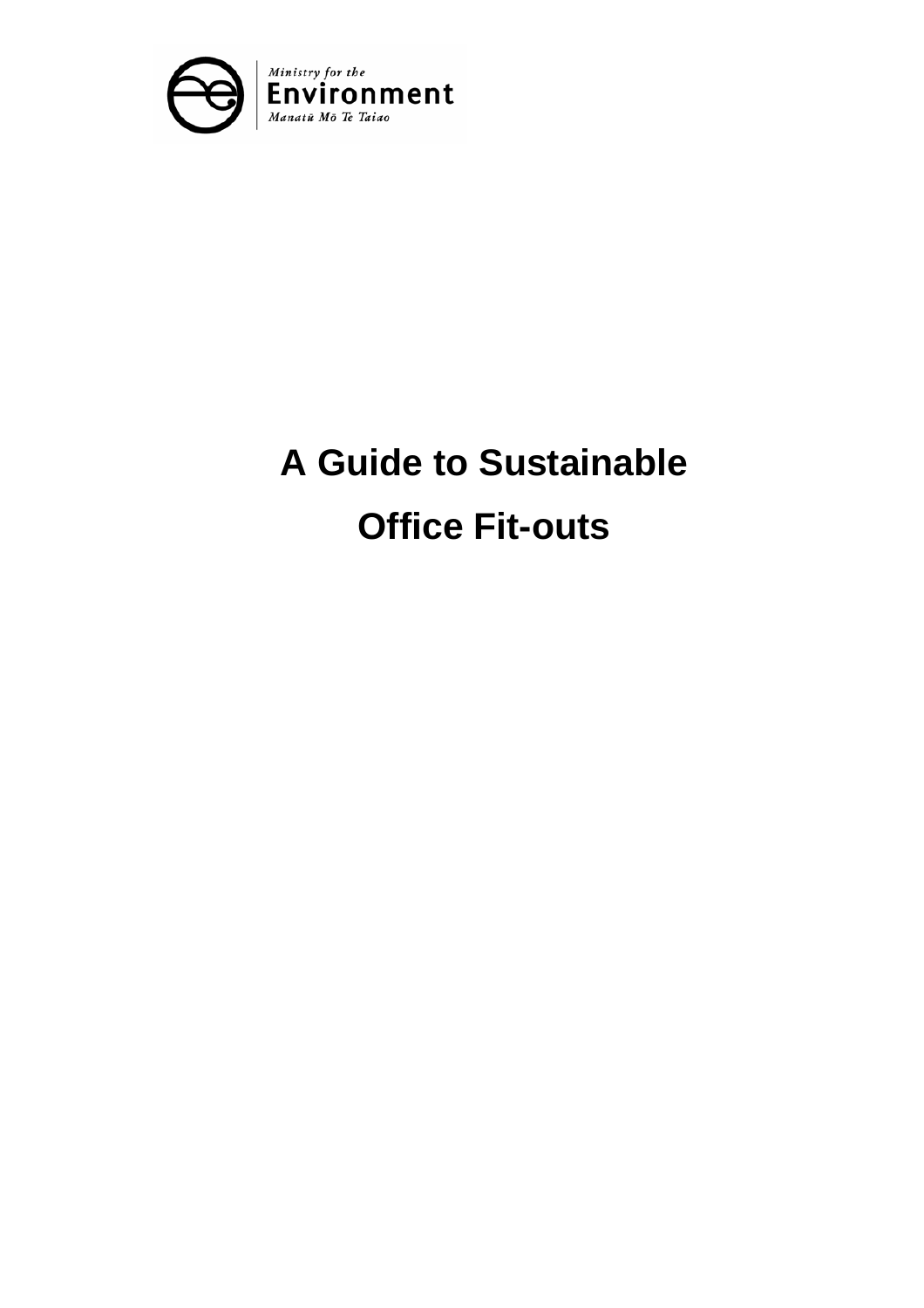<span id="page-0-0"></span>

# **A Guide to Sustainable Office Fit-outs**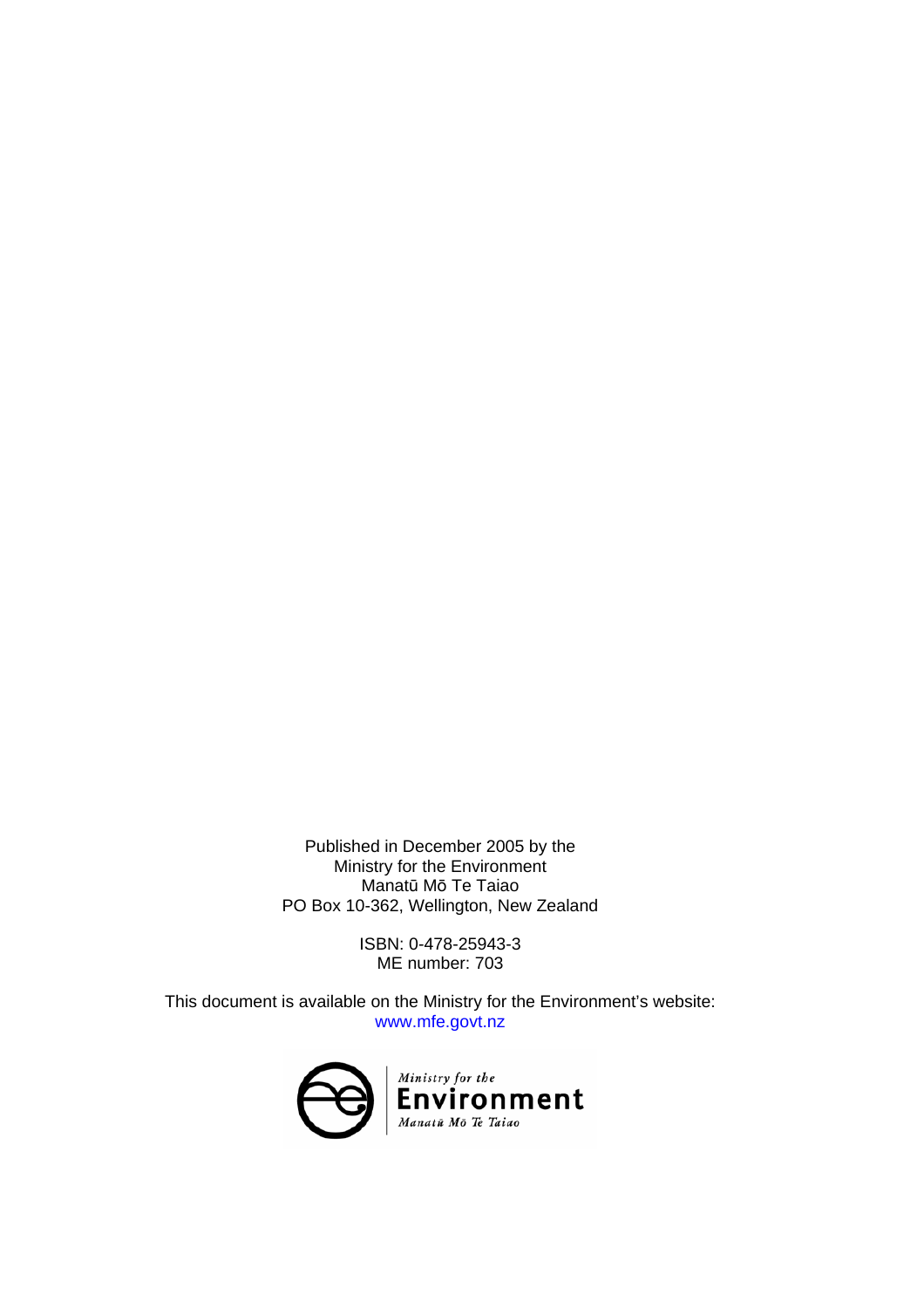Published in December 2005 by the Ministry for the Environment Manatū Mō Te Taiao PO Box 10-362, Wellington, New Zealand

> ISBN: 0-478-25943-3 ME number: 703

This document is available on the Ministry for the Environment's website: www.mfe.govt.nz

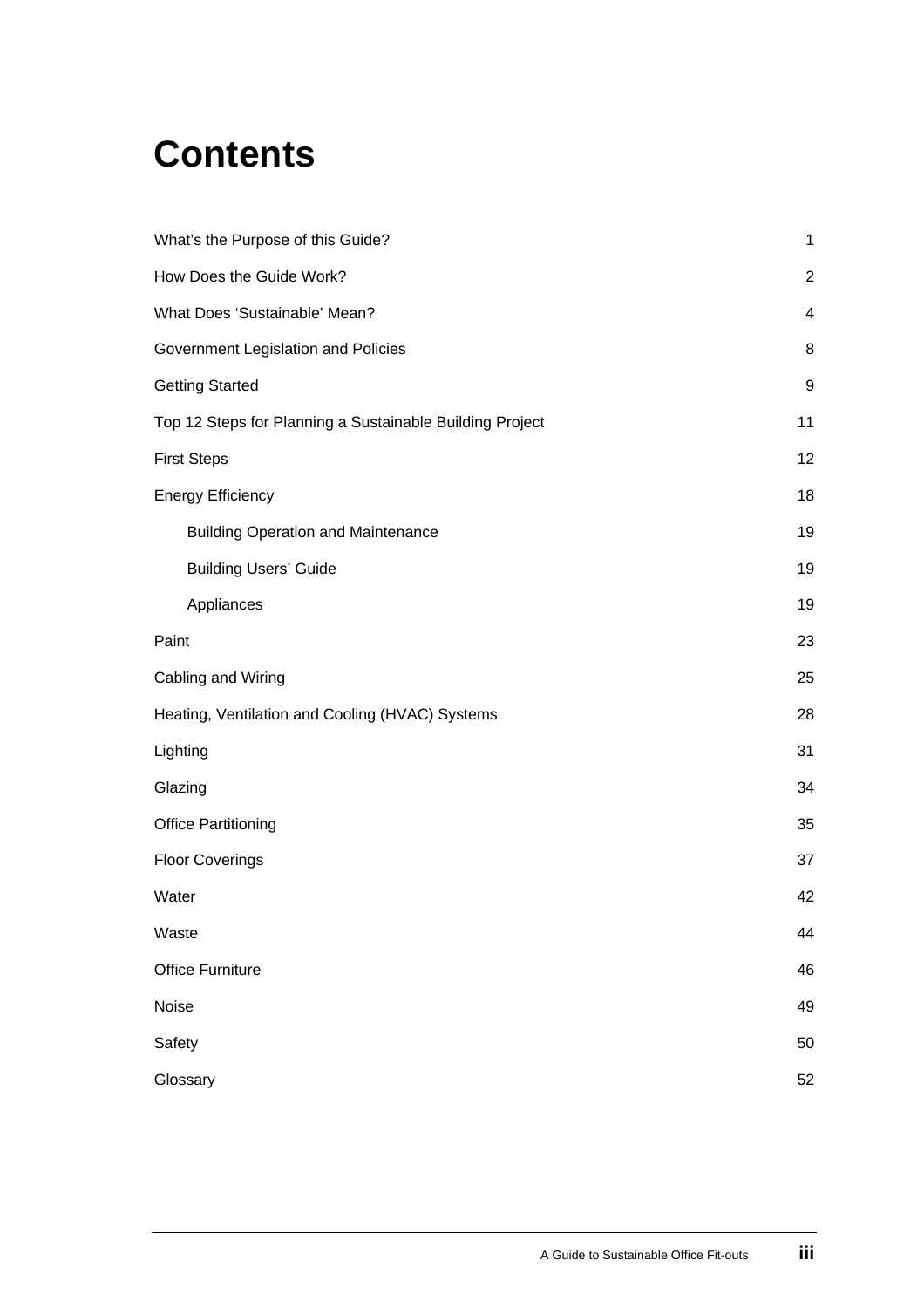# **Contents**

| What's the Purpose of this Guide?                        | $\mathbf{1}$     |
|----------------------------------------------------------|------------------|
| How Does the Guide Work?                                 | $\boldsymbol{2}$ |
| What Does 'Sustainable' Mean?                            | 4                |
| Government Legislation and Policies                      | 8                |
| <b>Getting Started</b>                                   | 9                |
| Top 12 Steps for Planning a Sustainable Building Project | 11               |
| <b>First Steps</b>                                       | 12               |
| <b>Energy Efficiency</b>                                 | 18               |
| <b>Building Operation and Maintenance</b>                | 19               |
| <b>Building Users' Guide</b>                             | 19               |
| Appliances                                               | 19               |
| Paint                                                    | 23               |
| Cabling and Wiring                                       | 25               |
| Heating, Ventilation and Cooling (HVAC) Systems          | 28               |
| Lighting                                                 | 31               |
| Glazing                                                  | 34               |
| <b>Office Partitioning</b>                               | 35               |
| <b>Floor Coverings</b>                                   | 37               |
| Water                                                    | 42               |
| Waste                                                    | 44               |
| <b>Office Furniture</b>                                  | 46               |
| Noise                                                    | 49               |
| Safety                                                   | 50               |
| Glossary                                                 | 52               |
|                                                          |                  |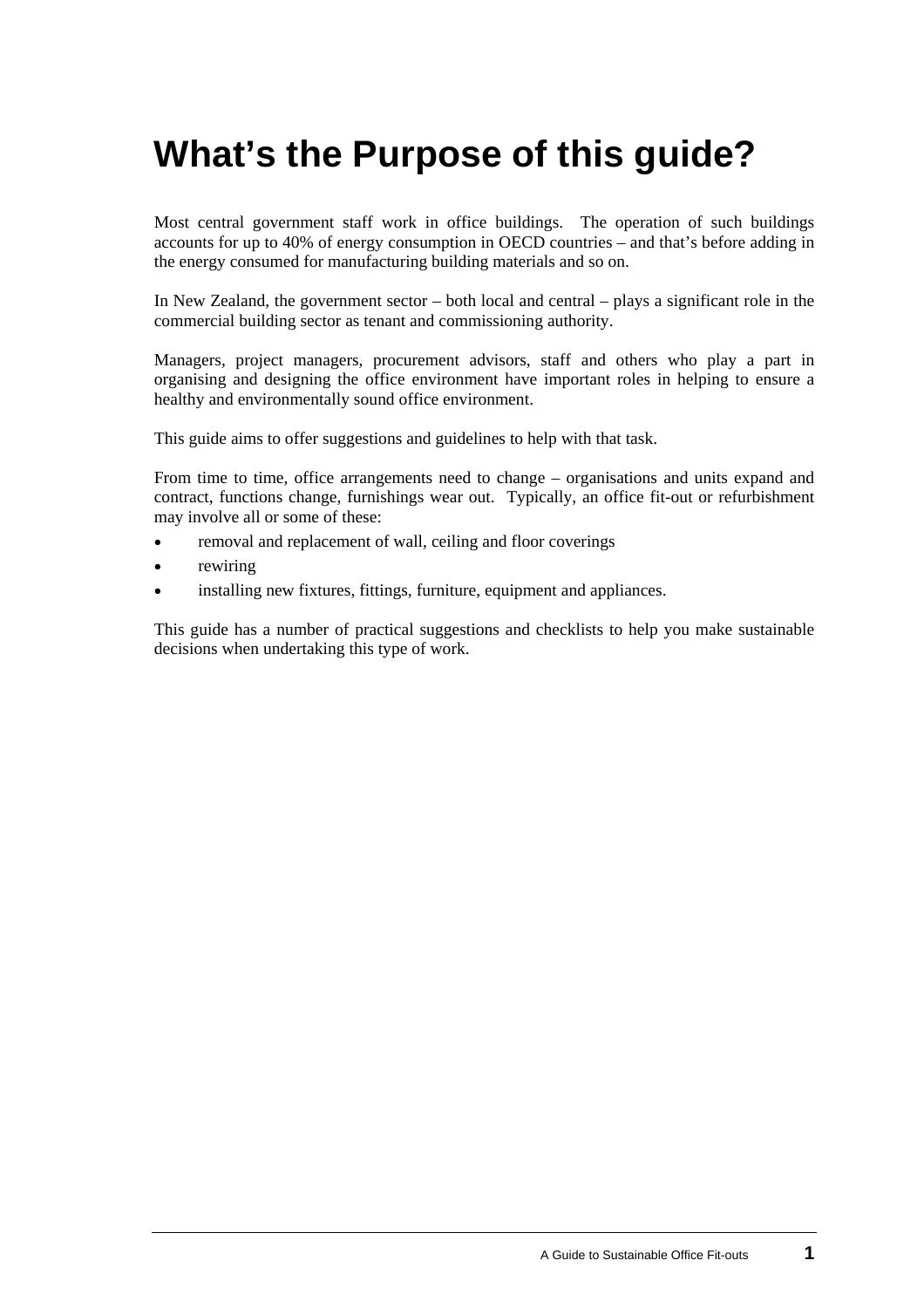# <span id="page-4-0"></span>**What's the Purpose of this guide?**

Most central government staff work in office buildings. The operation of such buildings accounts for up to 40% of energy consumption in OECD countries – and that's before adding in the energy consumed for manufacturing building materials and so on.

In New Zealand, the government sector – both local and central – plays a significant role in the commercial building sector as tenant and commissioning authority.

Managers, project managers, procurement advisors, staff and others who play a part in organising and designing the office environment have important roles in helping to ensure a healthy and environmentally sound office environment.

This guide aims to offer suggestions and guidelines to help with that task.

From time to time, office arrangements need to change – organisations and units expand and contract, functions change, furnishings wear out. Typically, an office fit-out or refurbishment may involve all or some of these:

- removal and replacement of wall, ceiling and floor coverings
- rewiring
- installing new fixtures, fittings, furniture, equipment and appliances.

This guide has a number of practical suggestions and checklists to help you make sustainable decisions when undertaking this type of work.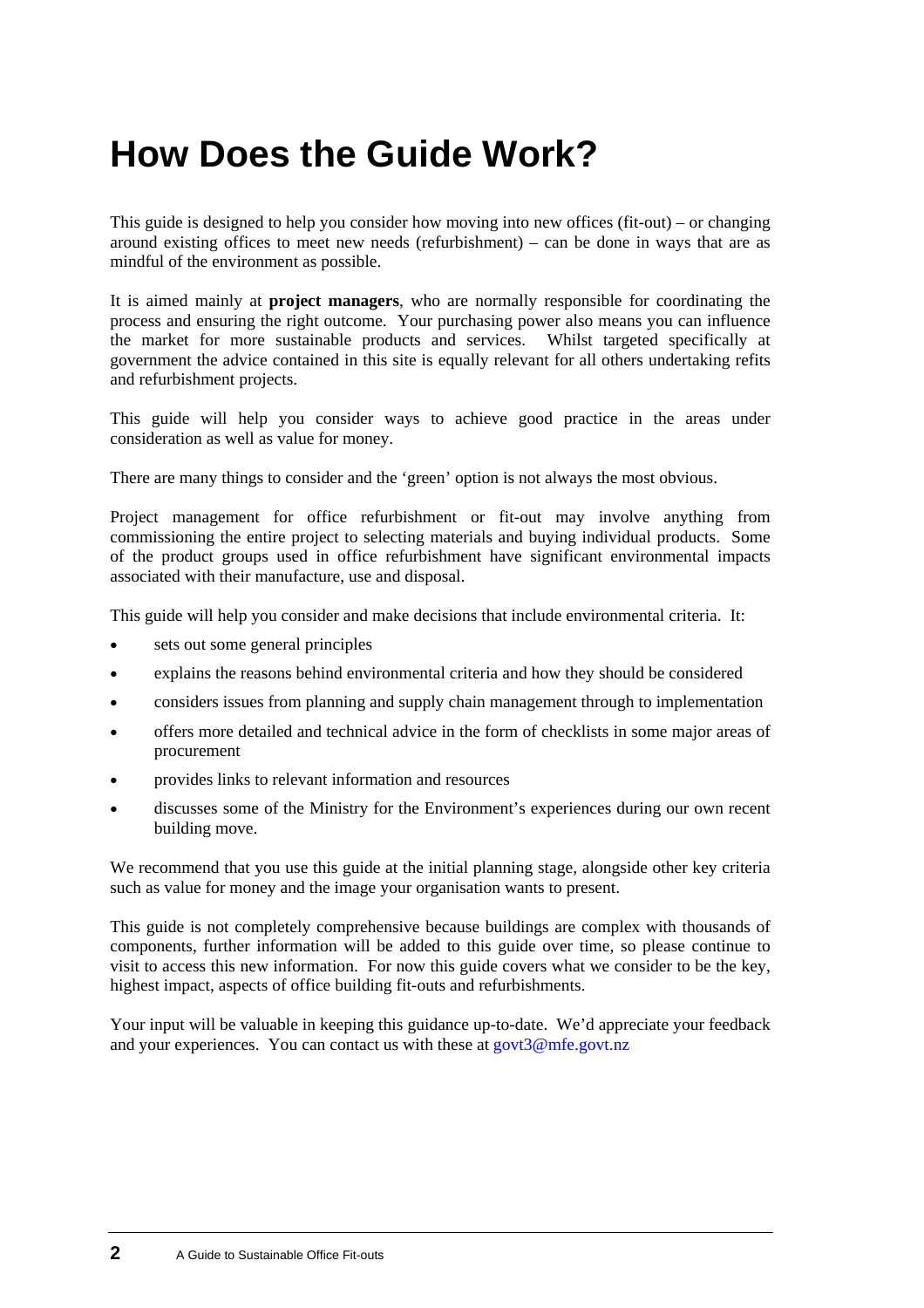# <span id="page-5-0"></span>**How Does the Guide Work?**

This guide is designed to help you consider how moving into new offices (fit-out) – or changing around existing offices to meet new needs (refurbishment) – can be done in ways that are as mindful of the environment as possible.

It is aimed mainly at **project managers**, who are normally responsible for coordinating the process and ensuring the right outcome. Your purchasing power also means you can influence the market for more sustainable products and services. Whilst targeted specifically at government the advice contained in this site is equally relevant for all others undertaking refits and refurbishment projects.

This guide will help you consider ways to achieve good practice in the areas under consideration as well as value for money.

There are many things to consider and the 'green' option is not always the most obvious.

Project management for office refurbishment or fit-out may involve anything from commissioning the entire project to selecting materials and buying individual products. Some of the product groups used in office refurbishment have significant environmental impacts associated with their manufacture, use and disposal.

This guide will help you consider and make decisions that include environmental criteria. It:

- sets out some general principles
- explains the reasons behind environmental criteria and how they should be considered
- considers issues from planning and supply chain management through to implementation
- offers more detailed and technical advice in the form of checklists in some major areas of procurement
- provides links to relevant information and resources
- discusses some of the Ministry for the Environment's experiences during our own recent building move.

We recommend that you use this guide at the initial planning stage, alongside other key criteria such as value for money and the image your organisation wants to present.

This guide is not completely comprehensive because buildings are complex with thousands of components, further information will be added to this guide over time, so please continue to visit to access this new information. For now this guide covers what we consider to be the key, highest impact, aspects of office building fit-outs and refurbishments.

Your input will be valuable in keeping this guidance up-to-date. We'd appreciate your feedback and your experiences. You can contact us with these at [govt3@mfe.govt.nz](mailto:govt3@mfe.govt.nz)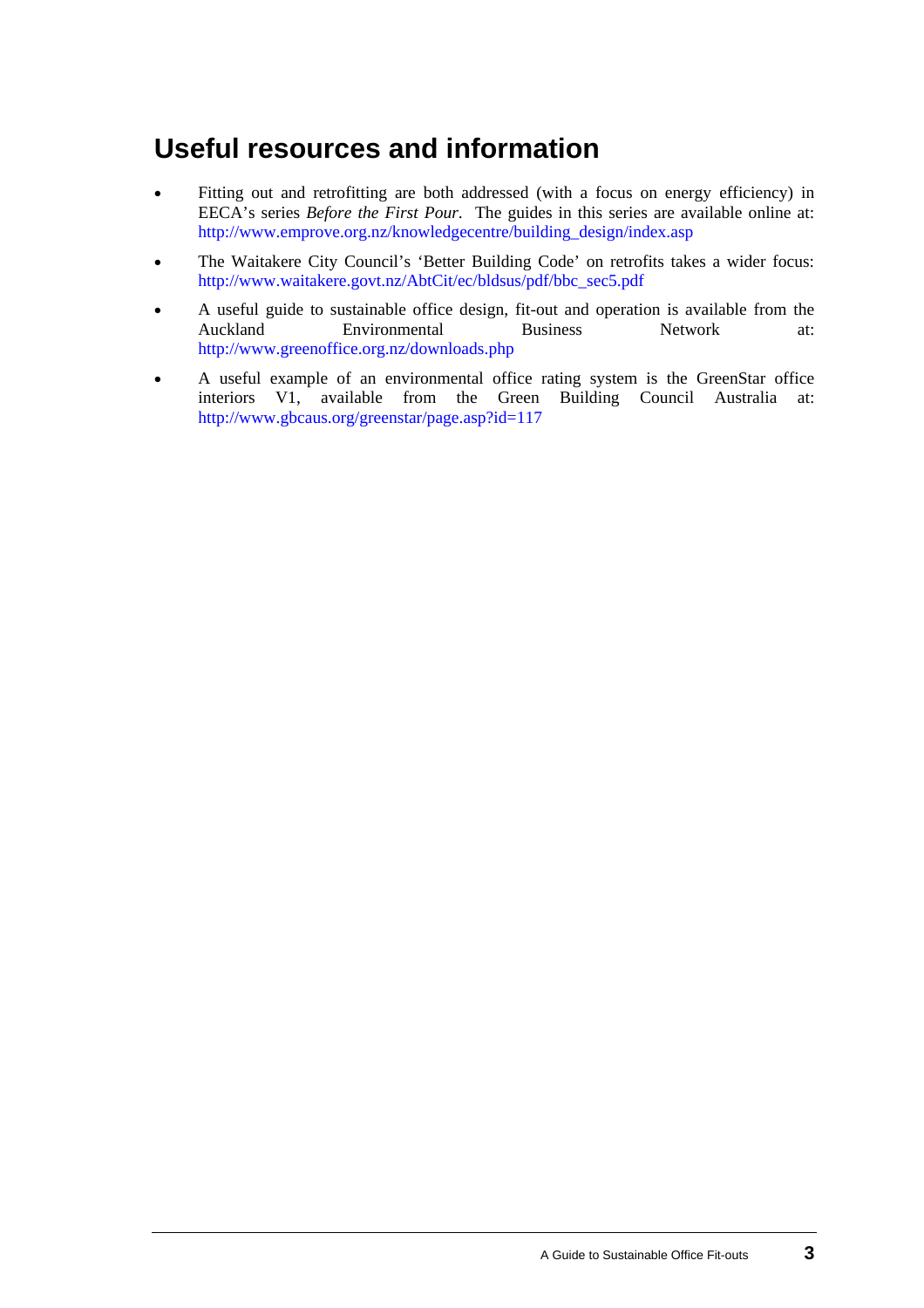## **Useful resources and information**

- Fitting out and retrofitting are both addressed (with a focus on energy efficiency) in EECA's series *Before the First Pour*. The guides in this series are available online at: [http://www.emprove.org.nz/knowledgecentre/building\\_design/index.asp](http://www.emprove.org.nz/knowledgecentre/building_design/index.asp) •
- The Waitakere City Council's 'Better Building Code' on retrofits takes a wider focus: [http://www.waitakere.govt.nz/AbtCit/ec/bldsus/pdf/bbc\\_sec5.pdf](http://www.waitakere.govt.nz/AbtCit/ec/bldsus/pdf/bbc_sec5.pdf)
- A useful guide to sustainable office design, fit-out and operation is available from the Auckland Environmental Business Network at: <http://www.greenoffice.org.nz/downloads.php>
- A useful example of an environmental office rating system is the GreenStar office interiors V1, available from the Green Building Council Australia at: <http://www.gbcaus.org/greenstar/page.asp?id=117>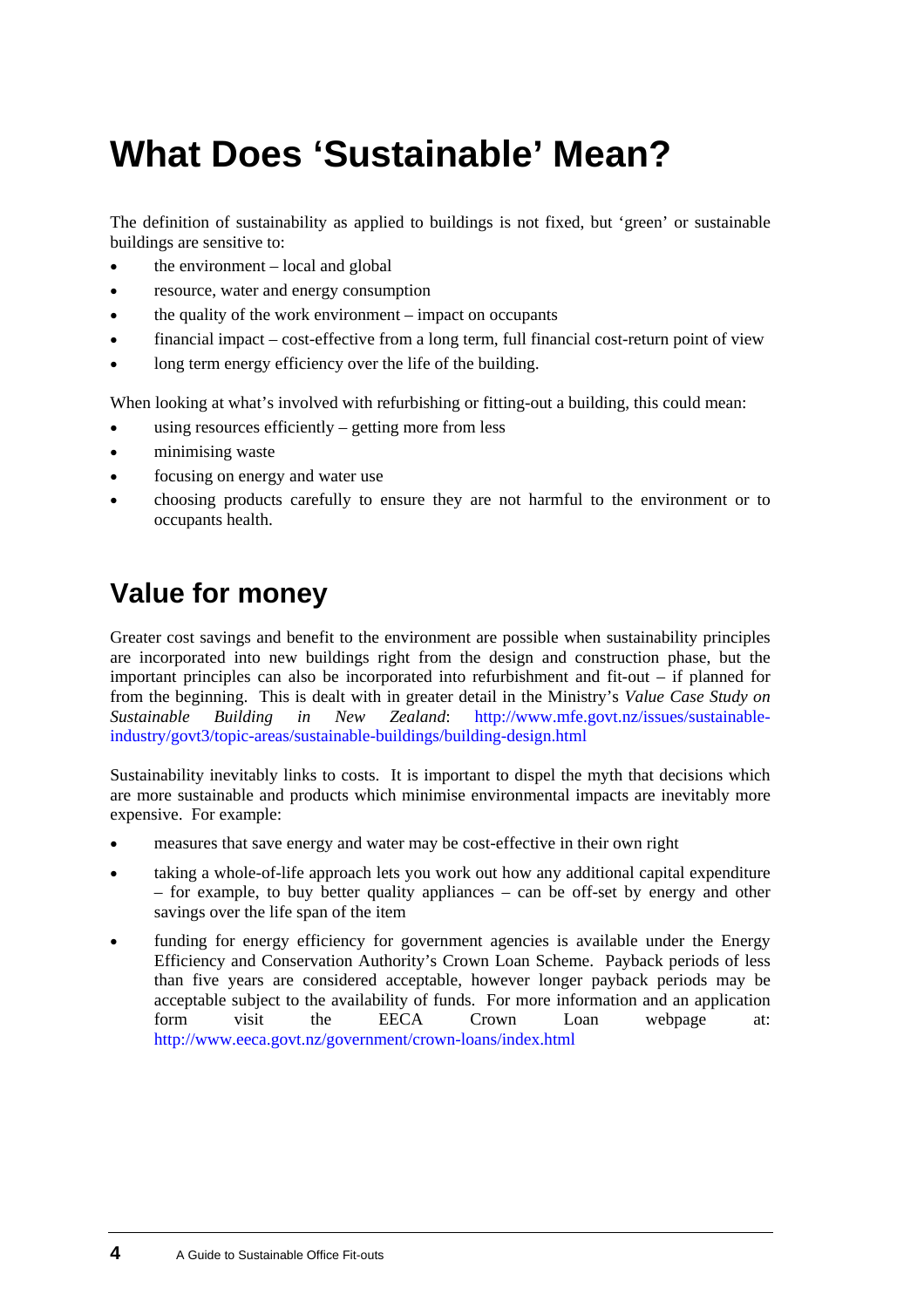# <span id="page-7-0"></span>**What Does 'Sustainable' Mean?**

The definition of sustainability as applied to buildings is not fixed, but 'green' or sustainable buildings are sensitive to:

- the environment local and global
- resource, water and energy consumption
- the quality of the work environment – impact on occupants
- financial impact – cost-effective from a long term, full financial cost-return point of view
- long term energy efficiency over the life of the building.

When looking at what's involved with refurbishing or fitting-out a building, this could mean:

- using resources efficiently – getting more from less
- minimising waste
- focusing on energy and water use
- choosing products carefully to ensure they are not harmful to the environment or to occupants health.

# **Value for money**

Greater cost savings and benefit to the environment are possible when sustainability principles are incorporated into new buildings right from the design and construction phase, but the important principles can also be incorporated into refurbishment and fit-out – if planned for from the beginning. This is dealt with in greater detail in the Ministry's *Value Case Study on Sustainable Building in New Zealand*: [http://www.mfe.govt.nz/issues/sustainable](http://www.mfe.govt.nz/issues/sustainable-industry/govt3/topic-areas/sustainable-buildings/building-design.html)[industry/govt3/topic-areas/sustainable-buildings/building-design.html](http://www.mfe.govt.nz/issues/sustainable-industry/govt3/topic-areas/sustainable-buildings/building-design.html)

Sustainability inevitably links to costs. It is important to dispel the myth that decisions which are more sustainable and products which minimise environmental impacts are inevitably more expensive. For example:

- measures that save energy and water may be cost-effective in their own right
- taking a whole-of-life approach lets you work out how any additional capital expenditure – for example, to buy better quality appliances – can be off-set by energy and other savings over the life span of the item
- funding for energy efficiency for government agencies is available under the Energy Efficiency and Conservation Authority's Crown Loan Scheme. Payback periods of less than five years are considered acceptable, however longer payback periods may be acceptable subject to the availability of funds. For more information and an application form visit the EECA Crown Loan webpage at: <http://www.eeca.govt.nz/government/crown-loans/index.html>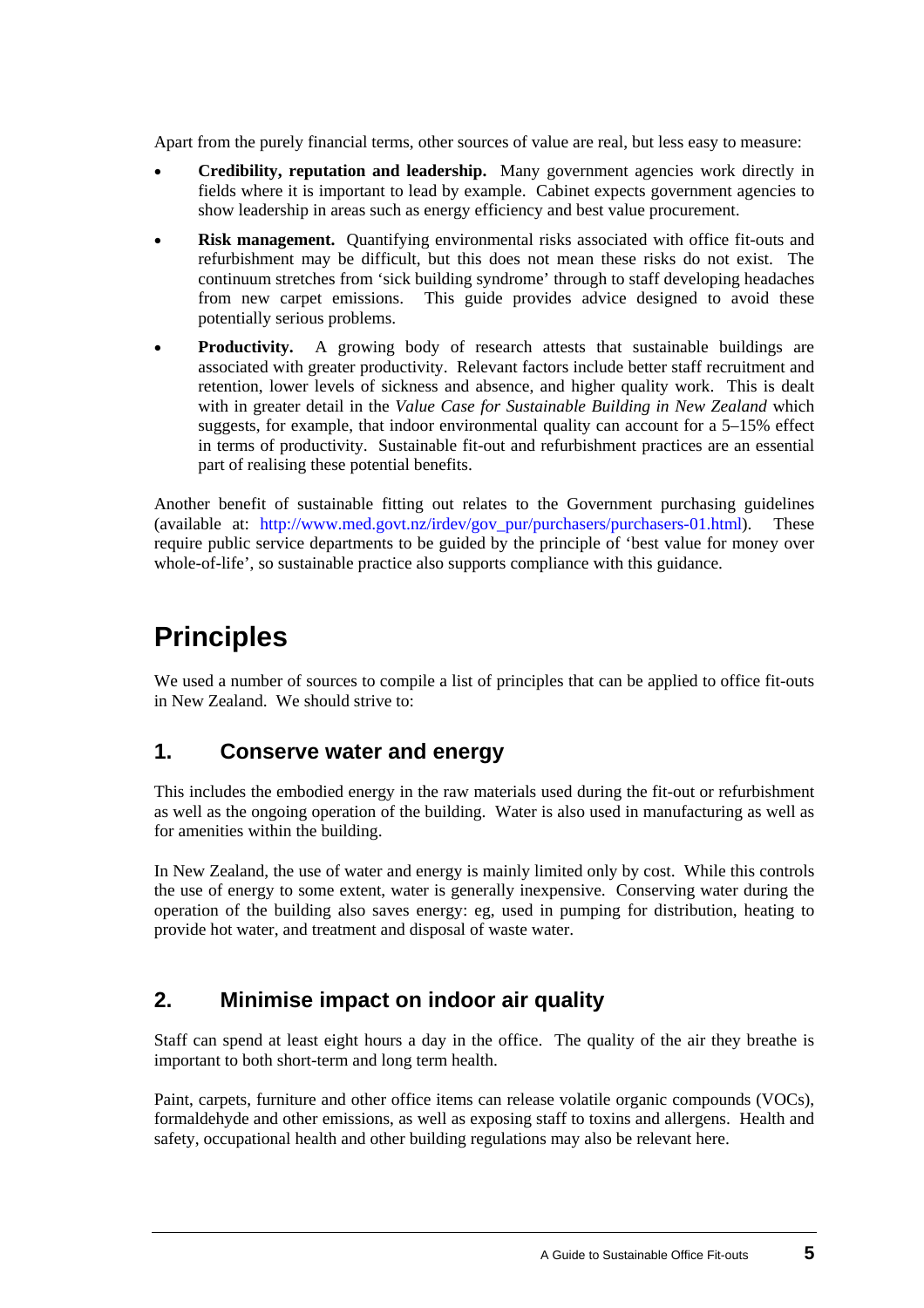<span id="page-8-0"></span>Apart from the purely financial terms, other sources of value are real, but less easy to measure:

- **Credibility, reputation and leadership.** Many government agencies work directly in fields where it is important to lead by example. Cabinet expects government agencies to show leadership in areas such as energy efficiency and best value procurement. •
- **Risk management.** Quantifying environmental risks associated with office fit-outs and refurbishment may be difficult, but this does not mean these risks do not exist. The continuum stretches from 'sick building syndrome' through to staff developing headaches from new carpet emissions. This guide provides advice designed to avoid these potentially serious problems.
- **Productivity.** A growing body of research attests that sustainable buildings are associated with greater productivity. Relevant factors include better staff recruitment and retention, lower levels of sickness and absence, and higher quality work. This is dealt with in greater detail in the *Value Case for Sustainable Building in New Zealand* which suggests, for example, that indoor environmental quality can account for a 5–15% effect in terms of productivity. Sustainable fit-out and refurbishment practices are an essential part of realising these potential benefits.

Another benefit of sustainable fitting out relates to the Government purchasing guidelines (available at: [http://www.med.govt.nz/irdev/gov\\_pur/purchasers/purchasers-01.html\)](http://www.med.govt.nz/irdev/gov_pur/purchasers/purchasers-01.html). These require public service departments to be guided by the principle of 'best value for money over whole-of-life', so sustainable practice also supports compliance with this guidance.

# **Principles**

We used a number of sources to compile a list of principles that can be applied to office fit-outs in New Zealand. We should strive to:

### **1. Conserve water and energy**

This includes the embodied energy in the raw materials used during the fit-out or refurbishment as well as the ongoing operation of the building. Water is also used in manufacturing as well as for amenities within the building.

In New Zealand, the use of water and energy is mainly limited only by cost. While this controls the use of energy to some extent, water is generally inexpensive. Conserving water during the operation of the building also saves energy: eg, used in pumping for distribution, heating to provide hot water, and treatment and disposal of waste water.

### **2. Minimise impact on indoor air quality**

Staff can spend at least eight hours a day in the office. The quality of the air they breathe is important to both short-term and long term health.

Paint, carpets, furniture and other office items can release volatile organic compounds (VOCs), formaldehyde and other emissions, as well as exposing staff to toxins and allergens. Health and safety, occupational health and other building regulations may also be relevant here.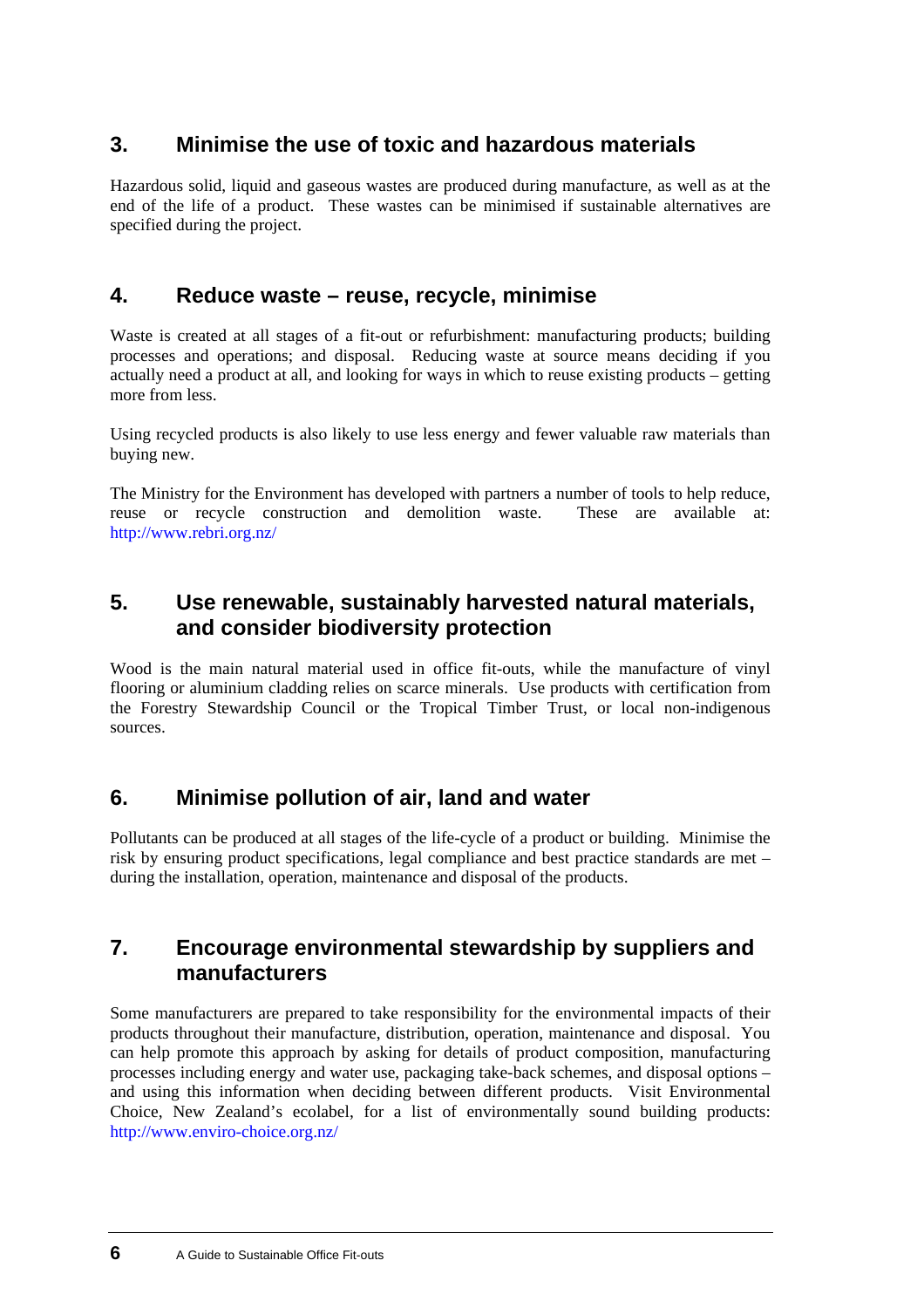### **3. Minimise the use of toxic and hazardous materials**

Hazardous solid, liquid and gaseous wastes are produced during manufacture, as well as at the end of the life of a product. These wastes can be minimised if sustainable alternatives are specified during the project.

### **4. Reduce waste – reuse, recycle, minimise**

Waste is created at all stages of a fit-out or refurbishment: manufacturing products; building processes and operations; and disposal. Reducing waste at source means deciding if you actually need a product at all, and looking for ways in which to reuse existing products – getting more from less.

Using recycled products is also likely to use less energy and fewer valuable raw materials than buying new.

The Ministry for the Environment has developed with partners a number of tools to help reduce, reuse or recycle construction and demolition waste. These are available at: <http://www.rebri.org.nz/>

### **5. Use renewable, sustainably harvested natural materials, and consider biodiversity protection**

Wood is the main natural material used in office fit-outs, while the manufacture of vinyl flooring or aluminium cladding relies on scarce minerals. Use products with certification from the Forestry Stewardship Council or the Tropical Timber Trust, or local non-indigenous sources.

### **6. Minimise pollution of air, land and water**

Pollutants can be produced at all stages of the life-cycle of a product or building. Minimise the risk by ensuring product specifications, legal compliance and best practice standards are met – during the installation, operation, maintenance and disposal of the products.

### **7. Encourage environmental stewardship by suppliers and manufacturers**

Some manufacturers are prepared to take responsibility for the environmental impacts of their products throughout their manufacture, distribution, operation, maintenance and disposal. You can help promote this approach by asking for details of product composition, manufacturing processes including energy and water use, packaging take-back schemes, and disposal options – and using this information when deciding between different products. Visit Environmental Choice, New Zealand's ecolabel, for a list of environmentally sound building products: <http://www.enviro-choice.org.nz/>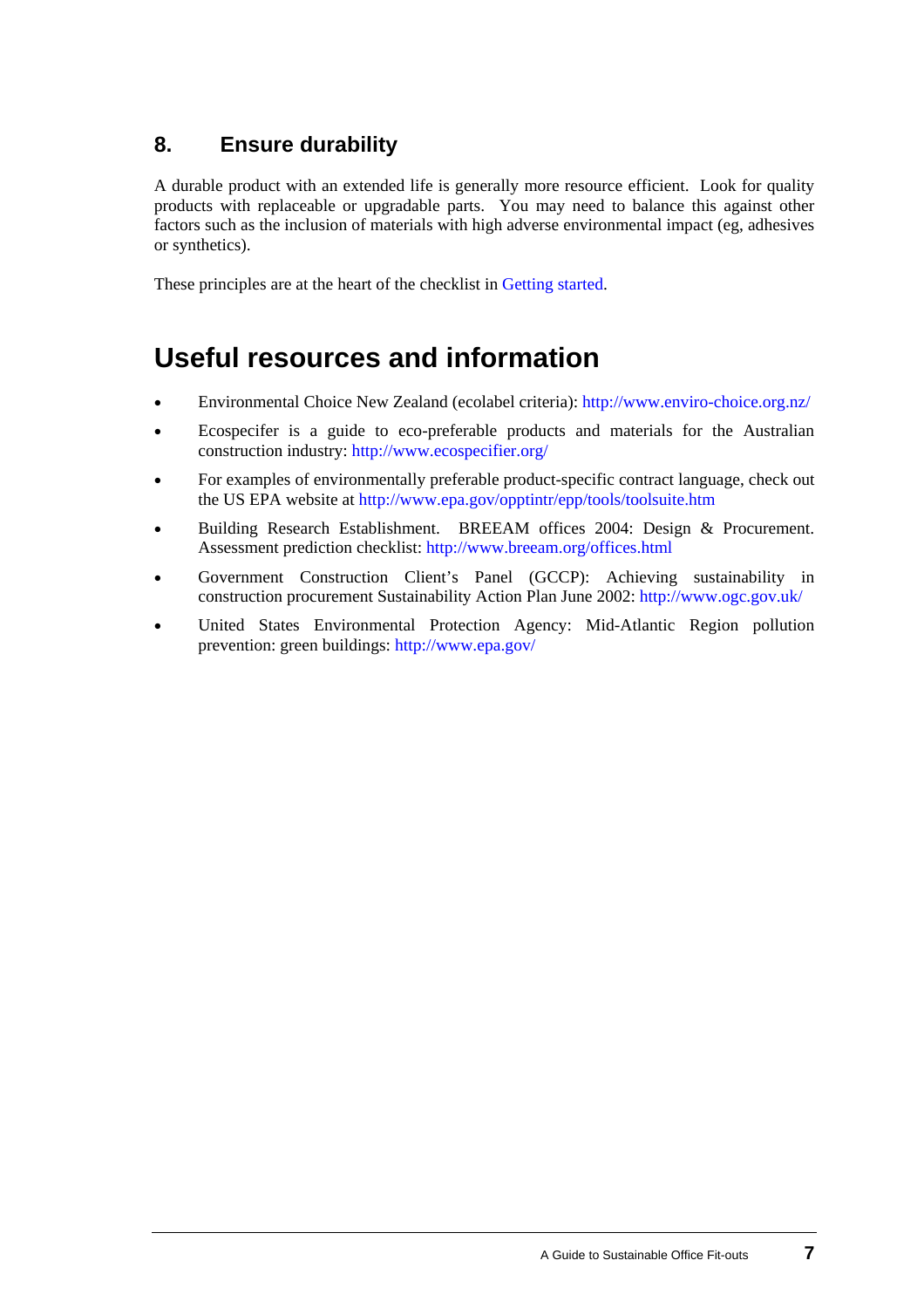### **8. Ensure durability**

A durable product with an extended life is generally more resource efficient. Look for quality products with replaceable or upgradable parts. You may need to balance this against other factors such as the inclusion of materials with high adverse environmental impact (eg, adhesives or synthetics).

These principles are at the heart of the checklist in [Getting started.](#page-12-0)

## **Useful resources and information**

- Environmental Choice New Zealand (ecolabel criteria):<http://www.enviro-choice.org.nz/>
- Ecospecifer is a guide to eco-preferable products and materials for the Australian construction industry: <http://www.ecospecifier.org/>
- For examples of environmentally preferable product-specific contract language, check out the US EPA website at<http://www.epa.gov/opptintr/epp/tools/toolsuite.htm>
- Building Research Establishment. BREEAM offices 2004: Design & Procurement. Assessment prediction checklist: [http://www.breeam.org/offices.html](mailto:http://www.breeam.org/offices.html)
- Government Construction Client's Panel (GCCP): Achieving sustainability in construction procurement Sustainability Action Plan June 2002:<http://www.ogc.gov.uk/>
- United States Environmental Protection Agency: Mid-Atlantic Region pollution prevention: green buildings:<http://www.epa.gov/>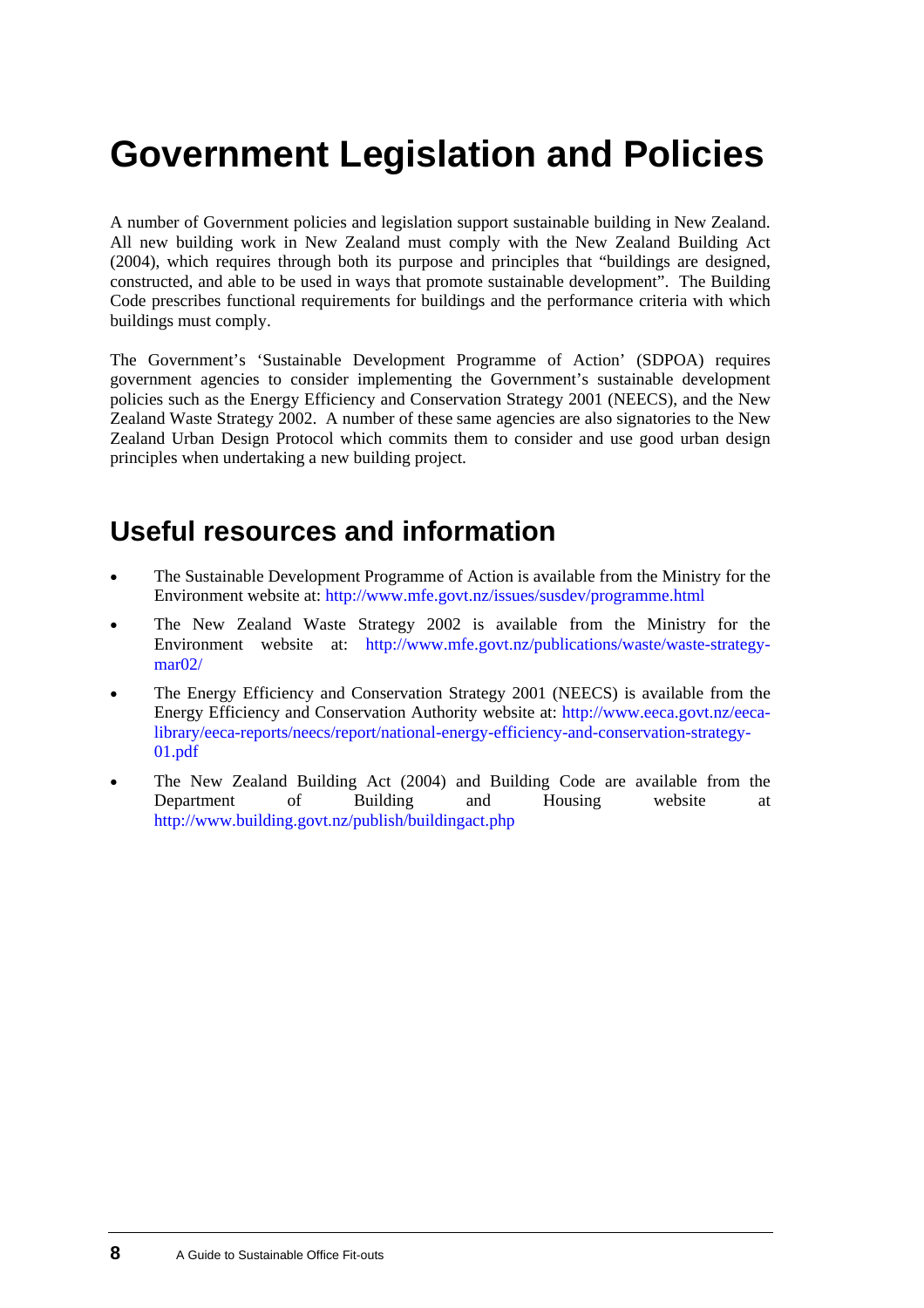# <span id="page-11-0"></span>**Government Legislation and Policies**

A number of Government policies and legislation support sustainable building in New Zealand. All new building work in New Zealand must comply with the New Zealand Building Act (2004), which requires through both its purpose and principles that "buildings are designed, constructed, and able to be used in ways that promote sustainable development". The Building Code prescribes functional requirements for buildings and the performance criteria with which buildings must comply.

The Government's 'Sustainable Development Programme of Action' (SDPOA) requires government agencies to consider implementing the Government's sustainable development policies such as the Energy Efficiency and Conservation Strategy 2001 (NEECS), and the New Zealand Waste Strategy 2002. A number of these same agencies are also signatories to the New Zealand Urban Design Protocol which commits them to consider and use good urban design principles when undertaking a new building project.

## **Useful resources and information**

- The Sustainable Development Programme of Action is available from the Ministry for the Environment website at: <http://www.mfe.govt.nz/issues/susdev/programme.html> •
- The New Zealand Waste Strategy 2002 is available from the Ministry for the Environment website at: [http://www.mfe.govt.nz/publications/waste/waste-strategy](http://www.mfe.govt.nz/publications/waste/waste-strategy-mar02/)mar<sub>02</sub>/
- The Energy Efficiency and Conservation Strategy 2001 (NEECS) is available from the Energy Efficiency and Conservation Authority website at: [http://www.eeca.govt.nz/eeca](mailto:http://www.eeca.govt.nz/eeca-library/eeca-reports/neecs/report/national-energy-efficiency-and-conservation-strategy-01.pdf)[library/eeca-reports/neecs/report/national-energy-efficiency-and-conservation-strategy-](mailto:http://www.eeca.govt.nz/eeca-library/eeca-reports/neecs/report/national-energy-efficiency-and-conservation-strategy-01.pdf)[01.pdf](mailto:http://www.eeca.govt.nz/eeca-library/eeca-reports/neecs/report/national-energy-efficiency-and-conservation-strategy-01.pdf)
- The New Zealand Building Act (2004) and Building Code are available from the Department of Building and Housing website at <http://www.building.govt.nz/publish/buildingact.php>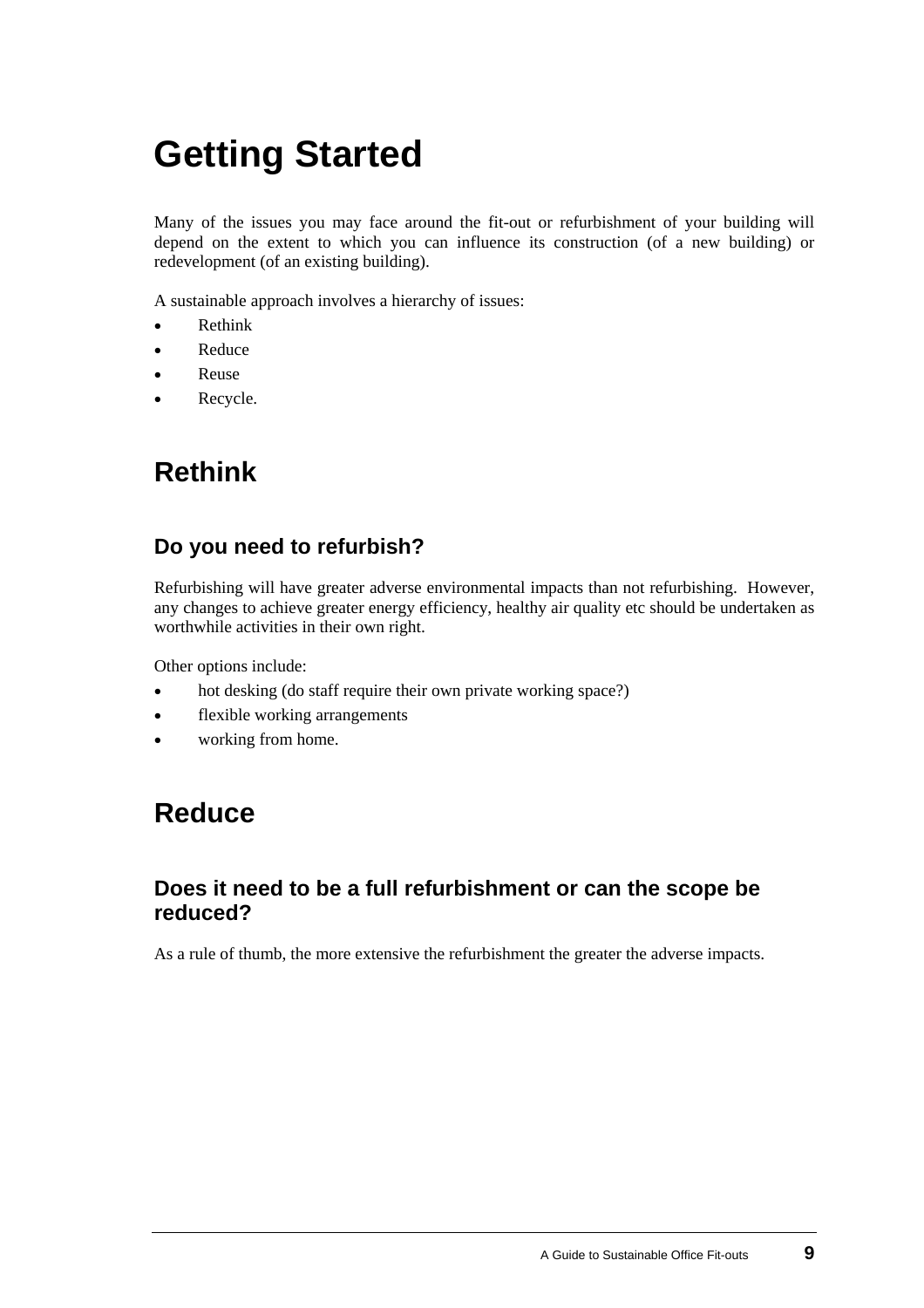# <span id="page-12-0"></span>**Getting Started**

Many of the issues you may face around the fit-out or refurbishment of your building will depend on the extent to which you can influence its construction (of a new building) or redevelopment (of an existing building).

A sustainable approach involves a hierarchy of issues:

- Rethink
- Reduce
- Reuse
- Recycle.

## **Rethink**

### **Do you need to refurbish?**

Refurbishing will have greater adverse environmental impacts than not refurbishing. However, any changes to achieve greater energy efficiency, healthy air quality etc should be undertaken as worthwhile activities in their own right.

Other options include:

- hot desking (do staff require their own private working space?)
- flexible working arrangements
- working from home.

### **Reduce**

### **Does it need to be a full refurbishment or can the scope be reduced?**

As a rule of thumb, the more extensive the refurbishment the greater the adverse impacts.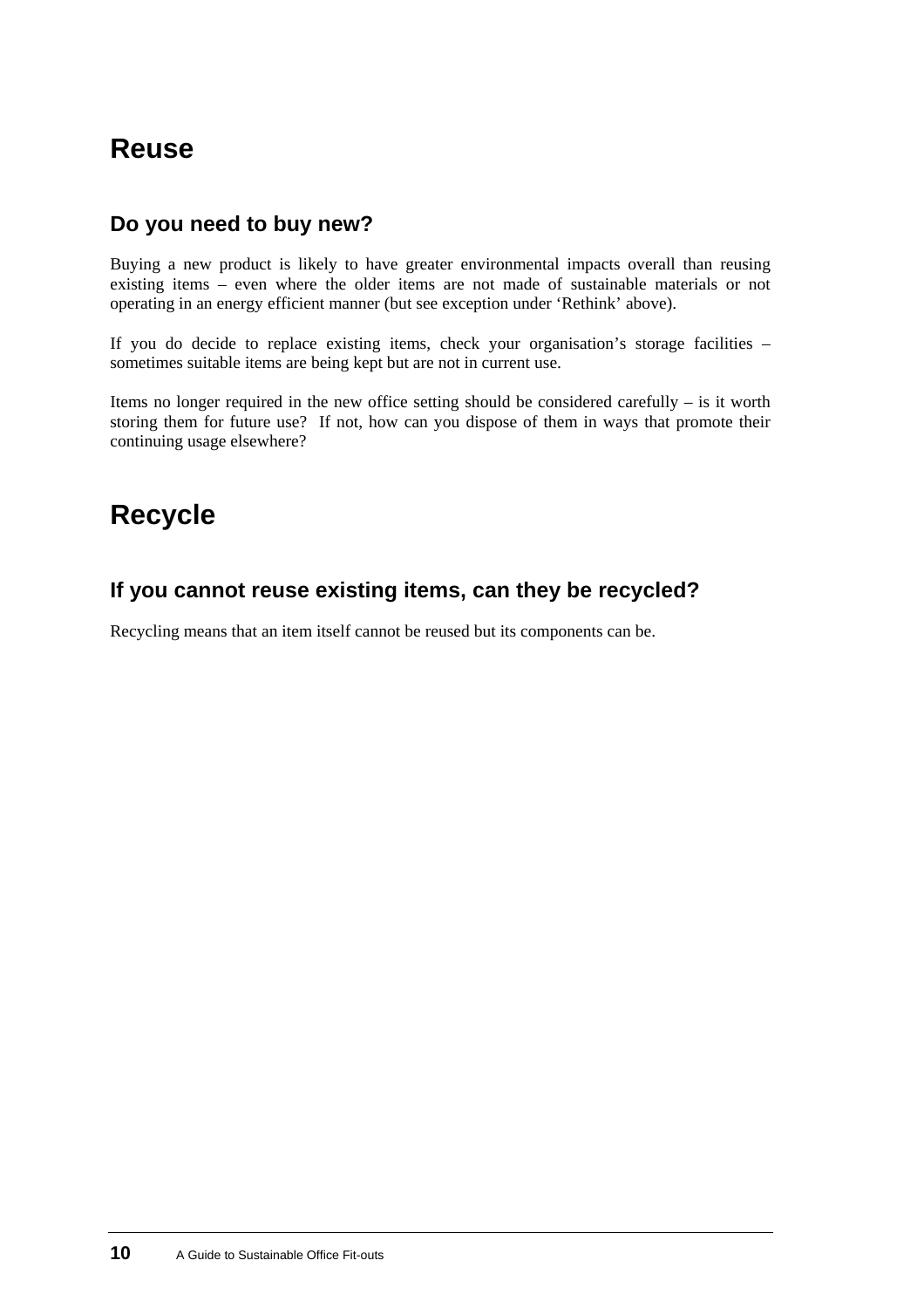## **Reuse**

### **Do you need to buy new?**

Buying a new product is likely to have greater environmental impacts overall than reusing existing items – even where the older items are not made of sustainable materials or not operating in an energy efficient manner (but see exception under 'Rethink' above).

If you do decide to replace existing items, check your organisation's storage facilities – sometimes suitable items are being kept but are not in current use.

Items no longer required in the new office setting should be considered carefully – is it worth storing them for future use? If not, how can you dispose of them in ways that promote their continuing usage elsewhere?

## **Recycle**

### **If you cannot reuse existing items, can they be recycled?**

Recycling means that an item itself cannot be reused but its components can be.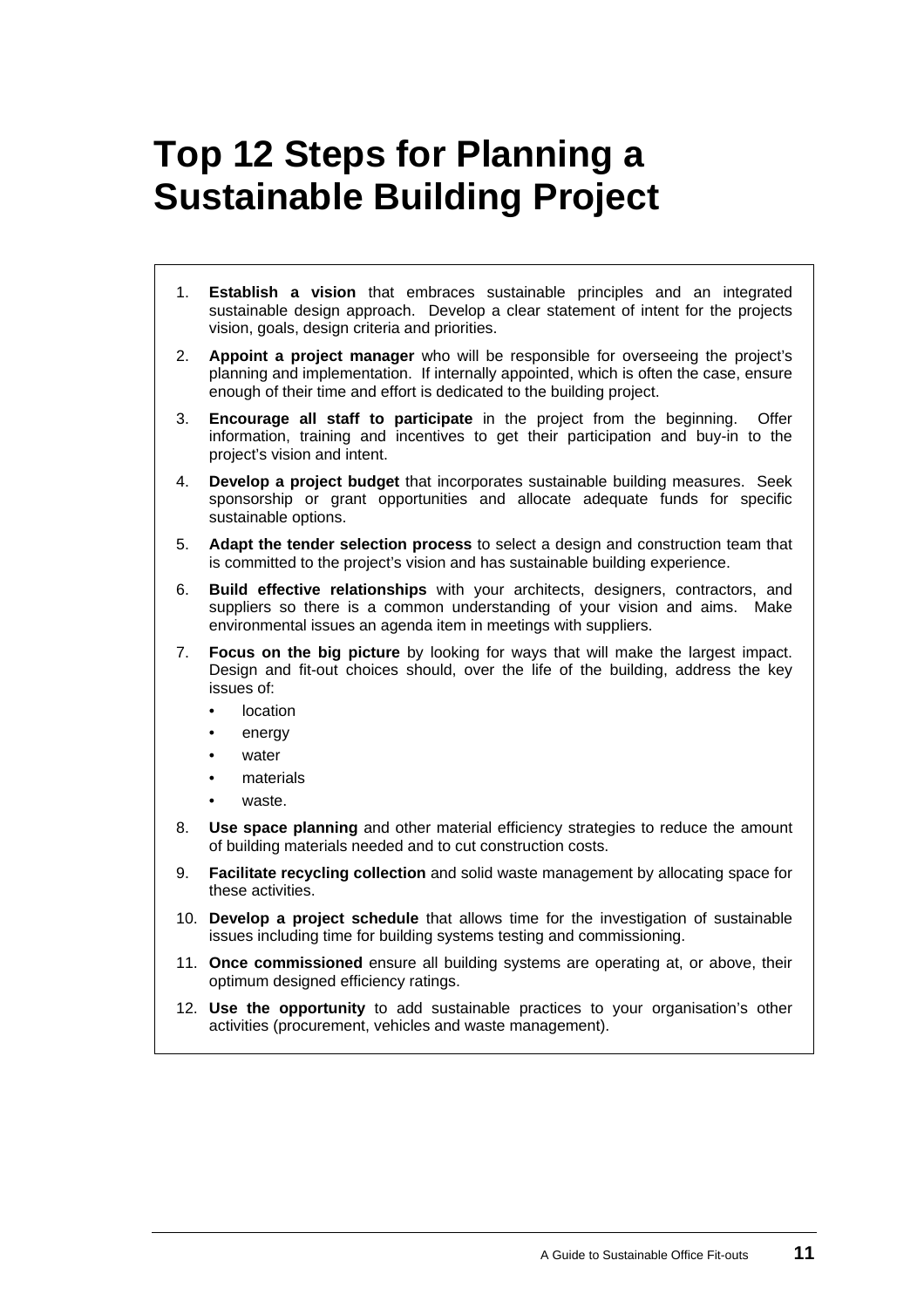# <span id="page-14-0"></span>**Top 12 Steps for Planning a Sustainable Building Project**

- 1. **Establish a vision** that embraces sustainable principles and an integrated sustainable design approach. Develop a clear statement of intent for the projects vision, goals, design criteria and priorities.
- 2. **Appoint a project manager** who will be responsible for overseeing the project's planning and implementation. If internally appointed, which is often the case, ensure enough of their time and effort is dedicated to the building project.
- 3. **Encourage all staff to participate** in the project from the beginning. Offer information, training and incentives to get their participation and buy-in to the project's vision and intent.
- 4. **Develop a project budget** that incorporates sustainable building measures. Seek sponsorship or grant opportunities and allocate adequate funds for specific sustainable options.
- 5. **Adapt the tender selection process** to select a design and construction team that is committed to the project's vision and has sustainable building experience.
- 6. **Build effective relationships** with your architects, designers, contractors, and suppliers so there is a common understanding of your vision and aims. Make environmental issues an agenda item in meetings with suppliers.
- 7. **Focus on the big picture** by looking for ways that will make the largest impact. Design and fit-out choices should, over the life of the building, address the key issues of:
	- location
	- energy
	- water
	- materials
	- waste.
- 8. **Use space planning** and other material efficiency strategies to reduce the amount of building materials needed and to cut construction costs.
- 9. **Facilitate recycling collection** and solid waste management by allocating space for these activities.
- 10. **Develop a project schedule** that allows time for the investigation of sustainable issues including time for building systems testing and commissioning.
- 11. **Once commissioned** ensure all building systems are operating at, or above, their optimum designed efficiency ratings.
- 12. **Use the opportunity** to add sustainable practices to your organisation's other activities (procurement, vehicles and waste management).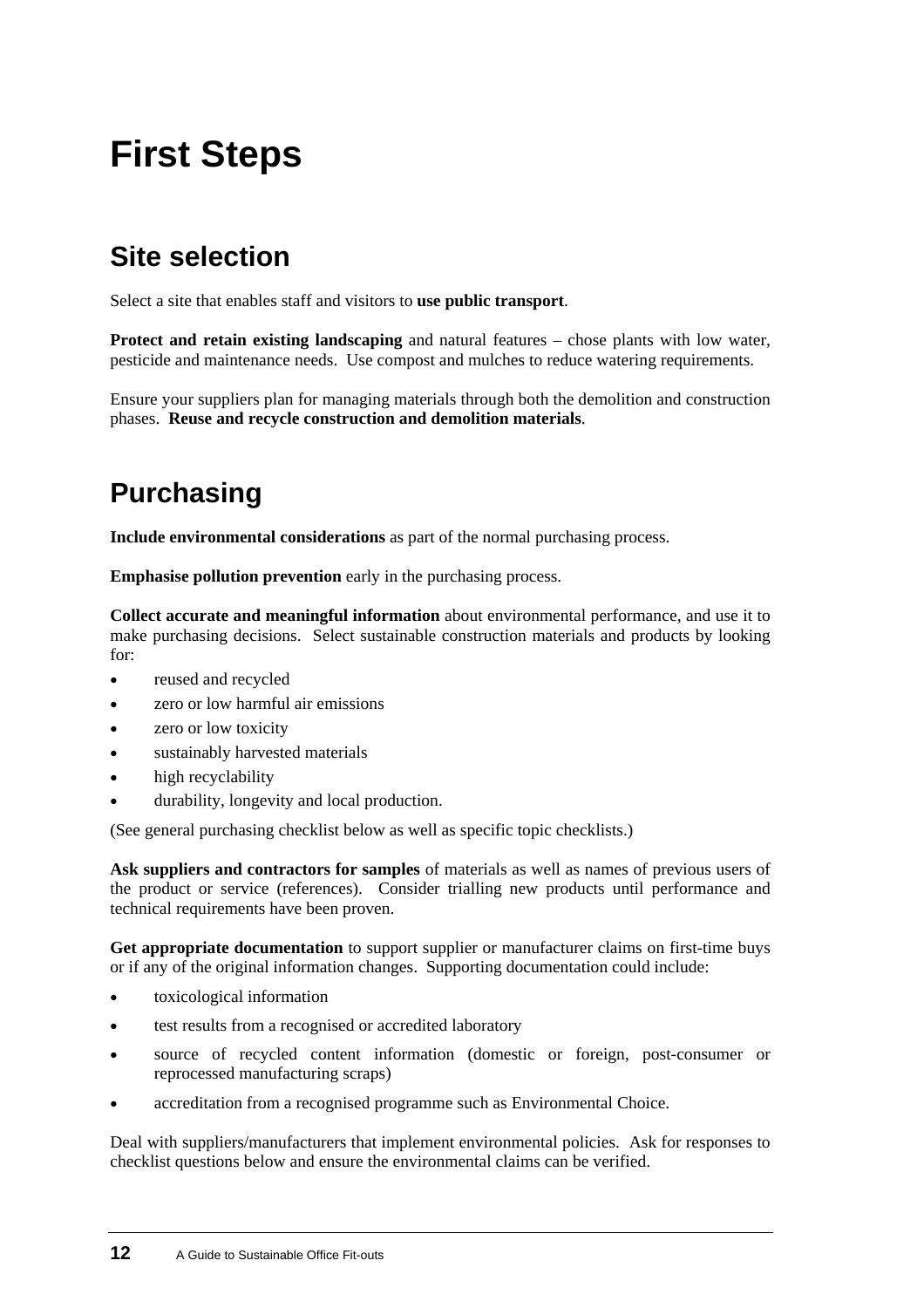# <span id="page-15-0"></span>**First Steps**

## **Site selection**

Select a site that enables staff and visitors to **use public transport**.

**Protect and retain existing landscaping** and natural features – chose plants with low water, pesticide and maintenance needs. Use compost and mulches to reduce watering requirements.

Ensure your suppliers plan for managing materials through both the demolition and construction phases. **Reuse and recycle construction and demolition materials**.

# **Purchasing**

**Include environmental considerations** as part of the normal purchasing process.

**Emphasise pollution prevention** early in the purchasing process.

**Collect accurate and meaningful information** about environmental performance, and use it to make purchasing decisions. Select sustainable construction materials and products by looking for:

- reused and recycled
- zero or low harmful air emissions
- zero or low toxicity
- sustainably harvested materials
- high recyclability
- durability, longevity and local production.

(See general purchasing checklist below as well as specific topic checklists.)

**Ask suppliers and contractors for samples** of materials as well as names of previous users of the product or service (references). Consider trialling new products until performance and technical requirements have been proven.

Get appropriate documentation to support supplier or manufacturer claims on first-time buys or if any of the original information changes. Supporting documentation could include:

- toxicological information
- test results from a recognised or accredited laboratory
- source of recycled content information (domestic or foreign, post-consumer or reprocessed manufacturing scraps)
- accreditation from a recognised programme such as Environmental Choice.

Deal with suppliers/manufacturers that implement environmental policies. Ask for responses to checklist questions below and ensure the environmental claims can be verified.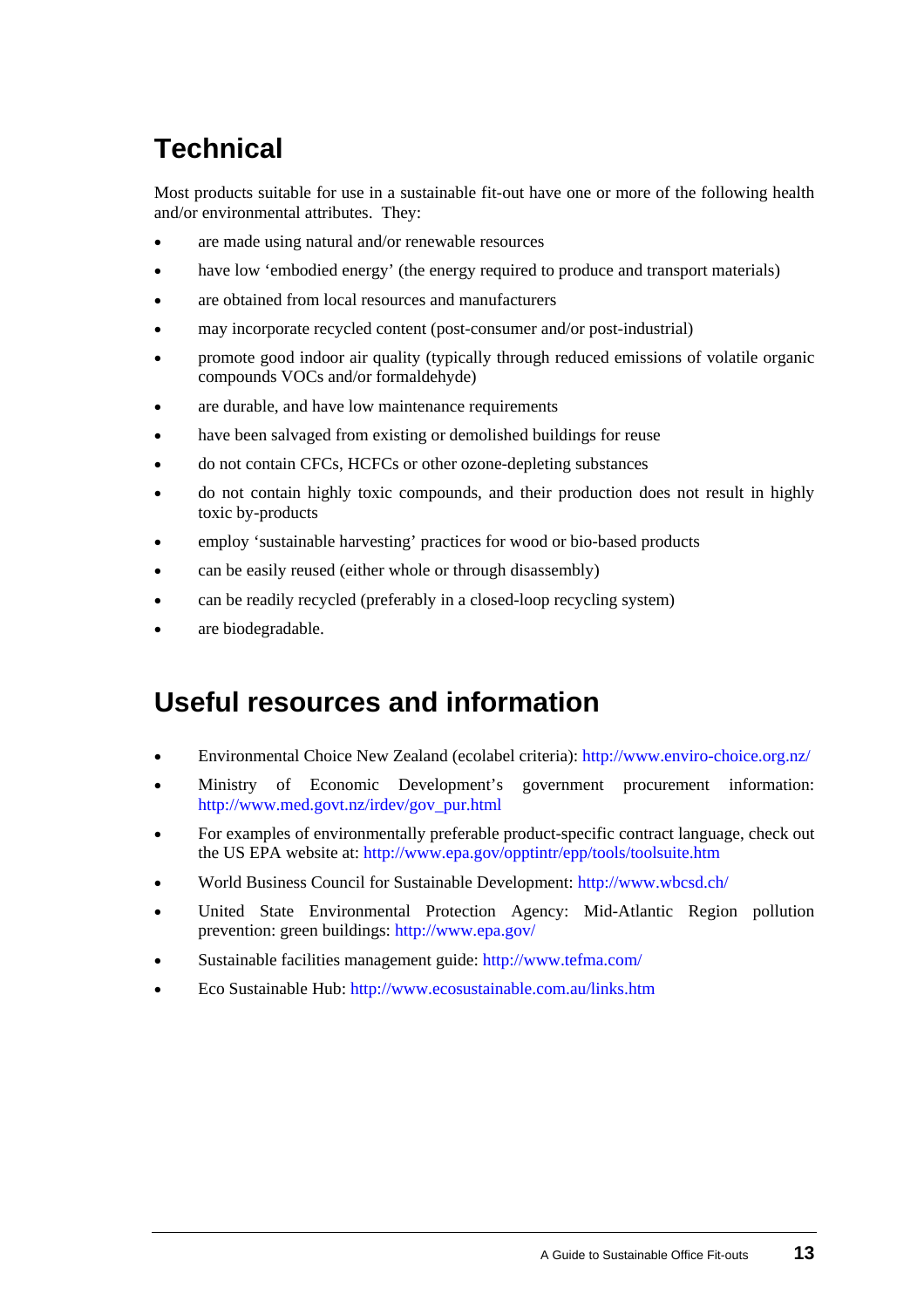# **Technical**

Most products suitable for use in a sustainable fit-out have one or more of the following health and/or environmental attributes. They:

- are made using natural and/or renewable resources
- have low 'embodied energy' (the energy required to produce and transport materials)
- are obtained from local resources and manufacturers
- may incorporate recycled content (post-consumer and/or post-industrial)
- promote good indoor air quality (typically through reduced emissions of volatile organic compounds VOCs and/or formaldehyde)
- are durable, and have low maintenance requirements
- have been salvaged from existing or demolished buildings for reuse
- do not contain CFCs, HCFCs or other ozone-depleting substances
- do not contain highly toxic compounds, and their production does not result in highly toxic by-products
- employ 'sustainable harvesting' practices for wood or bio-based products
- can be easily reused (either whole or through disassembly)
- can be readily recycled (preferably in a closed-loop recycling system)
- are biodegradable.

## **Useful resources and information**

- Environmental Choice New Zealand (ecolabel criteria):<http://www.enviro-choice.org.nz/>
- Ministry of Economic Development's government procurement information: [http://www.med.govt.nz/irdev/gov\\_pur.html](http://www.med.govt.nz/irdev/gov_pur.html)
- For examples of environmentally preferable product-specific contract language, check out the US EPA website at:<http://www.epa.gov/opptintr/epp/tools/toolsuite.htm>
- World Business Council for Sustainable Development:<http://www.wbcsd.ch/>
- United State Environmental Protection Agency: Mid-Atlantic Region pollution prevention: green buildings:<http://www.epa.gov/>
- Sustainable facilities management guide: <http://www.tefma.com/>
- Eco Sustainable Hub:<http://www.ecosustainable.com.au/links.htm>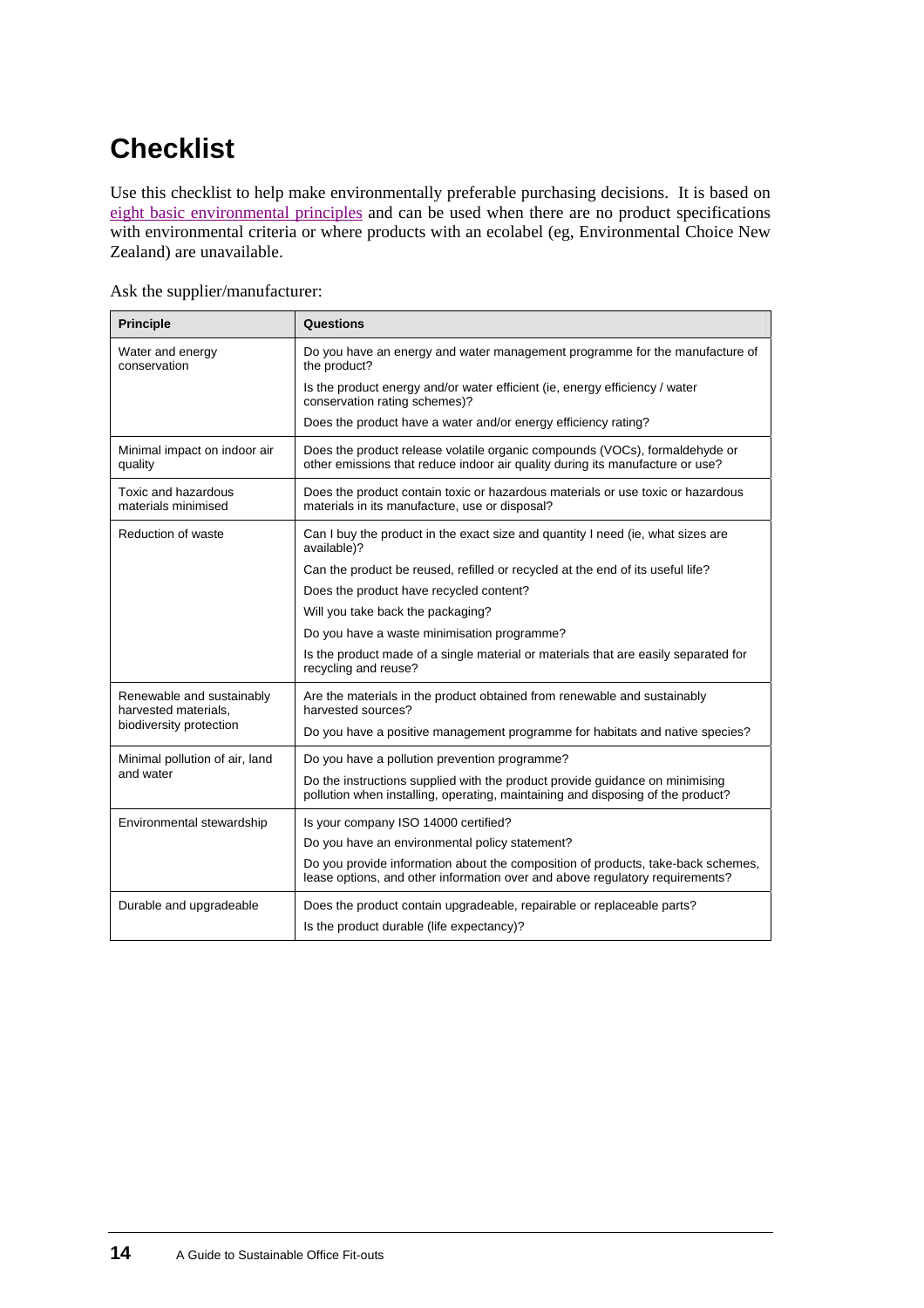# **Checklist**

Use this checklist to help make environmentally preferable purchasing decisions. It is based on eight basic environmental principles and can be used when there are no product specifications [with environmental criteria or where products with an ecolabel \(eg, Environmental Choice New](#page-8-0)  [Zealand\) are unavailable.](#page-8-0) 

| Ask the supplier/manufacturer: |
|--------------------------------|
|--------------------------------|

| <b>Principle</b>                                                             | Questions                                                                                                                                                        |
|------------------------------------------------------------------------------|------------------------------------------------------------------------------------------------------------------------------------------------------------------|
| Water and energy<br>conservation                                             | Do you have an energy and water management programme for the manufacture of<br>the product?                                                                      |
|                                                                              | Is the product energy and/or water efficient (ie, energy efficiency / water<br>conservation rating schemes)?                                                     |
|                                                                              | Does the product have a water and/or energy efficiency rating?                                                                                                   |
| Minimal impact on indoor air<br>quality                                      | Does the product release volatile organic compounds (VOCs), formaldehyde or<br>other emissions that reduce indoor air quality during its manufacture or use?     |
| Toxic and hazardous<br>materials minimised                                   | Does the product contain toxic or hazardous materials or use toxic or hazardous<br>materials in its manufacture, use or disposal?                                |
| Reduction of waste                                                           | Can I buy the product in the exact size and quantity I need (ie, what sizes are<br>available)?                                                                   |
|                                                                              | Can the product be reused, refilled or recycled at the end of its useful life?                                                                                   |
|                                                                              | Does the product have recycled content?                                                                                                                          |
|                                                                              | Will you take back the packaging?                                                                                                                                |
|                                                                              | Do you have a waste minimisation programme?                                                                                                                      |
|                                                                              | Is the product made of a single material or materials that are easily separated for<br>recycling and reuse?                                                      |
| Renewable and sustainably<br>harvested materials,<br>biodiversity protection | Are the materials in the product obtained from renewable and sustainably<br>harvested sources?                                                                   |
|                                                                              | Do you have a positive management programme for habitats and native species?                                                                                     |
| Minimal pollution of air, land<br>and water                                  | Do you have a pollution prevention programme?                                                                                                                    |
|                                                                              | Do the instructions supplied with the product provide guidance on minimising<br>pollution when installing, operating, maintaining and disposing of the product?  |
| Environmental stewardship                                                    | Is your company ISO 14000 certified?                                                                                                                             |
|                                                                              | Do you have an environmental policy statement?                                                                                                                   |
|                                                                              | Do you provide information about the composition of products, take-back schemes,<br>lease options, and other information over and above regulatory requirements? |
| Durable and upgradeable                                                      | Does the product contain upgradeable, repairable or replaceable parts?                                                                                           |
|                                                                              | Is the product durable (life expectancy)?                                                                                                                        |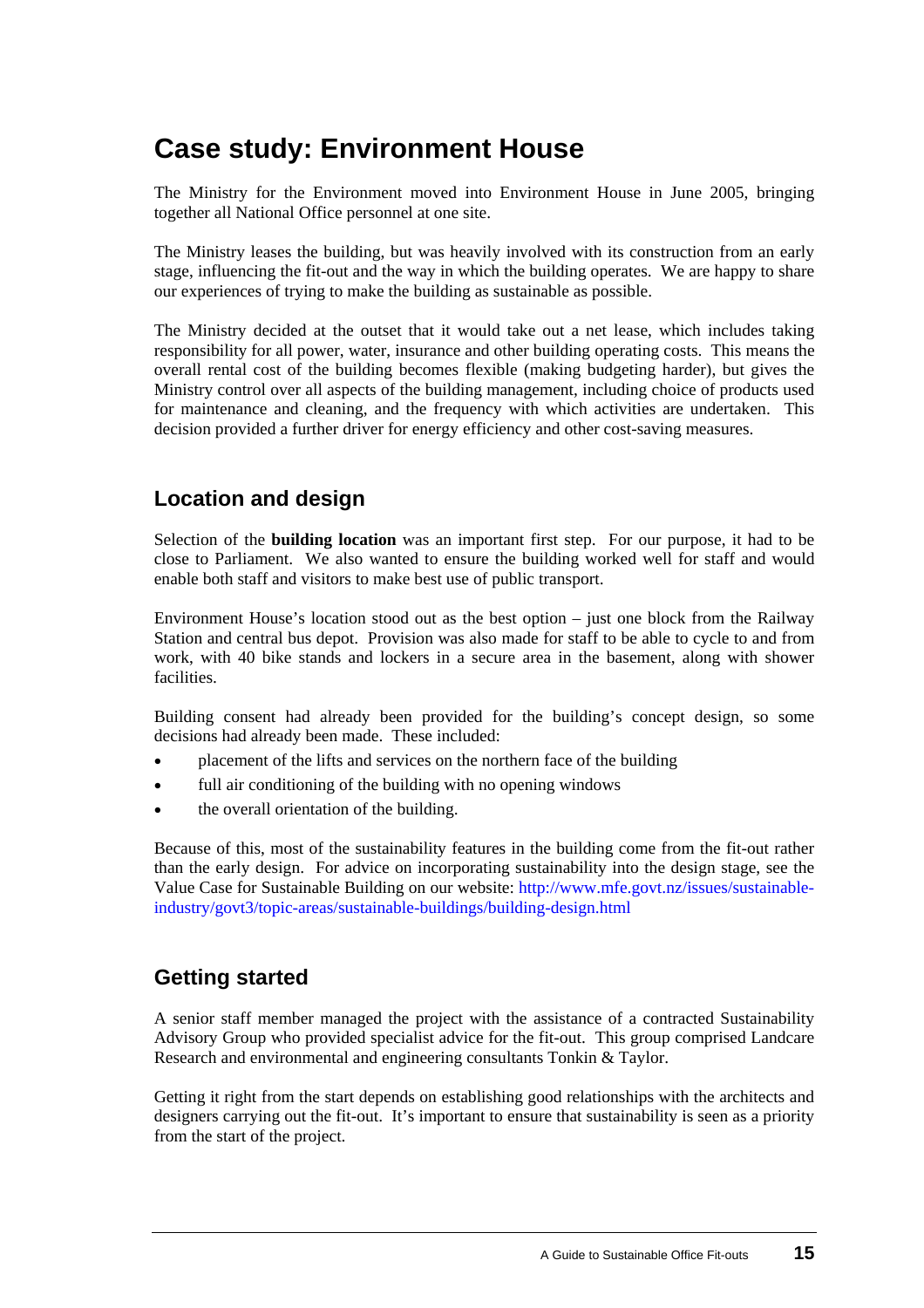## <span id="page-18-0"></span>**[Case study](#page-18-0): Environment House**

The Ministry for the Environment moved into Environment House in June 2005, bringing together all National Office personnel at one site.

The Ministry leases the building, but was heavily involved with its construction from an early stage, influencing the fit-out and the way in which the building operates. We are happy to share our experiences of trying to make the building as sustainable as possible.

The Ministry decided at the outset that it would take out a net lease, which includes taking responsibility for all power, water, insurance and other building operating costs. This means the overall rental cost of the building becomes flexible (making budgeting harder), but gives the Ministry control over all aspects of the building management, including choice of products used for maintenance and cleaning, and the frequency with which activities are undertaken. This decision provided a further driver for energy efficiency and other cost-saving measures.

### **Location and design**

Selection of the **building location** was an important first step. For our purpose, it had to be close to Parliament. We also wanted to ensure the building worked well for staff and would enable both staff and visitors to make best use of public transport.

Environment House's location stood out as the best option – just one block from the Railway Station and central bus depot. Provision was also made for staff to be able to cycle to and from work, with 40 bike stands and lockers in a secure area in the basement, along with shower facilities.

Building consent had already been provided for the building's concept design, so some decisions had already been made. These included:

- placement of the lifts and services on the northern face of the building
- full air conditioning of the building with no opening windows
- the overall orientation of the building.

Because of this, most of the sustainability features in the building come from the fit-out rather than the early design. For advice on incorporating sustainability into the design stage, see the Value Case for Sustainable Building on our website: [http://www.mfe.govt.nz/issues/sustainable](http://www.mfe.govt.nz/issues/sustainable-industry/govt3/topic-areas/sustainable-buildings/building-design.html/)[industry/govt3/topic-areas/sustainable-buildings/building-design.html](http://www.mfe.govt.nz/issues/sustainable-industry/govt3/topic-areas/sustainable-buildings/building-design.html/)

### **Getting started**

A senior staff member managed the project with the assistance of a contracted Sustainability Advisory Group who provided specialist advice for the fit-out. This group comprised Landcare Research and environmental and engineering consultants Tonkin & Taylor.

Getting it right from the start depends on establishing good relationships with the architects and designers carrying out the fit-out. It's important to ensure that sustainability is seen as a priority from the start of the project.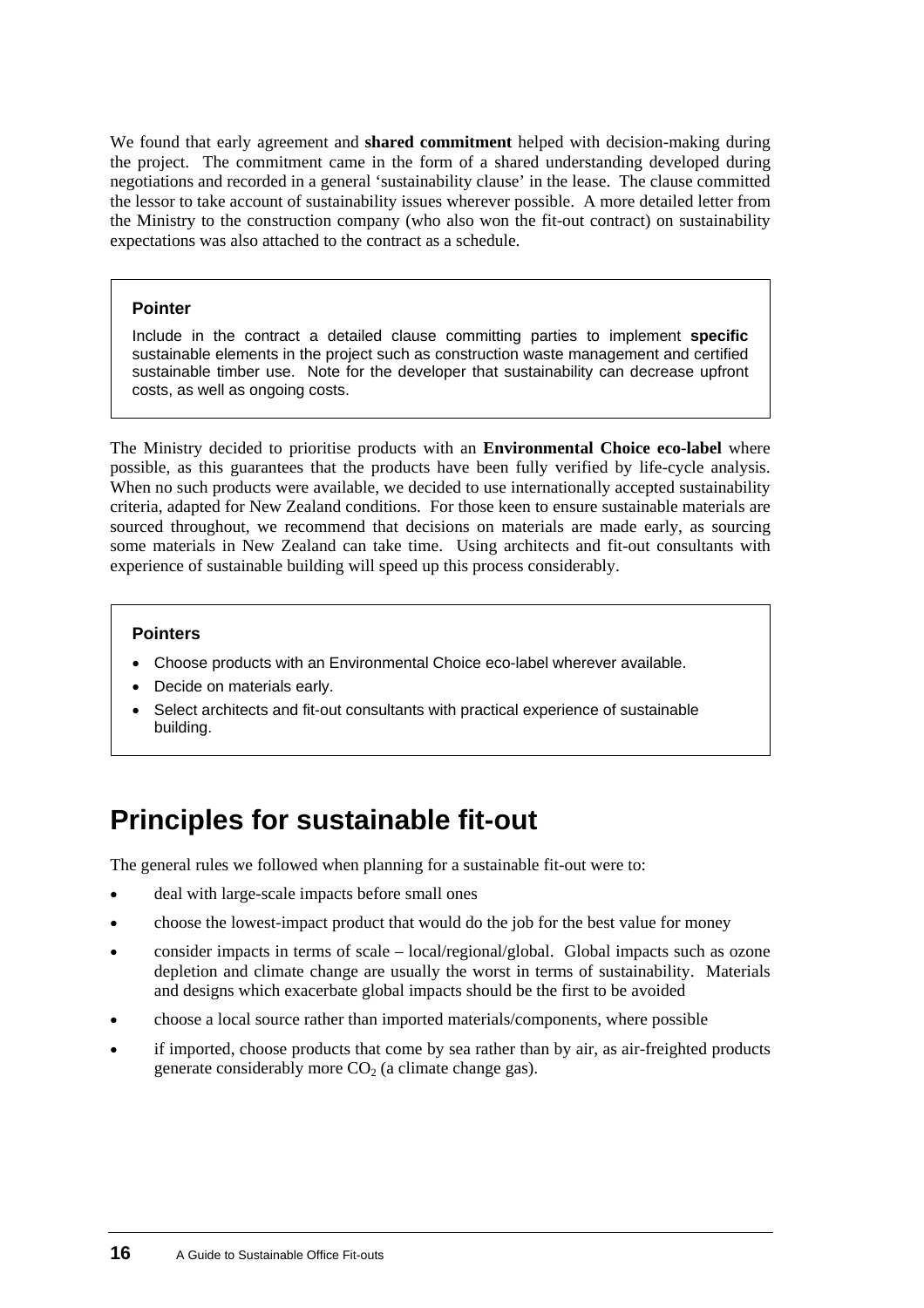We found that early agreement and **shared commitment** helped with decision-making during the project. The commitment came in the form of a shared understanding developed during negotiations and recorded in a general 'sustainability clause' in the lease. The clause committed the lessor to take account of sustainability issues wherever possible. A more detailed letter from the Ministry to the construction company (who also won the fit-out contract) on sustainability expectations was also attached to the contract as a schedule.

#### **Pointer**

Include in the contract a detailed clause committing parties to implement **specific** sustainable elements in the project such as construction waste management and certified sustainable timber use. Note for the developer that sustainability can decrease upfront costs, as well as ongoing costs.

The Ministry decided to prioritise products with an **Environmental Choice eco-label** where possible, as this guarantees that the products have been fully verified by life-cycle analysis. When no such products were available, we decided to use internationally accepted sustainability criteria, adapted for New Zealand conditions. For those keen to ensure sustainable materials are sourced throughout, we recommend that decisions on materials are made early, as sourcing some materials in New Zealand can take time. Using architects and fit-out consultants with experience of sustainable building will speed up this process considerably.

#### **Pointers**

- Choose products with an Environmental Choice eco-label wherever available.
- Decide on materials early.
- Select architects and fit-out consultants with practical experience of sustainable building.

## **Principles for sustainable fit-out**

The general rules we followed when planning for a sustainable fit-out were to:

- deal with large-scale impacts before small ones
- choose the lowest-impact product that would do the job for the best value for money
- consider impacts in terms of scale – local/regional/global. Global impacts such as ozone depletion and climate change are usually the worst in terms of sustainability. Materials and designs which exacerbate global impacts should be the first to be avoided
- choose a local source rather than imported materials/components, where possible
- if imported, choose products that come by sea rather than by air, as air-freighted products generate considerably more  $CO<sub>2</sub>$  (a climate change gas).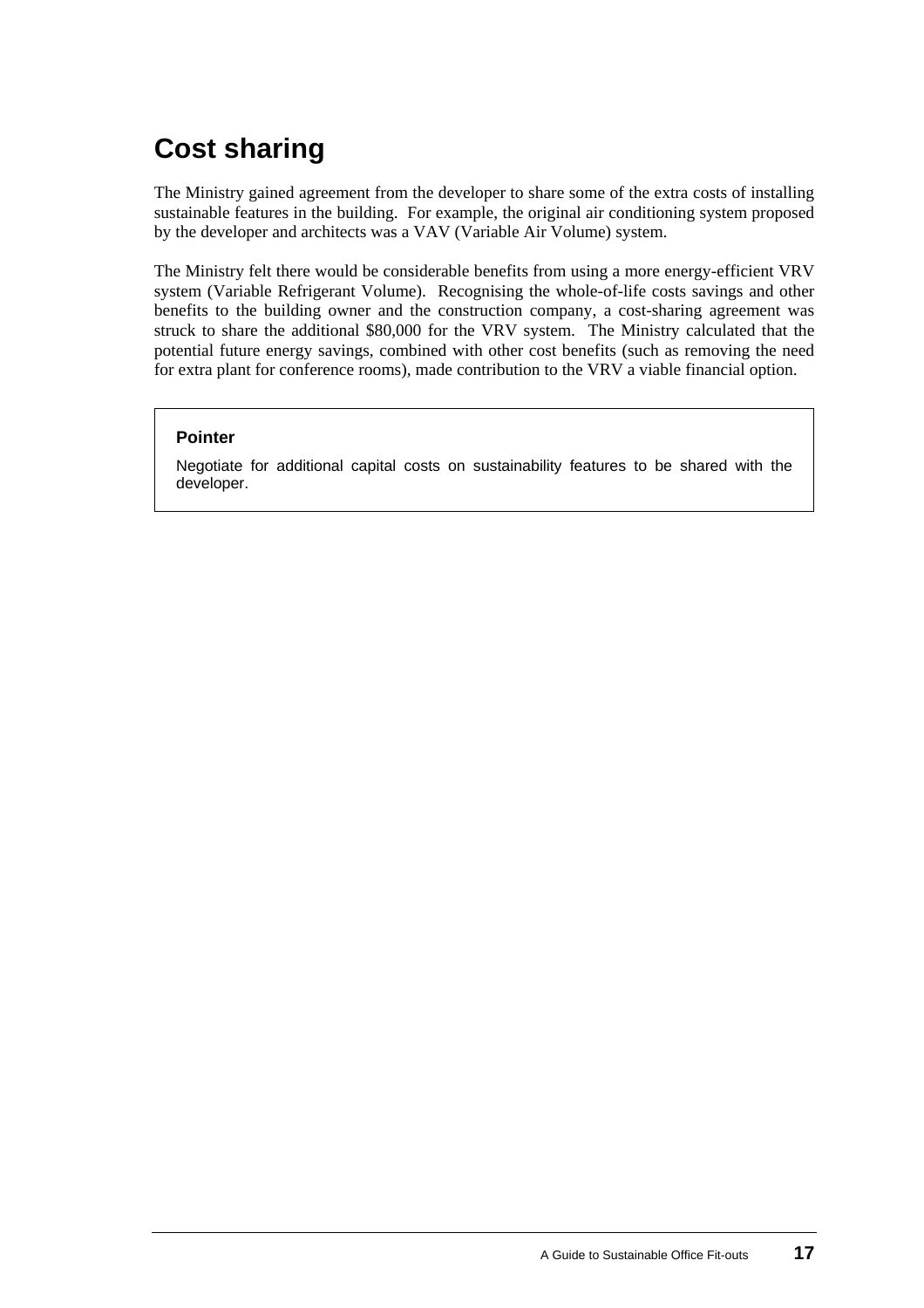# **Cost sharing**

The Ministry gained agreement from the developer to share some of the extra costs of installing sustainable features in the building. For example, the original air conditioning system proposed by the developer and architects was a VAV (Variable Air Volume) system.

The Ministry felt there would be considerable benefits from using a more energy-efficient VRV system (Variable Refrigerant Volume). Recognising the whole-of-life costs savings and other benefits to the building owner and the construction company, a cost-sharing agreement was struck to share the additional \$80,000 for the VRV system. The Ministry calculated that the potential future energy savings, combined with other cost benefits (such as removing the need for extra plant for conference rooms), made contribution to the VRV a viable financial option.

#### **Pointer**

Negotiate for additional capital costs on sustainability features to be shared with the developer.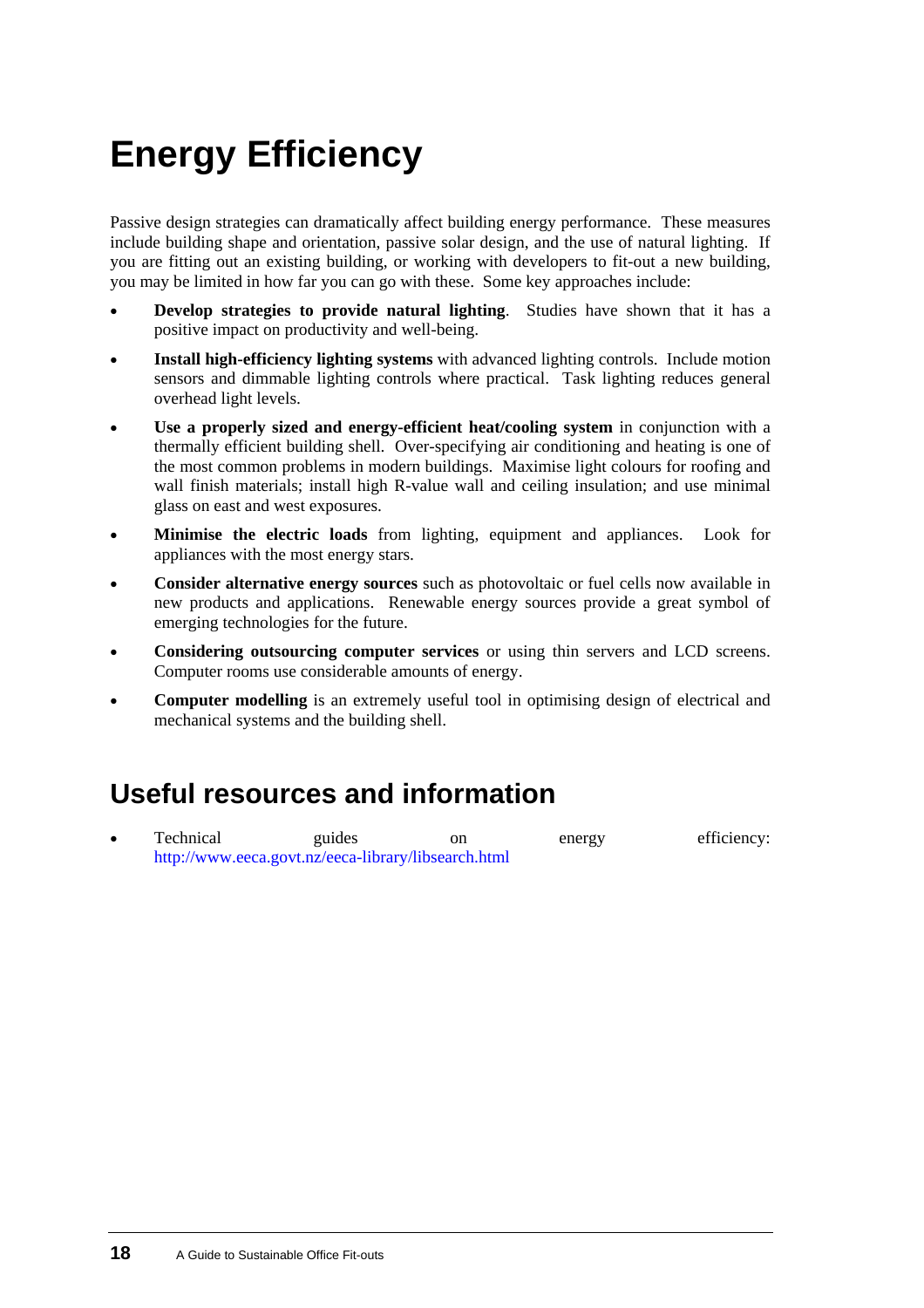# <span id="page-21-0"></span>**Energy Efficiency**

Passive design strategies can dramatically affect building energy performance. These measures include building shape and orientation, passive solar design, and the use of natural lighting. If you are fitting out an existing building, or working with developers to fit-out a new building, you may be limited in how far you can go with these. Some key approaches include:

- **Develop strategies to provide natural lighting**. Studies have shown that it has a positive impact on productivity and well-being. •
- **Install high-efficiency lighting systems** with advanced lighting controls. Include motion sensors and dimmable lighting controls where practical. Task lighting reduces general overhead light levels.
- **Use a properly sized and energy-efficient heat/cooling system** in conjunction with a thermally efficient building shell. Over-specifying air conditioning and heating is one of the most common problems in modern buildings. Maximise light colours for roofing and wall finish materials; install high R-value wall and ceiling insulation; and use minimal glass on east and west exposures.
- **Minimise the electric loads** from lighting, equipment and appliances. Look for appliances with the most energy stars.
- **Consider alternative energy sources** such as photovoltaic or fuel cells now available in new products and applications. Renewable energy sources provide a great symbol of emerging technologies for the future.
- **Considering outsourcing computer services** or using thin servers and LCD screens. Computer rooms use considerable amounts of energy.
- **Computer modelling** is an extremely useful tool in optimising design of electrical and mechanical systems and the building shell.

# **Useful resources and information**

• Technical guides on energy efficiency: [http://www.eeca.govt.nz/eeca-library/libsearch.html](http://www.eeca.govt.nz/eeca-library/libsearch.html publications/ publications.aspx?MediaCatID=23)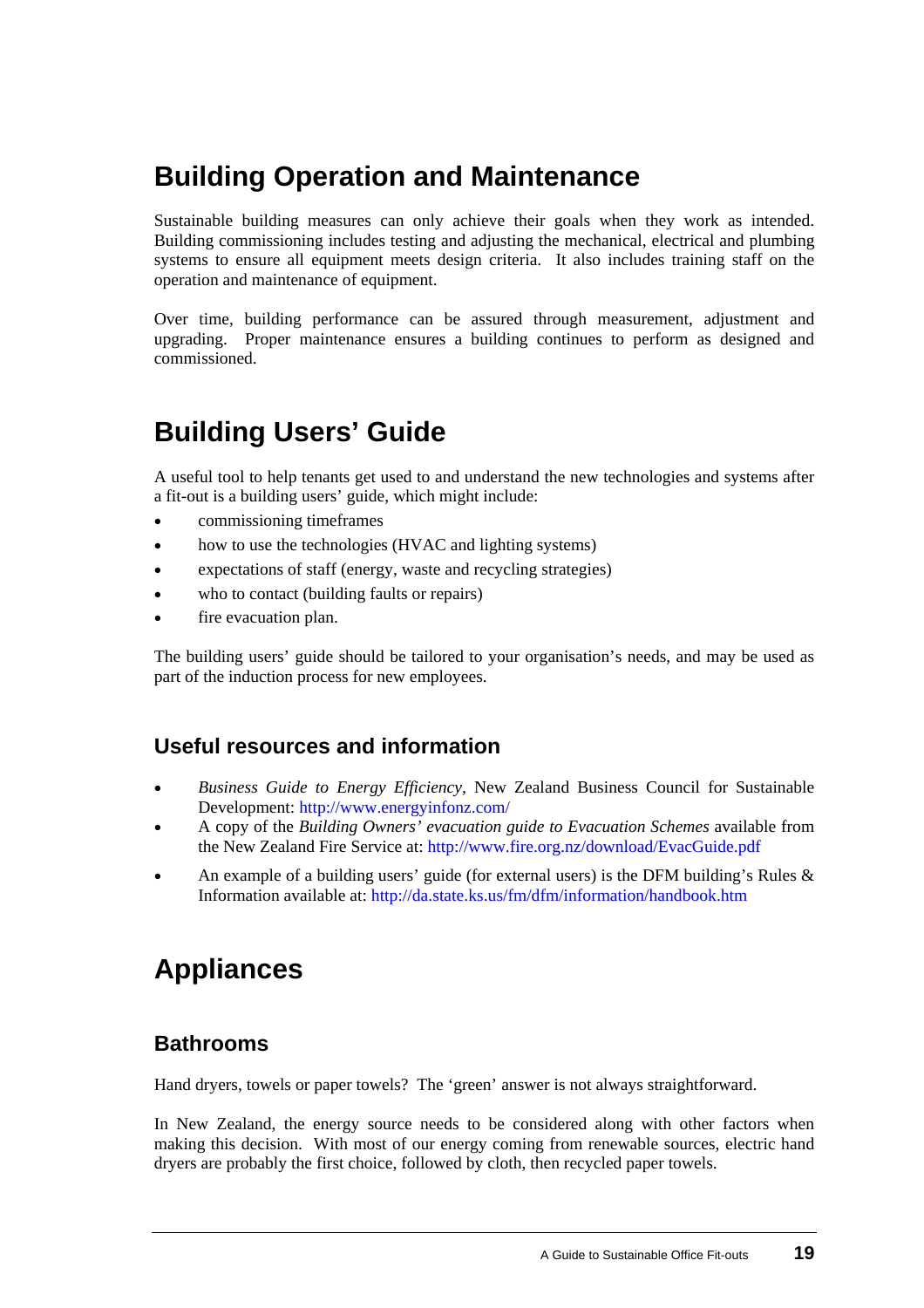## <span id="page-22-0"></span>**Building Operation and Maintenance**

Sustainable building measures can only achieve their goals when they work as intended. Building commissioning includes testing and adjusting the mechanical, electrical and plumbing systems to ensure all equipment meets design criteria. It also includes training staff on the operation and maintenance of equipment.

Over time, building performance can be assured through measurement, adjustment and upgrading. Proper maintenance ensures a building continues to perform as designed and commissioned.

# **Building Users' Guide**

A useful tool to help tenants get used to and understand the new technologies and systems after a fit-out is a building users' guide, which might include:

- commissioning timeframes
- how to use the technologies (HVAC and lighting systems)
- expectations of staff (energy, waste and recycling strategies)
- who to contact (building faults or repairs)
- fire evacuation plan.

The building users' guide should be tailored to your organisation's needs, and may be used as part of the induction process for new employees.

### **Useful resources and information**

- *Business Guide to Energy Efficiency,* New Zealand Business Council for Sustainable Development: <http://www.energyinfonz.com/>
- A copy of the *Building Owners' evacuation guide to Evacuation Schemes* available from the New Zealand Fire Service at:<http://www.fire.org.nz/download/EvacGuide.pdf>
- An example of a building users' guide (for external users) is the DFM building's Rules & Information available at:<http://da.state.ks.us/fm/dfm/information/handbook.htm>

## **Appliances**

### **Bathrooms**

Hand dryers, towels or paper towels? The 'green' answer is not always straightforward.

In New Zealand, the energy source needs to be considered along with other factors when making this decision. With most of our energy coming from renewable sources, electric hand dryers are probably the first choice, followed by cloth, then recycled paper towels.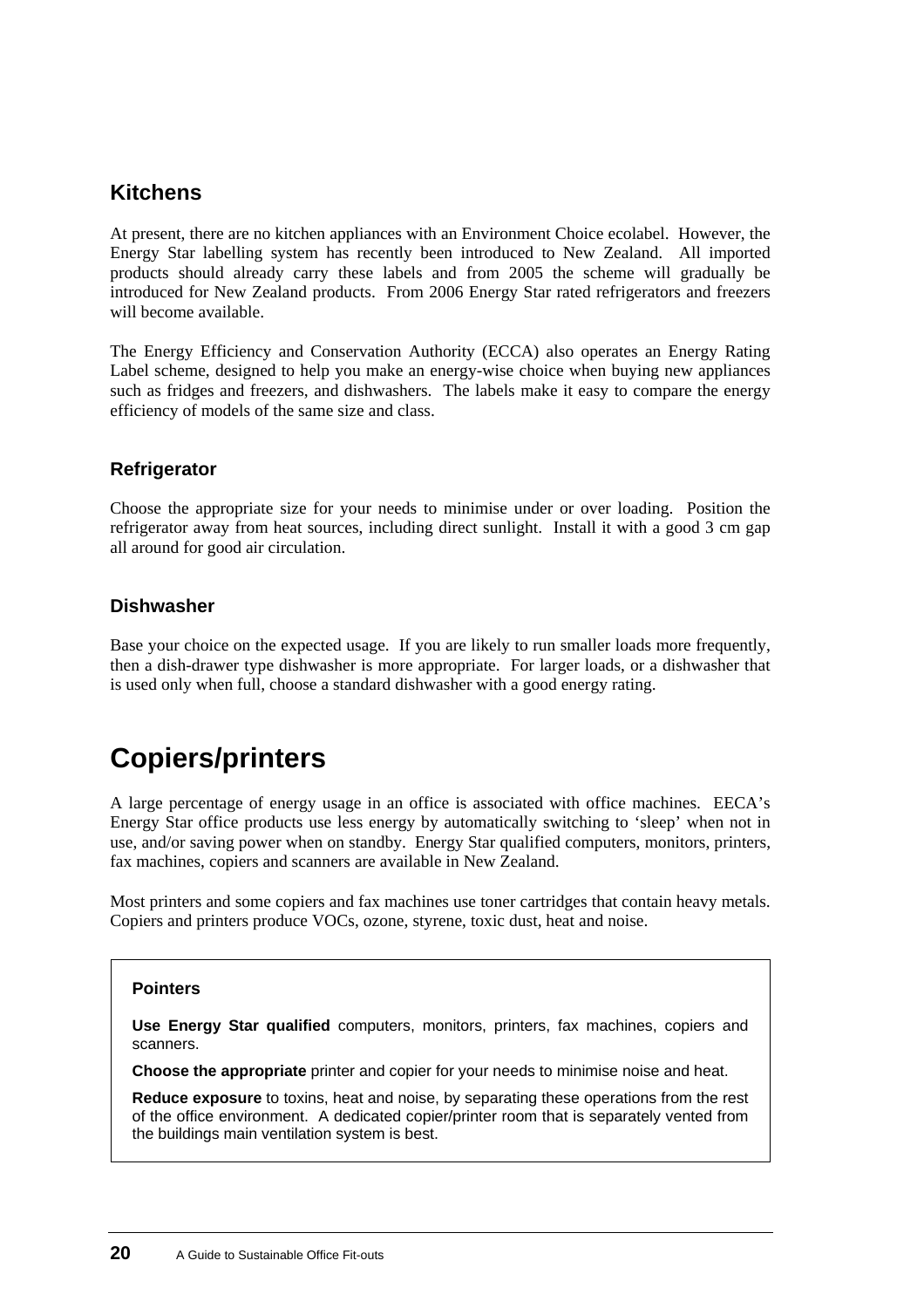### **Kitchens**

At present, there are no kitchen appliances with an Environment Choice ecolabel. However, the Energy Star labelling system has recently been introduced to New Zealand. All imported products should already carry these labels and from 2005 the scheme will gradually be introduced for New Zealand products. From 2006 Energy Star rated refrigerators and freezers will become available.

The Energy Efficiency and Conservation Authority (ECCA) also operates an Energy Rating Label scheme, designed to help you make an energy-wise choice when buying new appliances such as fridges and freezers, and dishwashers. The labels make it easy to compare the energy efficiency of models of the same size and class.

#### **Refrigerator**

Choose the appropriate size for your needs to minimise under or over loading. Position the refrigerator away from heat sources, including direct sunlight. Install it with a good 3 cm gap all around for good air circulation.

#### **Dishwasher**

Base your choice on the expected usage. If you are likely to run smaller loads more frequently, then a dish-drawer type dishwasher is more appropriate. For larger loads, or a dishwasher that is used only when full, choose a standard dishwasher with a good energy rating.

# **Copiers/printers**

A large percentage of energy usage in an office is associated with office machines. EECA's Energy Star office products use less energy by automatically switching to 'sleep' when not in use, and/or saving power when on standby. Energy Star qualified computers, monitors, printers, fax machines, copiers and scanners are available in New Zealand.

Most printers and some copiers and fax machines use toner cartridges that contain heavy metals. Copiers and printers produce VOCs, ozone, styrene, toxic dust, heat and noise.

#### **Pointers**

**Use Energy Star qualified** computers, monitors, printers, fax machines, copiers and scanners.

**Choose the appropriate** printer and copier for your needs to minimise noise and heat.

**Reduce exposure** to toxins, heat and noise, by separating these operations from the rest of the office environment. A dedicated copier/printer room that is separately vented from the buildings main ventilation system is best.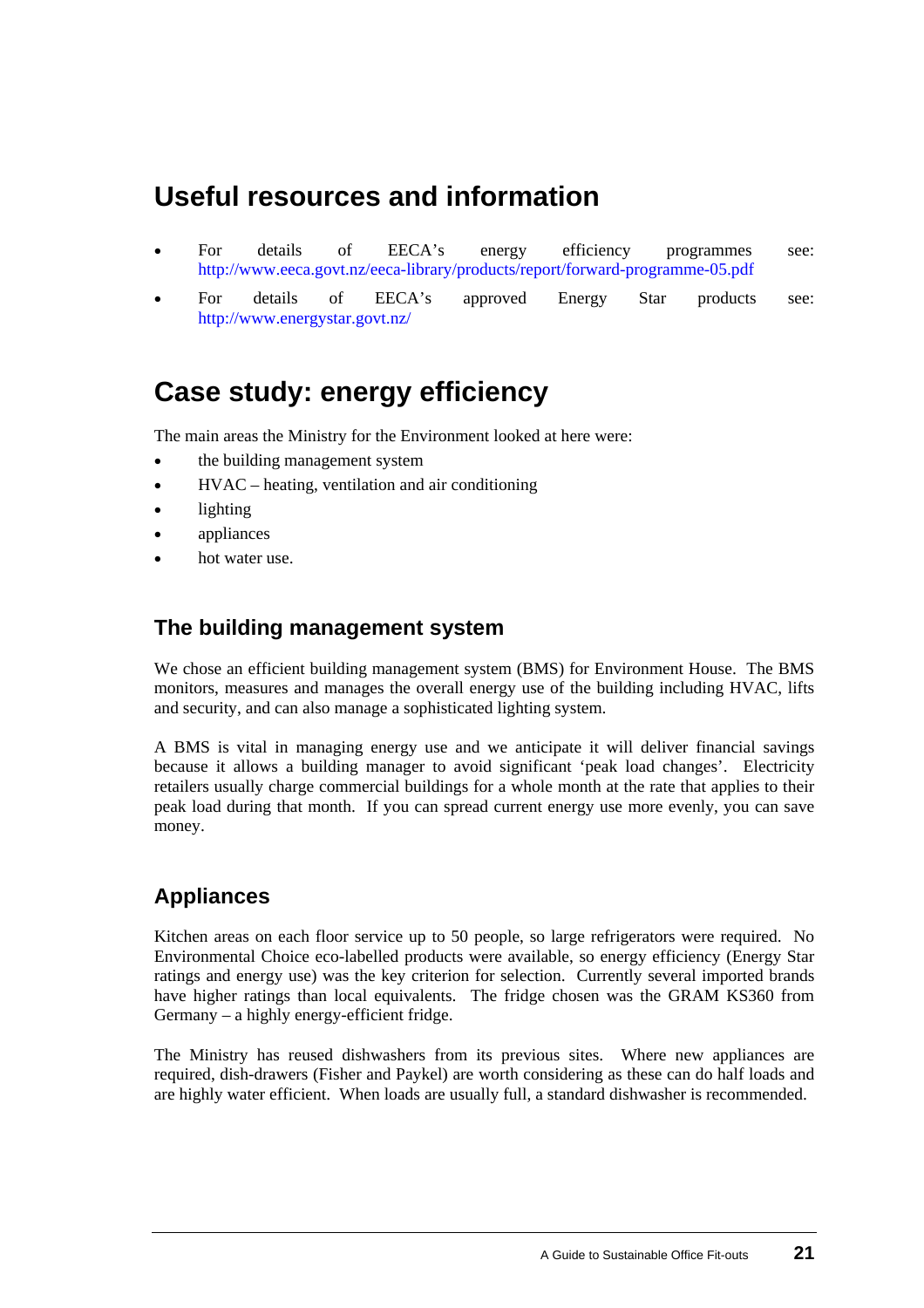## **Useful resources and information**

- For details of EECA's energy efficiency programmes see: <http://www.eeca.govt.nz/eeca-library/products/report/forward-programme-05.pdf> •
- For details of EECA's approved Energy Star products see: <http://www.energystar.govt.nz/>

## **[Case study](#page-0-0): energy efficiency**

The main areas the Ministry for the Environment looked at here were:

- the building management system
- HVAC – heating, ventilation and air conditioning
- lighting
- appliances
- hot water use.

### **The building management system**

We chose an efficient building management system (BMS) for Environment House. The BMS monitors, measures and manages the overall energy use of the building including HVAC, lifts and security, and can also manage a sophisticated lighting system.

A BMS is vital in managing energy use and we anticipate it will deliver financial savings because it allows a building manager to avoid significant 'peak load changes'. Electricity retailers usually charge commercial buildings for a whole month at the rate that applies to their peak load during that month. If you can spread current energy use more evenly, you can save money.

### **Appliances**

Kitchen areas on each floor service up to 50 people, so large refrigerators were required. No Environmental Choice eco-labelled products were available, so energy efficiency (Energy Star ratings and energy use) was the key criterion for selection. Currently several imported brands have higher ratings than local equivalents. The fridge chosen was the GRAM KS360 from Germany – a highly energy-efficient fridge.

The Ministry has reused dishwashers from its previous sites. Where new appliances are required, dish-drawers (Fisher and Paykel) are worth considering as these can do half loads and are highly water efficient. When loads are usually full, a standard dishwasher is recommended.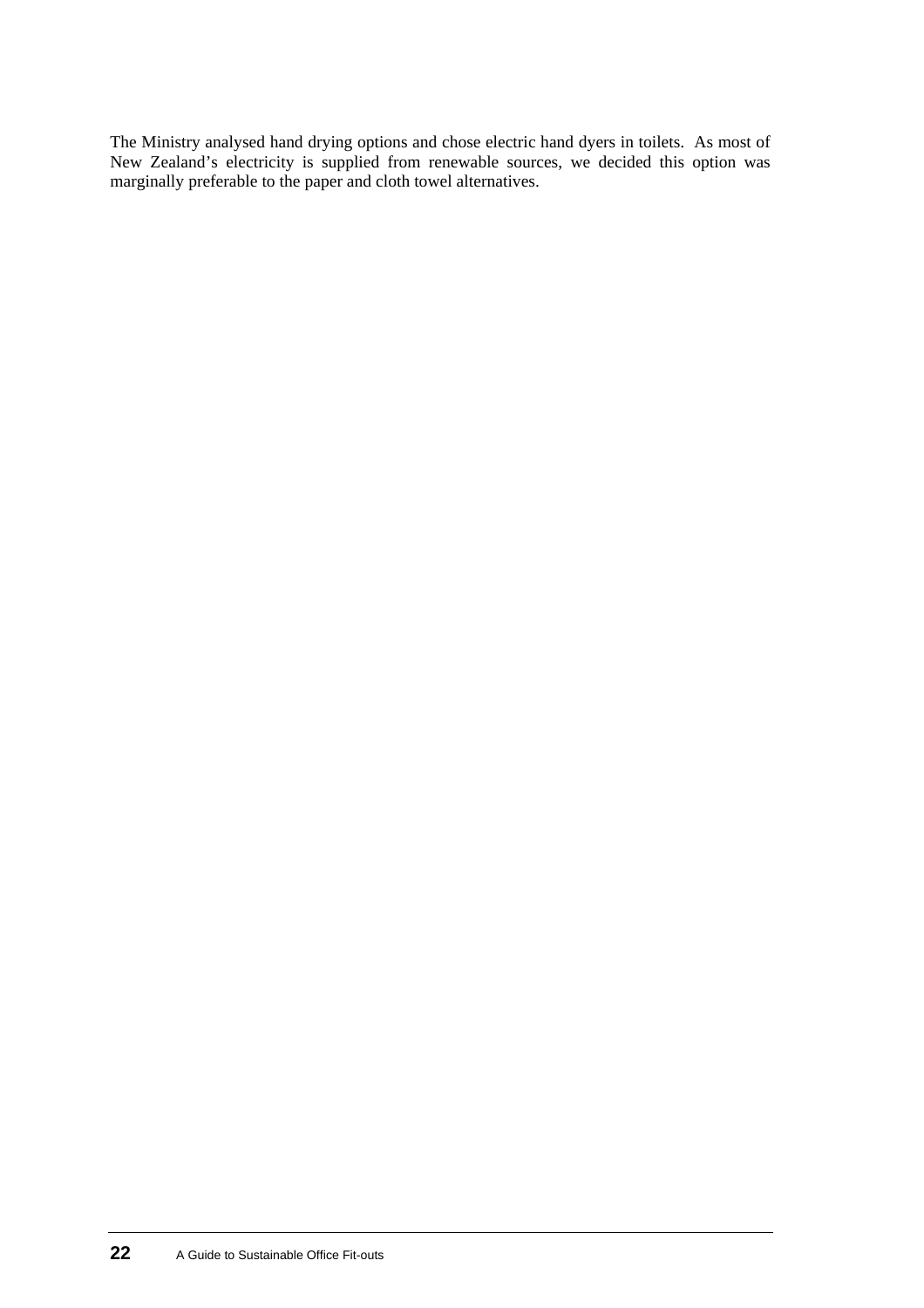The Ministry analysed hand drying options and chose electric hand dyers in toilets. As most of New Zealand's electricity is supplied from renewable sources, we decided this option was marginally preferable to the paper and cloth towel alternatives.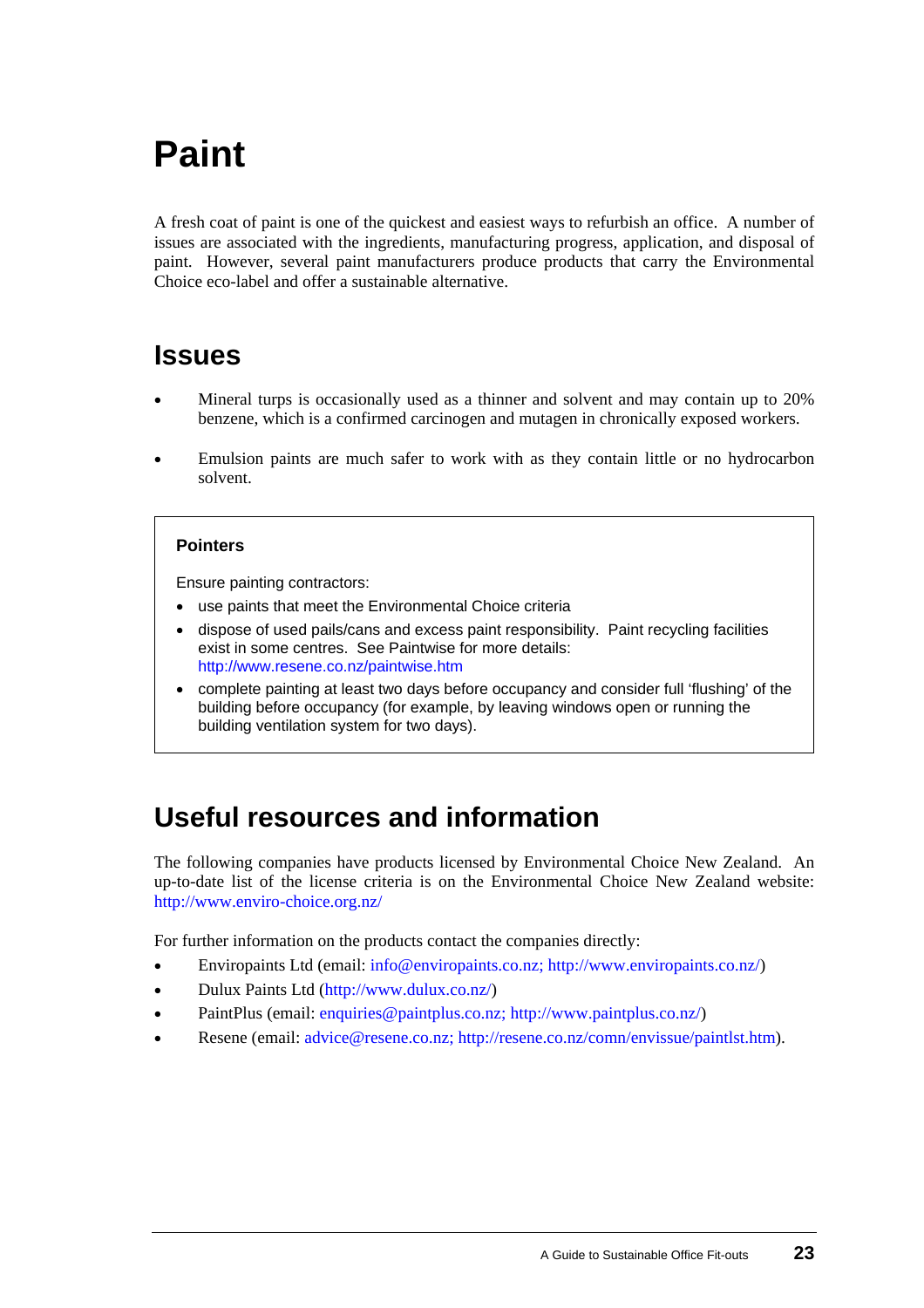# <span id="page-26-0"></span>**Paint**

A fresh coat of paint is one of the quickest and easiest ways to refurbish an office. A number of issues are associated with the ingredients, manufacturing progress, application, and disposal of paint. However, several paint manufacturers produce products that carry the Environmental Choice eco-label and offer a sustainable alternative.

## **Issues**

- Mineral turps is occasionally used as a thinner and solvent and may contain up to 20% benzene, which is a confirmed carcinogen and mutagen in chronically exposed workers.
- Emulsion paints are much safer to work with as they contain little or no hydrocarbon solvent.

#### **Pointers**

Ensure painting contractors:

- use paints that meet the Environmental Choice criteria
- dispose of used pails/cans and excess paint responsibility. Paint recycling facilities exist in some centres. See Paintwise for more details: <http://www.resene.co.nz/paintwise.htm>
- complete painting at least two days before occupancy and consider full 'flushing' of the building before occupancy (for example, by leaving windows open or running the building ventilation system for two days).

## **Useful resources and information**

The following companies have products licensed by Environmental Choice New Zealand. An up-to-date list of the license criteria is on the Environmental Choice New Zealand website: <http://www.enviro-choice.org.nz/>

For further information on the products contact the companies directly:

- Enviropaints Ltd (email: [info@enviropaints.co.nz;](mailto:Info@enviropaints.co.nz;) <http://www.enviropaints.co.nz/>)
- Dulux Paints Ltd [\(http://www.dulux.co.nz/](http://www.dulux.co.nz/))
- PaintPlus (email: [enquiries@paintplus.co.nz;](mailto:enquiries@paintplus.co.nz;) <http://www.paintplus.co.nz/>)
- Resene (email: [advice@resene.co.nz;](mailto:advice@resene.co.nz;) <http://resene.co.nz/comn/envissue/paintlst.htm>).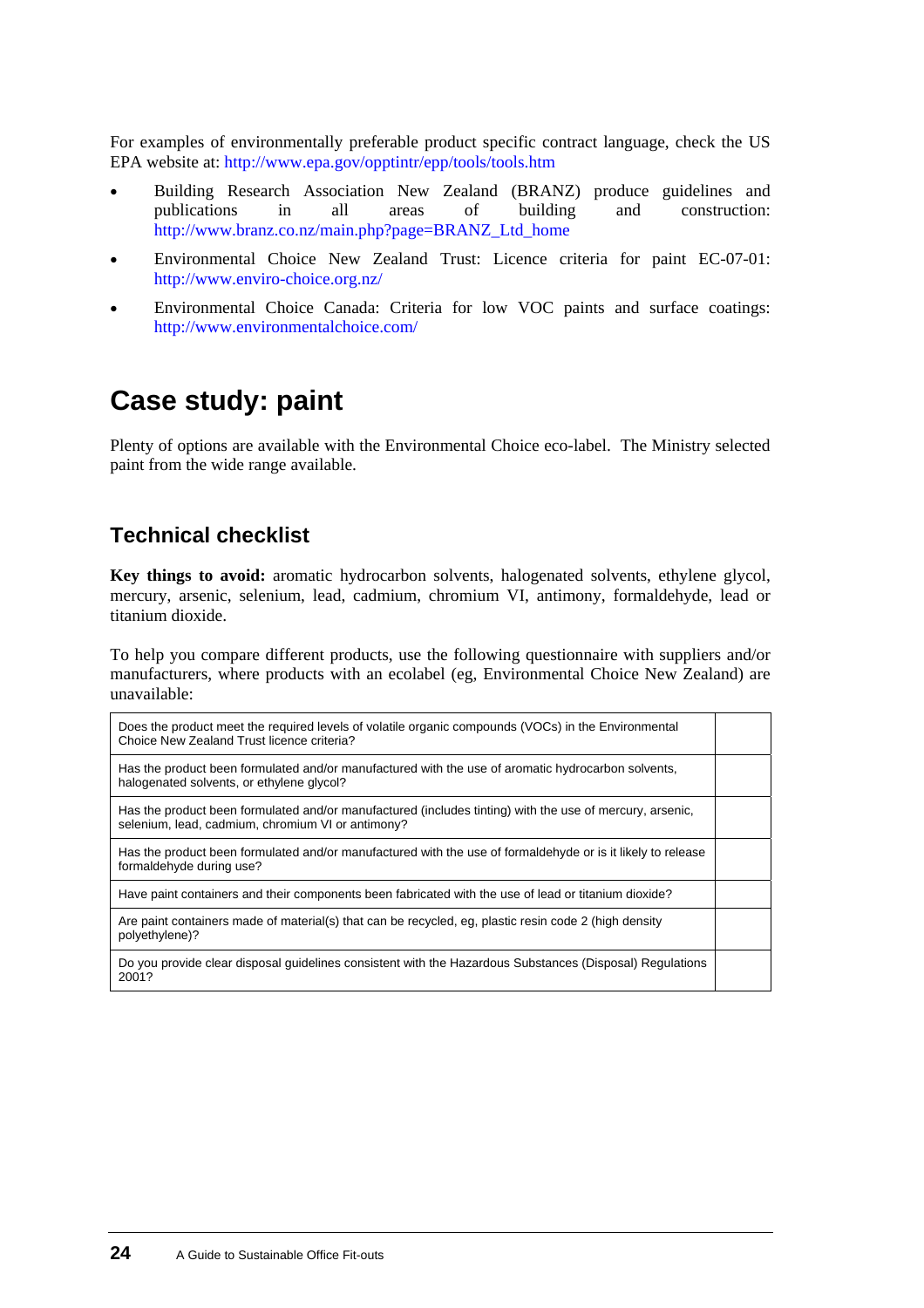For examples of environmentally preferable product specific contract language, check the US EPA website at: [http://www.epa.gov/opptintr/epp/tools/tools.htm](mailto:http://www.epa.gov/opptintr/epp/tools/tools.htm)

- Building Research Association New Zealand (BRANZ) produce guidelines and publications in all areas of building and construction: [http://www.branz.co.nz/main.php?page=BRANZ\\_Ltd\\_home](http://www.branz.co.nz/main.php?page=BRANZ_Ltd_home) •
- Environmental Choice New Zealand Trust: Licence criteria for paint EC-07-01: <http://www.enviro-choice.org.nz/>
- Environmental Choice Canada: Criteria for low VOC paints and surface coatings: <http://www.environmentalchoice.com/>

## **[Case study:](#page-0-0) paint**

Plenty of options are available with the Environmental Choice eco-label. The Ministry selected paint from the wide range available.

### **Technical checklist**

**Key things to avoid:** aromatic hydrocarbon solvents, halogenated solvents, ethylene glycol, mercury, arsenic, selenium, lead, cadmium, chromium VI, antimony, formaldehyde, lead or titanium dioxide.

To help you compare different products, use the following questionnaire with suppliers and/or manufacturers, where products with an ecolabel (eg, Environmental Choice New Zealand) are unavailable:

| Does the product meet the required levels of volatile organic compounds (VOCs) in the Environmental<br>Choice New Zealand Trust licence criteria?             |  |
|---------------------------------------------------------------------------------------------------------------------------------------------------------------|--|
| Has the product been formulated and/or manufactured with the use of aromatic hydrocarbon solvents,<br>halogenated solvents, or ethylene glycol?               |  |
| Has the product been formulated and/or manufactured (includes tinting) with the use of mercury, arsenic,<br>selenium, lead, cadmium, chromium VI or antimony? |  |
| Has the product been formulated and/or manufactured with the use of formaldehyde or is it likely to release<br>formaldehyde during use?                       |  |
| Have paint containers and their components been fabricated with the use of lead or titanium dioxide?                                                          |  |
| Are paint containers made of material(s) that can be recycled, eq. plastic resin code 2 (high density<br>polyethylene)?                                       |  |
| Do you provide clear disposal guidelines consistent with the Hazardous Substances (Disposal) Regulations<br>2001?                                             |  |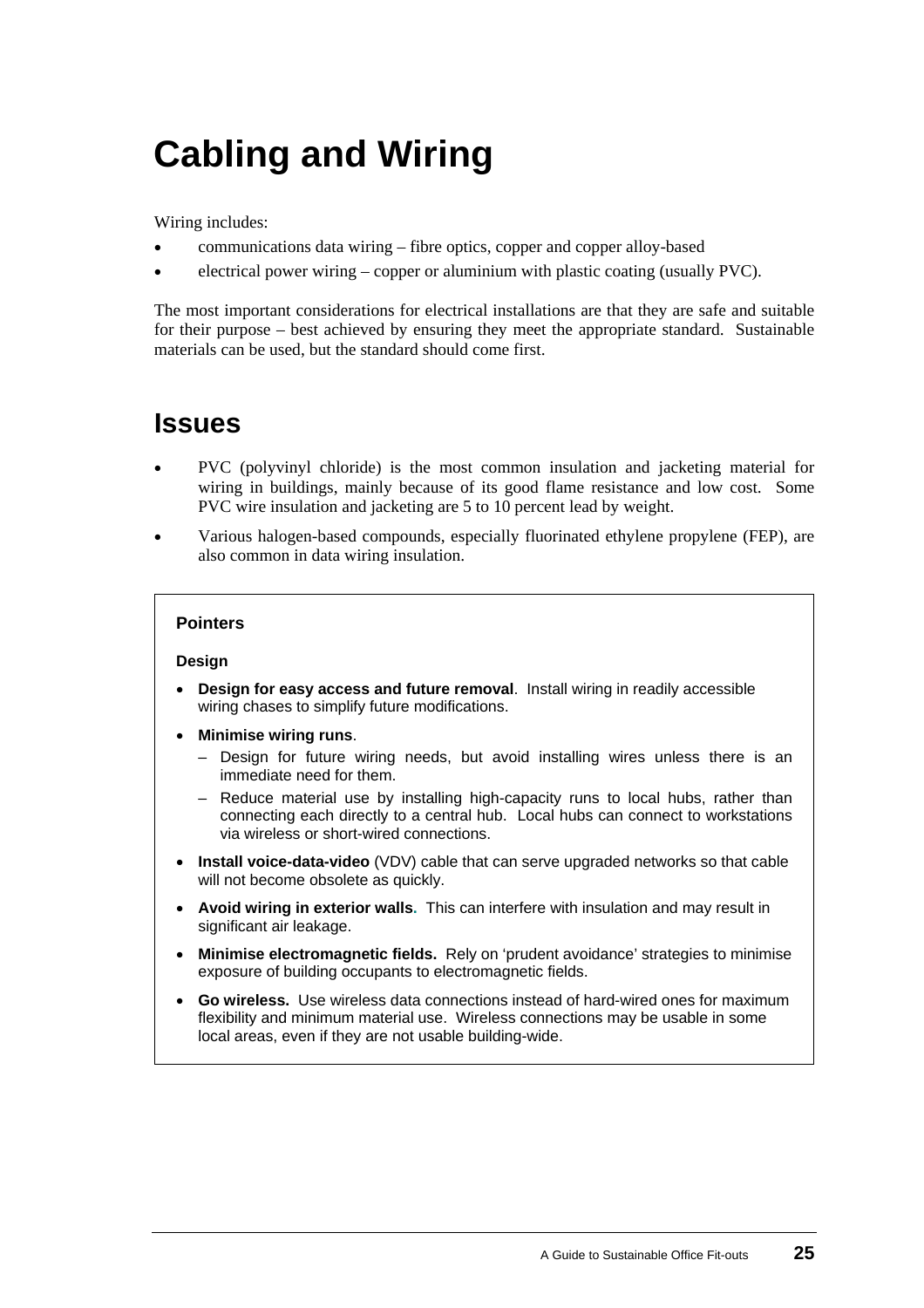# <span id="page-28-0"></span>**Cabling and Wiring**

Wiring includes:

- communications data wiring fibre optics, copper and copper alloy-based
- electrical power wiring – copper or aluminium with plastic coating (usually PVC).

The most important considerations for electrical installations are that they are safe and suitable for their purpose – best achieved by ensuring they meet the appropriate standard. Sustainable materials can be used, but the standard should come first.

### **Issues**

- PVC (polyvinyl chloride) is the most common insulation and jacketing material for wiring in buildings, mainly because of its good flame resistance and low cost. Some PVC wire insulation and jacketing are 5 to 10 percent lead by weight.
- Various halogen-based compounds, especially fluorinated ethylene propylene (FEP), are also common in data wiring insulation.

#### **Pointers**

#### **Design**

- **Design for easy access and future removal**. Install wiring in readily accessible wiring chases to simplify future modifications.
- **Minimise wiring runs**.
	- Design for future wiring needs, but avoid installing wires unless there is an immediate need for them.
	- Reduce material use by installing high-capacity runs to local hubs, rather than connecting each directly to a central hub. Local hubs can connect to workstations via wireless or short-wired connections.
- **Install voice-data-video** (VDV) cable that can serve upgraded networks so that cable will not become obsolete as quickly.
- **Avoid wiring in exterior walls.** This can interfere with insulation and may result in significant air leakage.
- **Minimise electromagnetic fields.** Rely on 'prudent avoidance' strategies to minimise exposure of building occupants to electromagnetic fields.
- **Go wireless.** Use wireless data connections instead of hard-wired ones for maximum flexibility and minimum material use. Wireless connections may be usable in some local areas, even if they are not usable building-wide.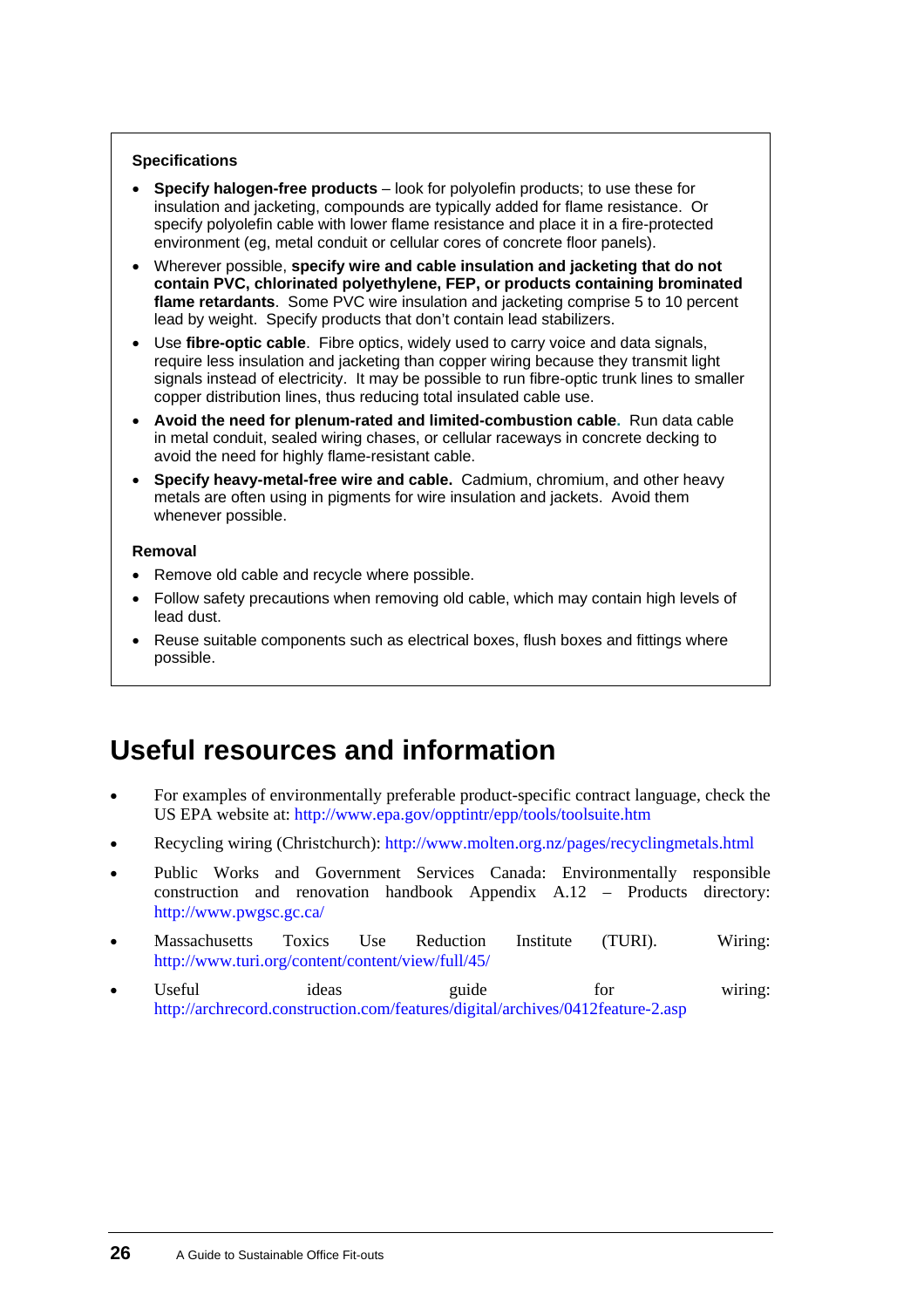#### **Specifications**

- **Specify halogen-free products** look for polyolefin products; to use these for insulation and jacketing, compounds are typically added for flame resistance. Or specify polyolefin cable with lower flame resistance and place it in a fire-protected environment (eg, metal conduit or cellular cores of concrete floor panels).
- Wherever possible, **specify wire and cable insulation and jacketing that do not contain PVC, chlorinated polyethylene, FEP, or products containing brominated flame retardants**. Some PVC wire insulation and jacketing comprise 5 to 10 percent lead by weight. Specify products that don't contain lead stabilizers.
- Use **fibre-optic cable**. Fibre optics, widely used to carry voice and data signals, require less insulation and jacketing than copper wiring because they transmit light signals instead of electricity. It may be possible to run fibre-optic trunk lines to smaller copper distribution lines, thus reducing total insulated cable use.
- **Avoid the need for plenum-rated and limited-combustion cable.** Run data cable in metal conduit, sealed wiring chases, or cellular raceways in concrete decking to avoid the need for highly flame-resistant cable.
- **Specify heavy-metal-free wire and cable.** Cadmium, chromium, and other heavy metals are often using in pigments for wire insulation and jackets. Avoid them whenever possible.

#### **Removal**

- Remove old cable and recycle where possible.
- Follow safety precautions when removing old cable, which may contain high levels of lead dust.
- Reuse suitable components such as electrical boxes, flush boxes and fittings where possible.

## **Useful resources and information**

- For examples of environmentally preferable product-specific contract language, check the US EPA website at: <http://www.epa.gov/opptintr/epp/tools/toolsuite.htm> •
- Recycling wiring (Christchurch):<http://www.molten.org.nz/pages/recyclingmetals.html>
- Public Works and Government Services Canada: Environmentally responsible construction and renovation handbook Appendix A.12 – Products directory: <http://www.pwgsc.gc.ca/>
- Massachusetts Toxics Use Reduction Institute (TURI). Wiring: <http://www.turi.org/content/content/view/full/45/>
- Useful ideas guide for wiring: <http://archrecord.construction.com/features/digital/archives/0412feature-2.asp>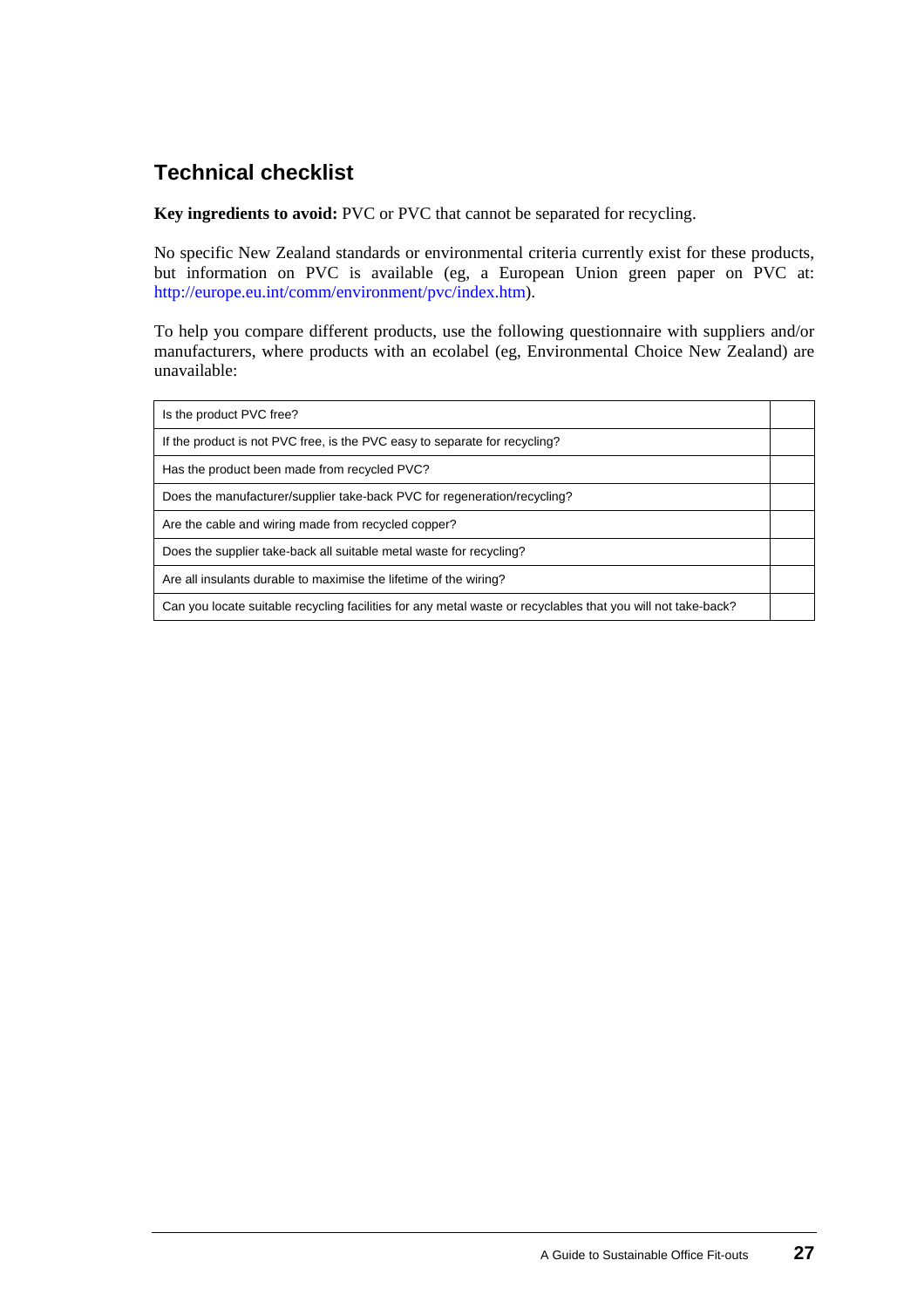### **Technical checklist**

**Key ingredients to avoid:** PVC or PVC that cannot be separated for recycling.

No specific New Zealand standards or environmental criteria currently exist for these products, but information on PVC is available (eg, a European Union green paper on PVC at: <http://europe.eu.int/comm/environment/pvc/index.htm>).

To help you compare different products, use the following questionnaire with suppliers and/or manufacturers, where products with an ecolabel (eg, Environmental Choice New Zealand) are unavailable:

| Is the product PVC free?                                                                                     |  |
|--------------------------------------------------------------------------------------------------------------|--|
| If the product is not PVC free, is the PVC easy to separate for recycling?                                   |  |
| Has the product been made from recycled PVC?                                                                 |  |
| Does the manufacturer/supplier take-back PVC for regeneration/recycling?                                     |  |
| Are the cable and wiring made from recycled copper?                                                          |  |
| Does the supplier take-back all suitable metal waste for recycling?                                          |  |
| Are all insulants durable to maximise the lifetime of the wiring?                                            |  |
| Can you locate suitable recycling facilities for any metal waste or recyclables that you will not take-back? |  |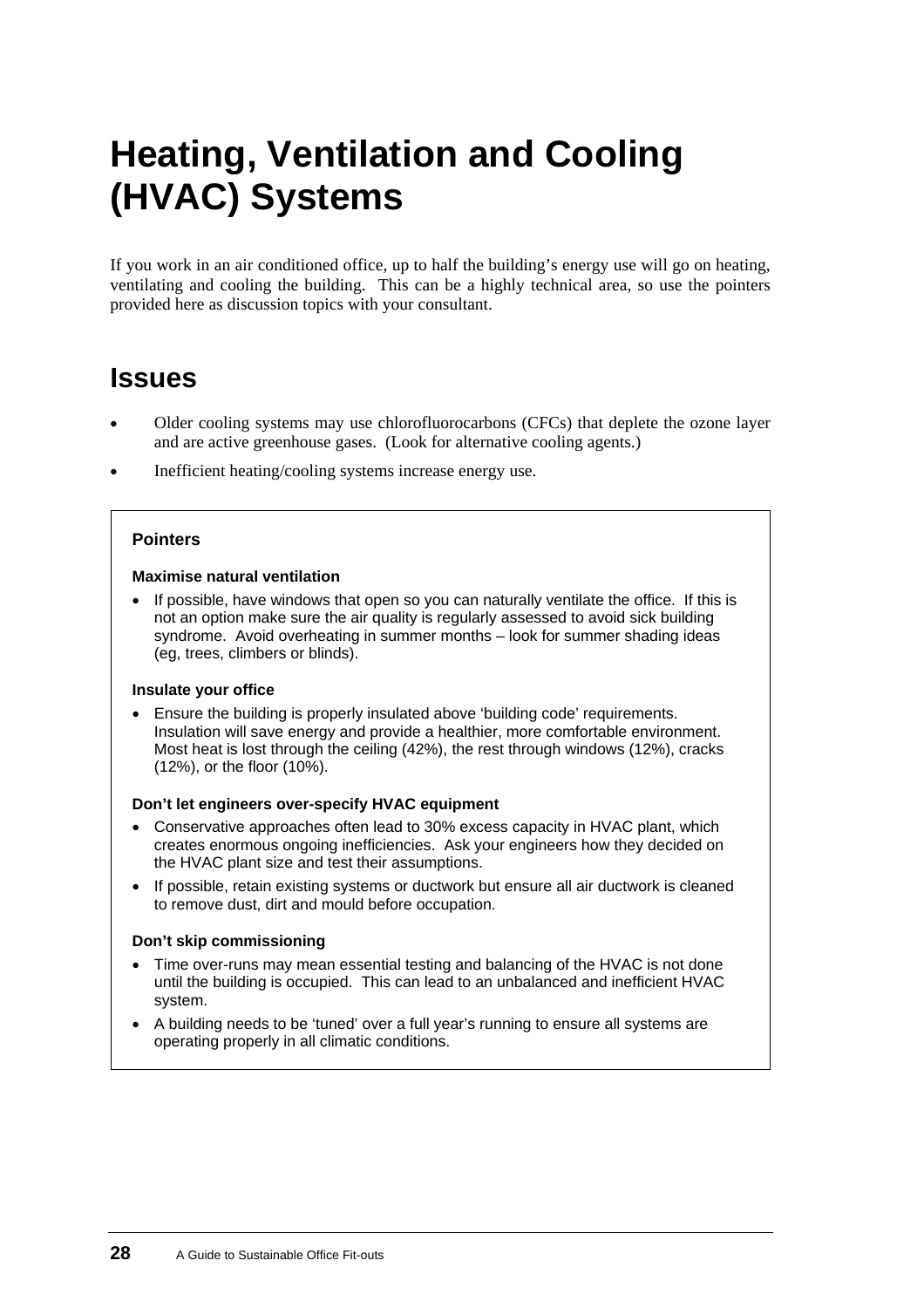# <span id="page-31-0"></span>**Heating, Ventilation and Cooling (HVAC) Systems**

If you work in an air conditioned office, up to half the building's energy use will go on heating, ventilating and cooling the building. This can be a highly technical area, so use the pointers provided here as discussion topics with your consultant.

### **Issues**

- Older cooling systems may use chlorofluorocarbons (CFCs) that deplete the ozone layer and are active greenhouse gases. (Look for alternative cooling agents.) •
- Inefficient heating/cooling systems increase energy use.

#### **Pointers**

#### **Maximise natural ventilation**

• If possible, have windows that open so you can naturally ventilate the office. If this is not an option make sure the air quality is regularly assessed to avoid sick building syndrome. Avoid overheating in summer months – look for summer shading ideas (eg, trees, climbers or blinds).

#### **Insulate your office**

• Ensure the building is properly insulated above 'building code' requirements. Insulation will save energy and provide a healthier, more comfortable environment. Most heat is lost through the ceiling (42%), the rest through windows (12%), cracks (12%), or the floor (10%).

#### **Don't let engineers over-specify HVAC equipment**

- Conservative approaches often lead to 30% excess capacity in HVAC plant, which creates enormous ongoing inefficiencies. Ask your engineers how they decided on the HVAC plant size and test their assumptions.
- If possible, retain existing systems or ductwork but ensure all air ductwork is cleaned to remove dust, dirt and mould before occupation.

#### **Don't skip commissioning**

- Time over-runs may mean essential testing and balancing of the HVAC is not done until the building is occupied. This can lead to an unbalanced and inefficient HVAC system.
- A building needs to be 'tuned' over a full year's running to ensure all systems are operating properly in all climatic conditions.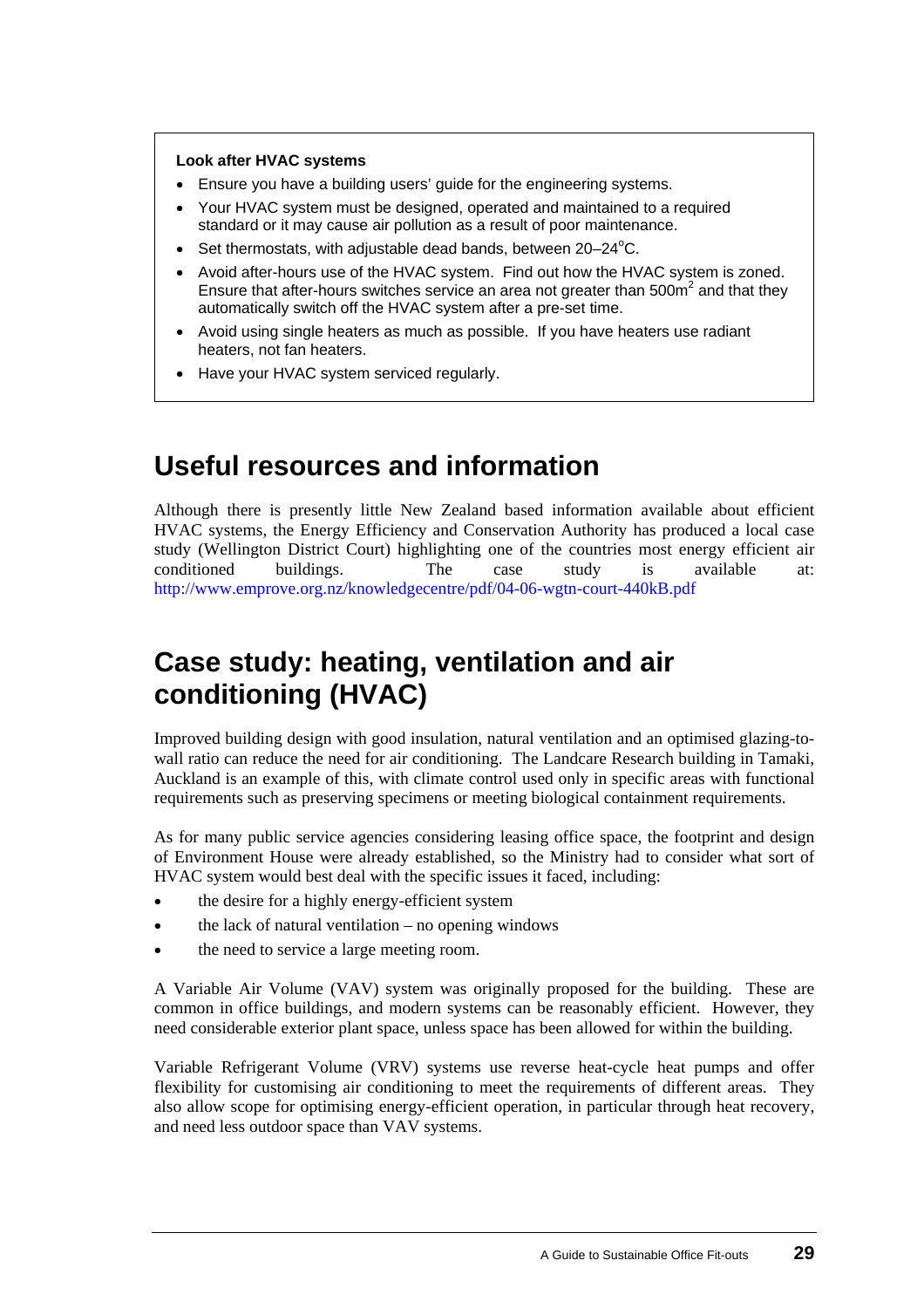#### **Look after HVAC systems**

- Ensure you have a building users' guide for the engineering systems.
- Your HVAC system must be designed, operated and maintained to a required standard or it may cause air pollution as a result of poor maintenance.
- Set thermostats, with adjustable dead bands, between  $20-24^{\circ}$ C.
- Avoid after-hours use of the HVAC system. Find out how the HVAC system is zoned. Ensure that after-hours switches service an area not greater than  $500m^2$  and that they automatically switch off the HVAC system after a pre-set time.
- Avoid using single heaters as much as possible. If you have heaters use radiant heaters, not fan heaters.
- Have your HVAC system serviced regularly.

## **Useful resources and information**

Although there is presently little New Zealand based information available about efficient HVAC systems, the Energy Efficiency and Conservation Authority has produced a local case study (Wellington District Court) highlighting one of the countries most energy efficient air conditioned buildings. The case study is available at: <http://www.emprove.org.nz/knowledgecentre/pdf/04-06-wgtn-court-440kB.pdf>

## **[Case](#page-0-0) study: heating, ventilation and air conditioning (HVAC)**

Improved building design with good insulation, natural ventilation and an optimised glazing-towall ratio can reduce the need for air conditioning. The Landcare Research building in Tamaki, Auckland is an example of this, with climate control used only in specific areas with functional requirements such as preserving specimens or meeting biological containment requirements.

As for many public service agencies considering leasing office space, the footprint and design of Environment House were already established, so the Ministry had to consider what sort of HVAC system would best deal with the specific issues it faced, including:

- the desire for a highly energy-efficient system
- the lack of natural ventilation – no opening windows
- the need to service a large meeting room.

A Variable Air Volume (VAV) system was originally proposed for the building. These are common in office buildings, and modern systems can be reasonably efficient. However, they need considerable exterior plant space, unless space has been allowed for within the building.

Variable Refrigerant Volume (VRV) systems use reverse heat-cycle heat pumps and offer flexibility for customising air conditioning to meet the requirements of different areas. They also allow scope for optimising energy-efficient operation, in particular through heat recovery, and need less outdoor space than VAV systems.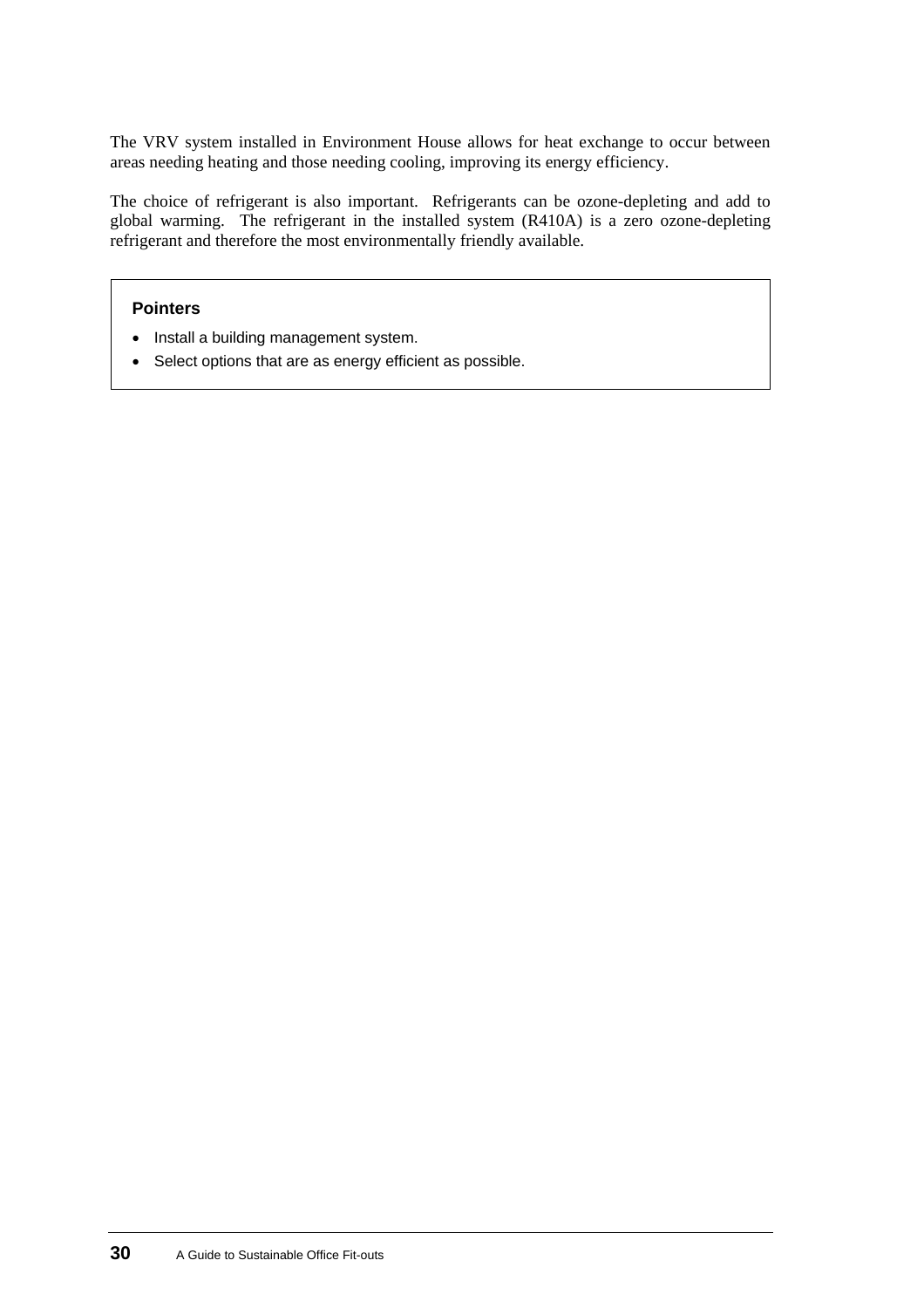The VRV system installed in Environment House allows for heat exchange to occur between areas needing heating and those needing cooling, improving its energy efficiency.

The choice of refrigerant is also important. Refrigerants can be ozone-depleting and add to global warming. The refrigerant in the installed system (R410A) is a zero ozone-depleting refrigerant and therefore the most environmentally friendly available.

#### **Pointers**

- Install a building management system.
- Select options that are as energy efficient as possible.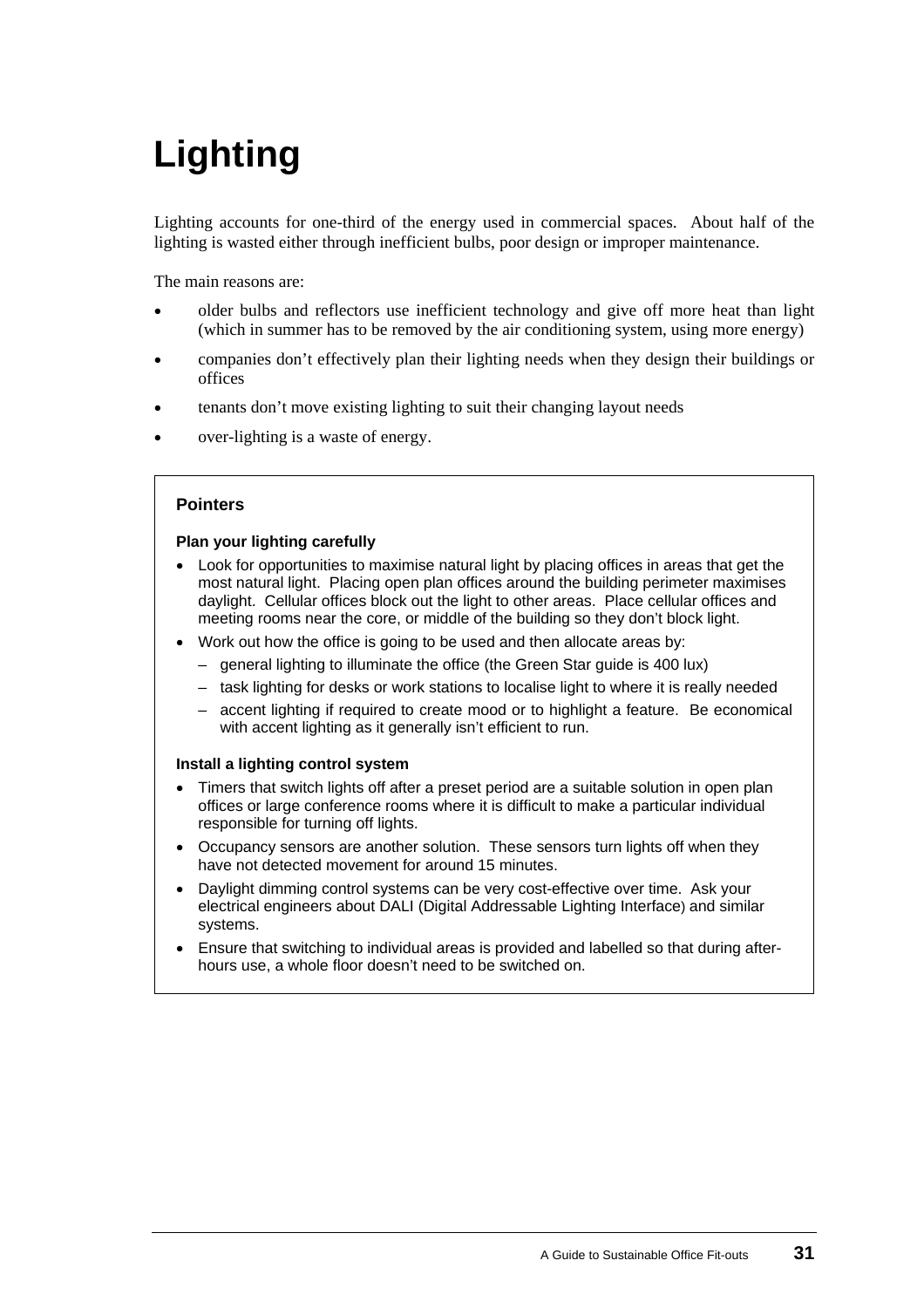# <span id="page-34-0"></span>**Lighting**

Lighting accounts for one-third of the energy used in commercial spaces. About half of the lighting is wasted either through inefficient bulbs, poor design or improper maintenance.

The main reasons are:

- older bulbs and reflectors use inefficient technology and give off more heat than light (which in summer has to be removed by the air conditioning system, using more energy) •
- companies don't effectively plan their lighting needs when they design their buildings or offices
- tenants don't move existing lighting to suit their changing layout needs
- over-lighting is a waste of energy.

#### **Pointers**

#### **Plan your lighting carefully**

- Look for opportunities to maximise natural light by placing offices in areas that get the most natural light. Placing open plan offices around the building perimeter maximises daylight. Cellular offices block out the light to other areas. Place cellular offices and meeting rooms near the core, or middle of the building so they don't block light.
- Work out how the office is going to be used and then allocate areas by:
	- general lighting to illuminate the office (the Green Star guide is 400 lux)
	- task lighting for desks or work stations to localise light to where it is really needed
	- accent lighting if required to create mood or to highlight a feature. Be economical with accent lighting as it generally isn't efficient to run.

#### **Install a lighting control system**

- Timers that switch lights off after a preset period are a suitable solution in open plan offices or large conference rooms where it is difficult to make a particular individual responsible for turning off lights.
- Occupancy sensors are another solution. These sensors turn lights off when they have not detected movement for around 15 minutes.
- Daylight dimming control systems can be very cost-effective over time. Ask your electrical engineers about DALI (Digital Addressable Lighting Interface) and similar systems.
- Ensure that switching to individual areas is provided and labelled so that during afterhours use, a whole floor doesn't need to be switched on.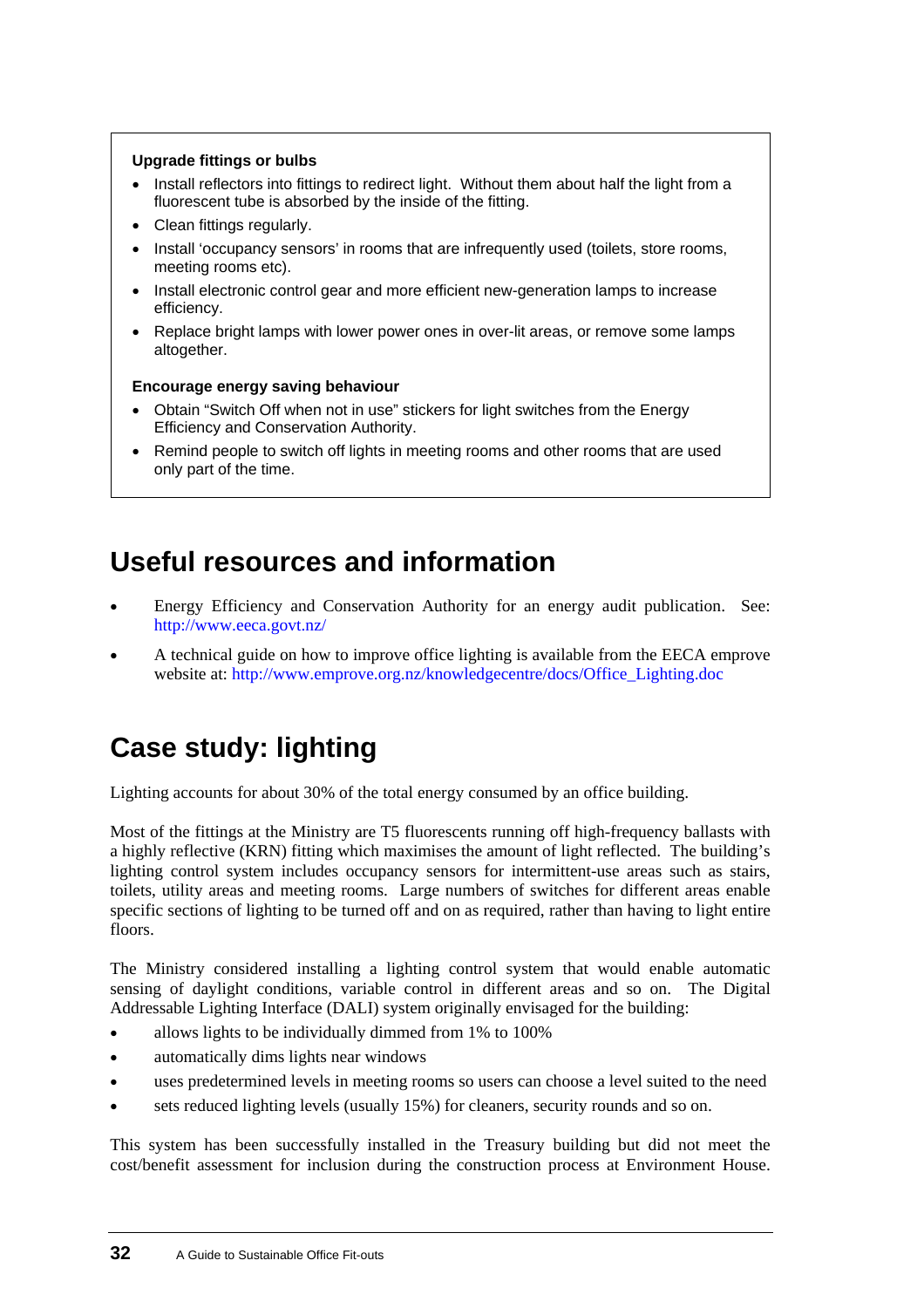#### **Upgrade fittings or bulbs**

- Install reflectors into fittings to redirect light. Without them about half the light from a fluorescent tube is absorbed by the inside of the fitting.
- Clean fittings regularly.
- Install 'occupancy sensors' in rooms that are infrequently used (toilets, store rooms, meeting rooms etc).
- Install electronic control gear and more efficient new-generation lamps to increase efficiency.
- Replace bright lamps with lower power ones in over-lit areas, or remove some lamps altogether.

#### **Encourage energy saving behaviour**

- Obtain "Switch Off when not in use" stickers for light switches from the Energy Efficiency and Conservation Authority.
- Remind people to switch off lights in meeting rooms and other rooms that are used only part of the time.

## **Useful resources and information**

- Energy Efficiency and Conservation Authority for an energy audit publication. See: <http://www.eeca.govt.nz/> •
- A technical guide on how to improve office lighting is available from the EECA emprove website at: [http://www.emprove.org.nz/knowledgecentre/docs/Office\\_Lighting.doc](http://www.emprove.org.nz/knowledgecentre/docs/Office_Lighting.doc)

## **Case study: lighting**

Lighting accounts for about 30% of the total energy consumed by an office building.

Most of the fittings at the Ministry are T5 fluorescents running off high-frequency ballasts with a highly reflective (KRN) fitting which maximises the amount of light reflected. The building's lighting control system includes occupancy sensors for intermittent-use areas such as stairs, toilets, utility areas and meeting rooms. Large numbers of switches for different areas enable specific sections of lighting to be turned off and on as required, rather than having to light entire floors.

The Ministry considered installing a lighting control system that would enable automatic sensing of daylight conditions, variable control in different areas and so on. The Digital Addressable Lighting Interface (DALI) system originally envisaged for the building:

- allows lights to be individually dimmed from 1% to 100%
- automatically dims lights near windows
- uses predetermined levels in meeting rooms so users can choose a level suited to the need
- sets reduced lighting levels (usually 15%) for cleaners, security rounds and so on.

This system has been successfully installed in the Treasury building but did not meet the cost/benefit assessment for inclusion during the construction process at Environment House.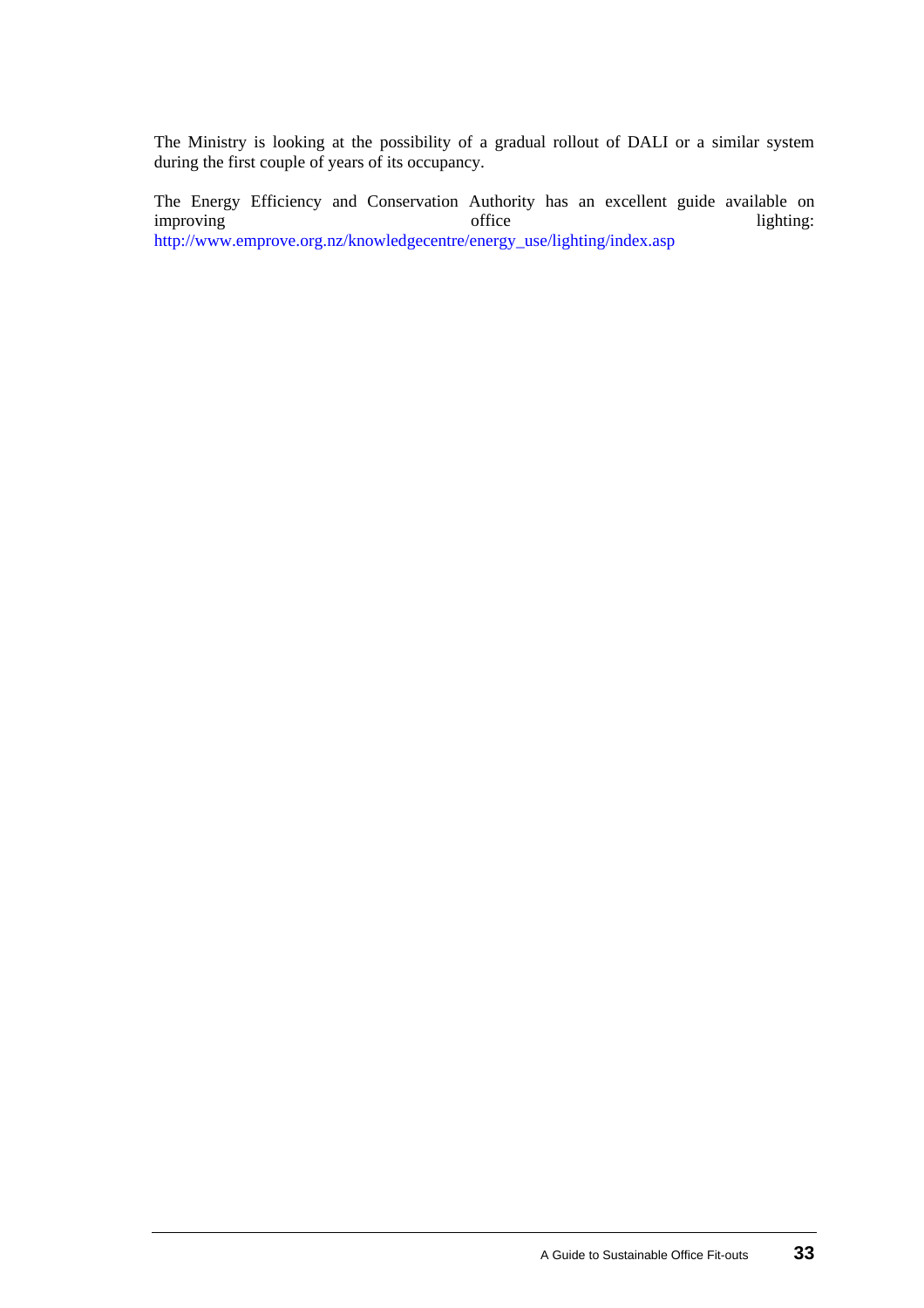The Ministry is looking at the possibility of a gradual rollout of DALI or a similar system during the first couple of years of its occupancy.

The Energy Efficiency and Conservation Authority has an excellent guide available on improving lighting: improving lighting:  $\frac{1}{2}$  office lighting: [http://www.emprove.org.nz/knowledgecentre/energy\\_use/lighting/index.asp](http://www.emprove.org.nz/knowledgecentre/energy_use/lighting/index.asp)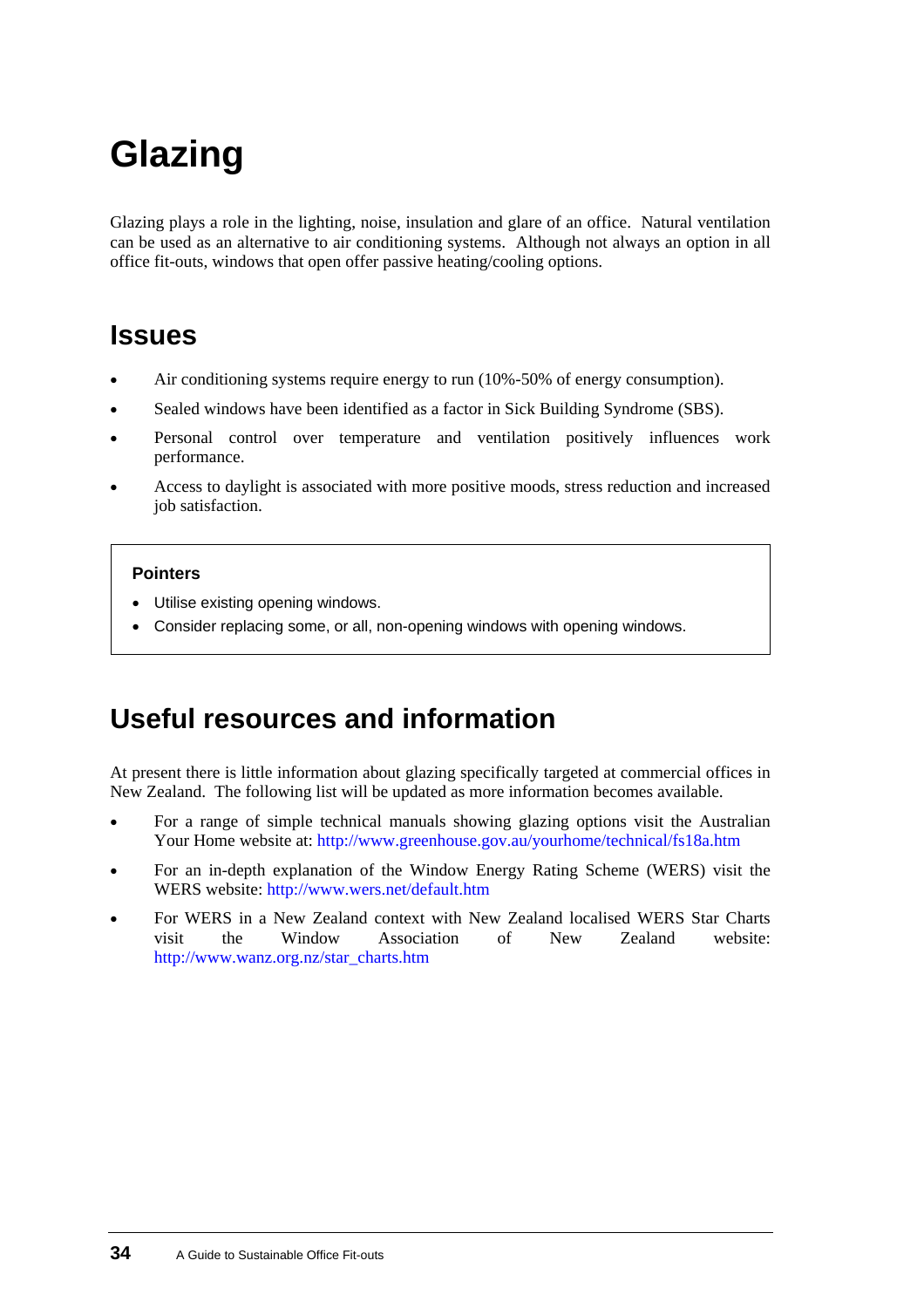# <span id="page-37-0"></span>**Glazing**

Glazing plays a role in the lighting, noise, insulation and glare of an office. Natural ventilation can be used as an alternative to air conditioning systems. Although not always an option in all office fit-outs, windows that open offer passive heating/cooling options.

## **Issues**

- Air conditioning systems require energy to run (10%-50% of energy consumption).
- Sealed windows have been identified as a factor in Sick Building Syndrome (SBS).
- Personal control over temperature and ventilation positively influences work performance.
- Access to daylight is associated with more positive moods, stress reduction and increased job satisfaction.

#### **Pointers**

- Utilise existing opening windows.
- Consider replacing some, or all, non-opening windows with opening windows.

## **Useful resources and information**

At present there is little information about glazing specifically targeted at commercial offices in New Zealand. The following list will be updated as more information becomes available.

- For a range of simple technical manuals showing glazing options visit the Australian Your Home website at:<http://www.greenhouse.gov.au/yourhome/technical/fs18a.htm> •
- For an in-depth explanation of the Window Energy Rating Scheme (WERS) visit the WERS website:<http://www.wers.net/default.htm>
- For WERS in a New Zealand context with New Zealand localised WERS Star Charts visit the Window Association of New Zealand website: [http://www.wanz.org.nz/star\\_charts.htm](http://www.wanz.org.nz/star_charts.htm)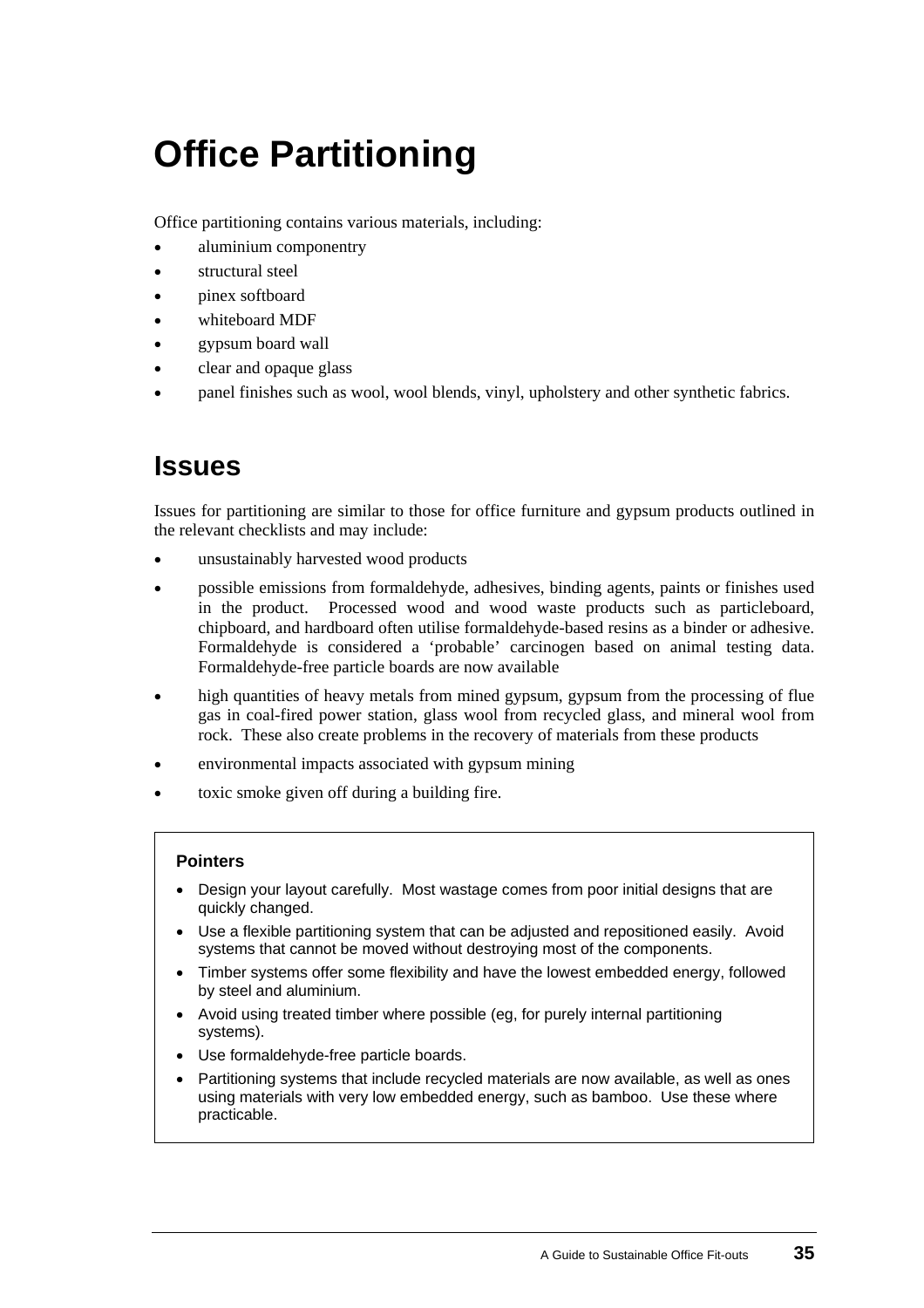# <span id="page-38-0"></span>**Office Partitioning**

Office partitioning contains various materials, including:

- aluminium componentry
- structural steel
- pinex softboard
- whiteboard MDF
- gypsum board wall
- clear and opaque glass
- panel finishes such as wool, wool blends, vinyl, upholstery and other synthetic fabrics.

### **Issues**

Issues for partitioning are similar to those for office furniture and gypsum products outlined in the relevant checklists and may include:

- unsustainably harvested wood products
- possible emissions from formaldehyde, adhesives, binding agents, paints or finishes used in the product. Processed wood and wood waste products such as particleboard, chipboard, and hardboard often utilise formaldehyde-based resins as a binder or adhesive. Formaldehyde is considered a 'probable' carcinogen based on animal testing data. Formaldehyde-free particle boards are now available
- high quantities of heavy metals from mined gypsum, gypsum from the processing of flue gas in coal-fired power station, glass wool from recycled glass, and mineral wool from rock. These also create problems in the recovery of materials from these products
- environmental impacts associated with gypsum mining
- toxic smoke given off during a building fire.

#### **Pointers**

- Design your layout carefully. Most wastage comes from poor initial designs that are quickly changed.
- Use a flexible partitioning system that can be adjusted and repositioned easily. Avoid systems that cannot be moved without destroying most of the components.
- Timber systems offer some flexibility and have the lowest embedded energy, followed by steel and aluminium.
- Avoid using treated timber where possible (eg, for purely internal partitioning systems).
- Use formaldehyde-free particle boards.
- Partitioning systems that include recycled materials are now available, as well as ones using materials with very low embedded energy, such as bamboo. Use these where practicable.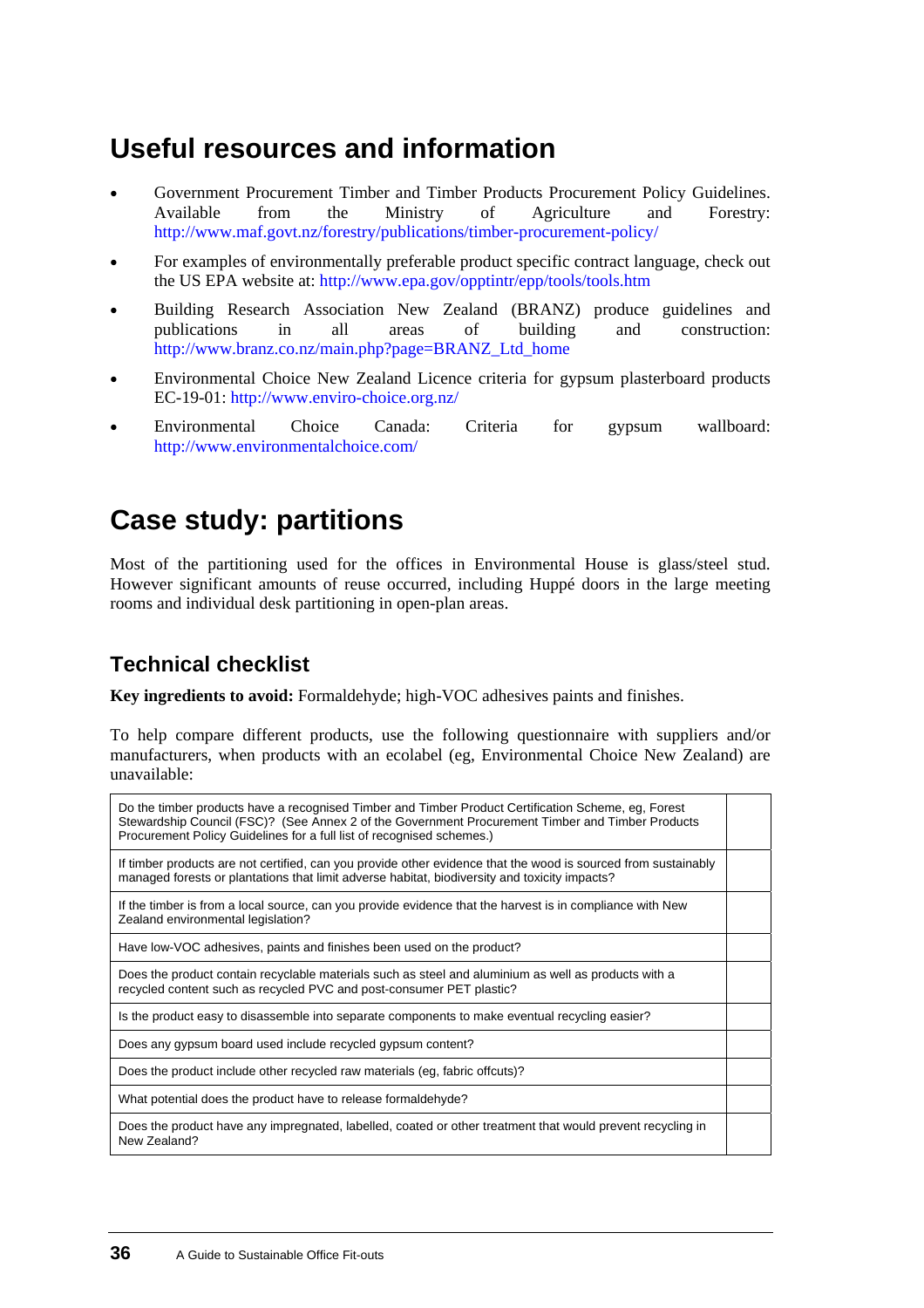## **Useful resources and information**

- Government Procurement Timber and Timber Products Procurement Policy Guidelines. Available from the Ministry of Agriculture and Forestry: [http://www.maf.govt.nz/forestry/publications/timber-procurement-policy/](http://www.maf.govt.nz/forestry/publications/timber-procurement-policy) •
- For examples of environmentally preferable product specific contract language, check out the US EPA website at: [http://www.epa.gov/opptintr/epp/tools/tools.htm](mailto:http://www.epa.gov/opptintr/epp/tools/tools.htm)
- Building Research Association New Zealand (BRANZ) produce guidelines and publications in all areas of building and construction: [http://www.branz.co.nz/main.php?page=BRANZ\\_Ltd\\_home](http://www.branz.co.nz/main.php?page=BRANZ_Ltd_home)
- Environmental Choice New Zealand Licence criteria for gypsum plasterboard products EC-19-01:<http://www.enviro-choice.org.nz/>
- Environmental Choice Canada: Criteria for gypsum wallboard: <http://www.environmentalchoice.com/>

## **[Case study:](#page-0-0) partitions**

Most of the partitioning used for the offices in Environmental House is glass/steel stud. However significant amounts of reuse occurred, including Huppé doors in the large meeting rooms and individual desk partitioning in open-plan areas.

### **Technical checklist**

**Key ingredients to avoid:** Formaldehyde; high-VOC adhesives paints and finishes.

To help compare different products, use the following questionnaire with suppliers and/or manufacturers, when products with an ecolabel (eg, Environmental Choice New Zealand) are unavailable:

| Do the timber products have a recognised Timber and Timber Product Certification Scheme, eg, Forest<br>Stewardship Council (FSC)? (See Annex 2 of the Government Procurement Timber and Timber Products<br>Procurement Policy Guidelines for a full list of recognised schemes.) |  |
|----------------------------------------------------------------------------------------------------------------------------------------------------------------------------------------------------------------------------------------------------------------------------------|--|
| If timber products are not certified, can you provide other evidence that the wood is sourced from sustainably<br>managed forests or plantations that limit adverse habitat, biodiversity and toxicity impacts?                                                                  |  |
| If the timber is from a local source, can you provide evidence that the harvest is in compliance with New<br>Zealand environmental legislation?                                                                                                                                  |  |
| Have low-VOC adhesives, paints and finishes been used on the product?                                                                                                                                                                                                            |  |
| Does the product contain recyclable materials such as steel and aluminium as well as products with a<br>recycled content such as recycled PVC and post-consumer PET plastic?                                                                                                     |  |
| Is the product easy to disassemble into separate components to make eventual recycling easier?                                                                                                                                                                                   |  |
| Does any gypsum board used include recycled gypsum content?                                                                                                                                                                                                                      |  |
| Does the product include other recycled raw materials (eg, fabric offcuts)?                                                                                                                                                                                                      |  |
| What potential does the product have to release formaldehyde?                                                                                                                                                                                                                    |  |
| Does the product have any impregnated, labelled, coated or other treatment that would prevent recycling in<br>New Zealand?                                                                                                                                                       |  |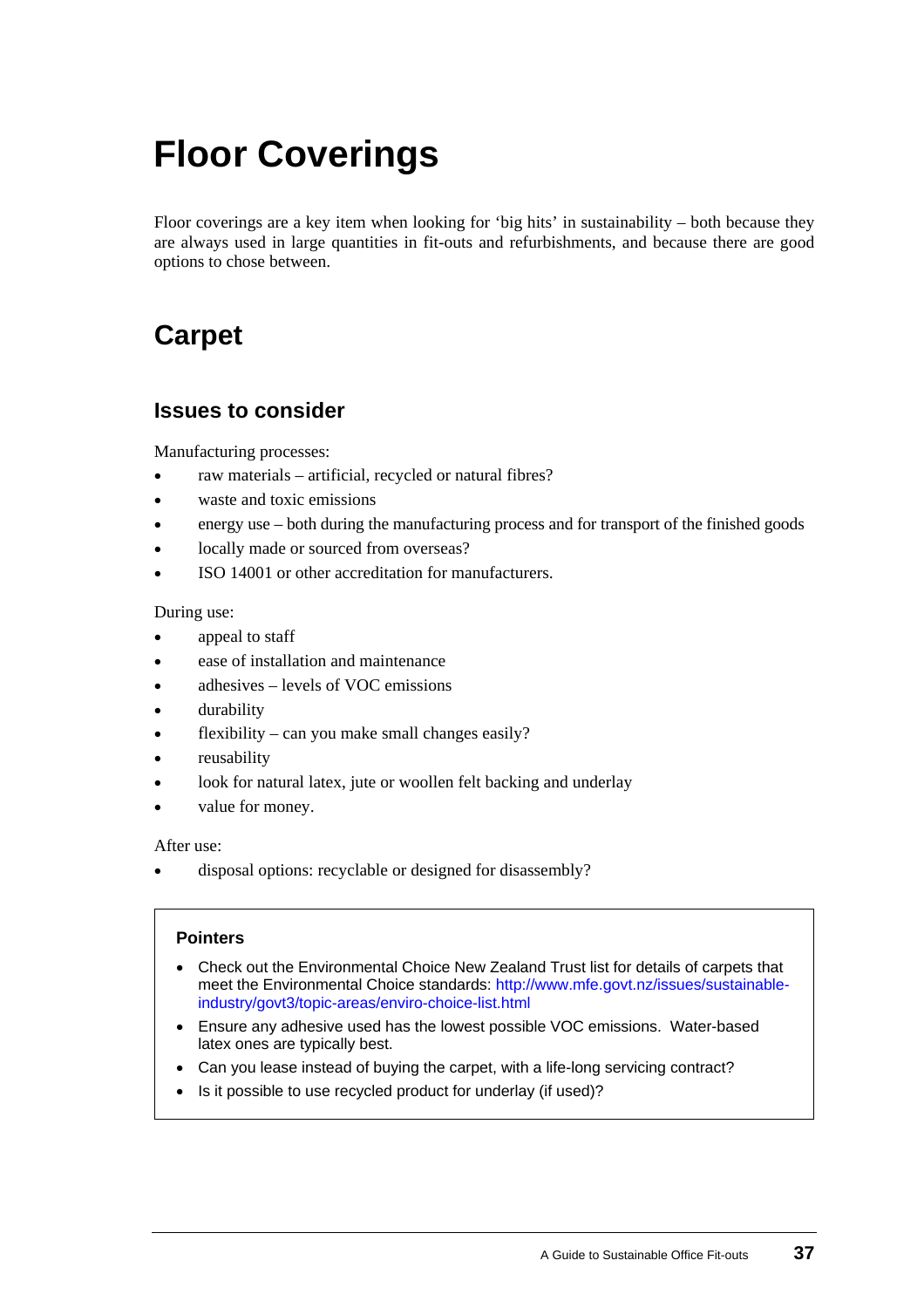# <span id="page-40-0"></span>**Floor Coverings**

Floor coverings are a key item when looking for 'big hits' in sustainability – both because they are always used in large quantities in fit-outs and refurbishments, and because there are good options to chose between.

## **Carpet**

### **Issues to consider**

Manufacturing processes:

- raw materials artificial, recycled or natural fibres?
- waste and toxic emissions
- energy use – both during the manufacturing process and for transport of the finished goods
- locally made or sourced from overseas?
- ISO 14001 or other accreditation for manufacturers.

During use:

- appeal to staff
- ease of installation and maintenance
- adhesives – levels of VOC emissions
- durability
- flexibility – can you make small changes easily?
- reusability
- look for natural latex, jute or woollen felt backing and underlay
- value for money.

After use:

• disposal options: recyclable or designed for disassembly?

#### **Pointers**

- Check out the Environmental Choice New Zealand Trust list for details of carpets that meet the Environmental Choice standards: [http://www.mfe.govt.nz/issues/sustainable](http://www.mfe.govt.nz/issues/sustainable-industry/govt3/topic-areas/enviro-choice-list.html)[industry/govt3/topic-areas/enviro-choice-list.html](http://www.mfe.govt.nz/issues/sustainable-industry/govt3/topic-areas/enviro-choice-list.html)
- Ensure any adhesive used has the lowest possible VOC emissions. Water-based latex ones are typically best.
- Can you lease instead of buying the carpet, with a life-long servicing contract?
- Is it possible to use recycled product for underlay (if used)?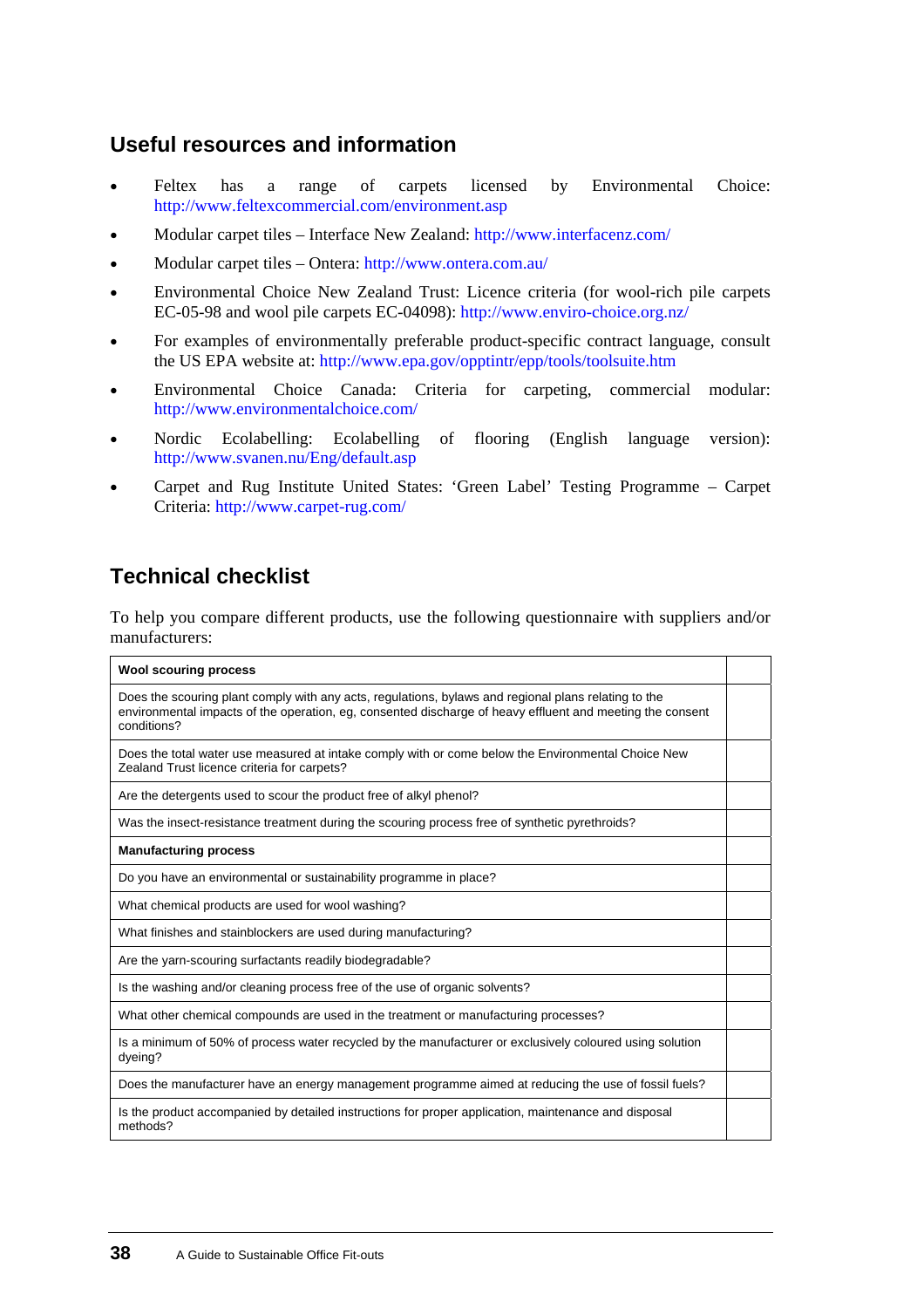### **Useful resources and information**

- Feltex has a range of carpets licensed by Environmental Choice: <http://www.feltexcommercial.com/environment.asp> •
- Modular carpet tiles – Interface New Zealand:<http://www.interfacenz.com/>
- Modular carpet tiles – Ontera: <http://www.ontera.com.au/>
- Environmental Choice New Zealand Trust: Licence criteria (for wool-rich pile carpets EC-05-98 and wool pile carpets EC-04098): <http://www.enviro-choice.org.nz/>
- For examples of environmentally preferable product-specific contract language, consult the US EPA website at: <http://www.epa.gov/opptintr/epp/tools/toolsuite.htm>
- Environmental Choice Canada: Criteria for carpeting, commercial modular: <http://www.environmentalchoice.com/>
- Nordic Ecolabelling: Ecolabelling of flooring (English language version): <http://www.svanen.nu/Eng/default.asp>
- Carpet and Rug Institute United States: 'Green Label' Testing Programme – Carpet Criteria: <http://www.carpet-rug.com/>

### **Technical checklist**

To help you compare different products, use the following questionnaire with suppliers and/or manufacturers:

| <b>Wool scouring process</b>                                                                                                                                                                                                     |  |
|----------------------------------------------------------------------------------------------------------------------------------------------------------------------------------------------------------------------------------|--|
| Does the scouring plant comply with any acts, regulations, bylaws and regional plans relating to the<br>environmental impacts of the operation, eg, consented discharge of heavy effluent and meeting the consent<br>conditions? |  |
| Does the total water use measured at intake comply with or come below the Environmental Choice New<br>Zealand Trust licence criteria for carpets?                                                                                |  |
| Are the detergents used to scour the product free of alkyl phenol?                                                                                                                                                               |  |
| Was the insect-resistance treatment during the scouring process free of synthetic pyrethroids?                                                                                                                                   |  |
| <b>Manufacturing process</b>                                                                                                                                                                                                     |  |
| Do you have an environmental or sustainability programme in place?                                                                                                                                                               |  |
| What chemical products are used for wool washing?                                                                                                                                                                                |  |
| What finishes and stainblockers are used during manufacturing?                                                                                                                                                                   |  |
| Are the yarn-scouring surfactants readily biodegradable?                                                                                                                                                                         |  |
| Is the washing and/or cleaning process free of the use of organic solvents?                                                                                                                                                      |  |
| What other chemical compounds are used in the treatment or manufacturing processes?                                                                                                                                              |  |
| Is a minimum of 50% of process water recycled by the manufacturer or exclusively coloured using solution<br>dyeing?                                                                                                              |  |
| Does the manufacturer have an energy management programme aimed at reducing the use of fossil fuels?                                                                                                                             |  |
| Is the product accompanied by detailed instructions for proper application, maintenance and disposal<br>methods?                                                                                                                 |  |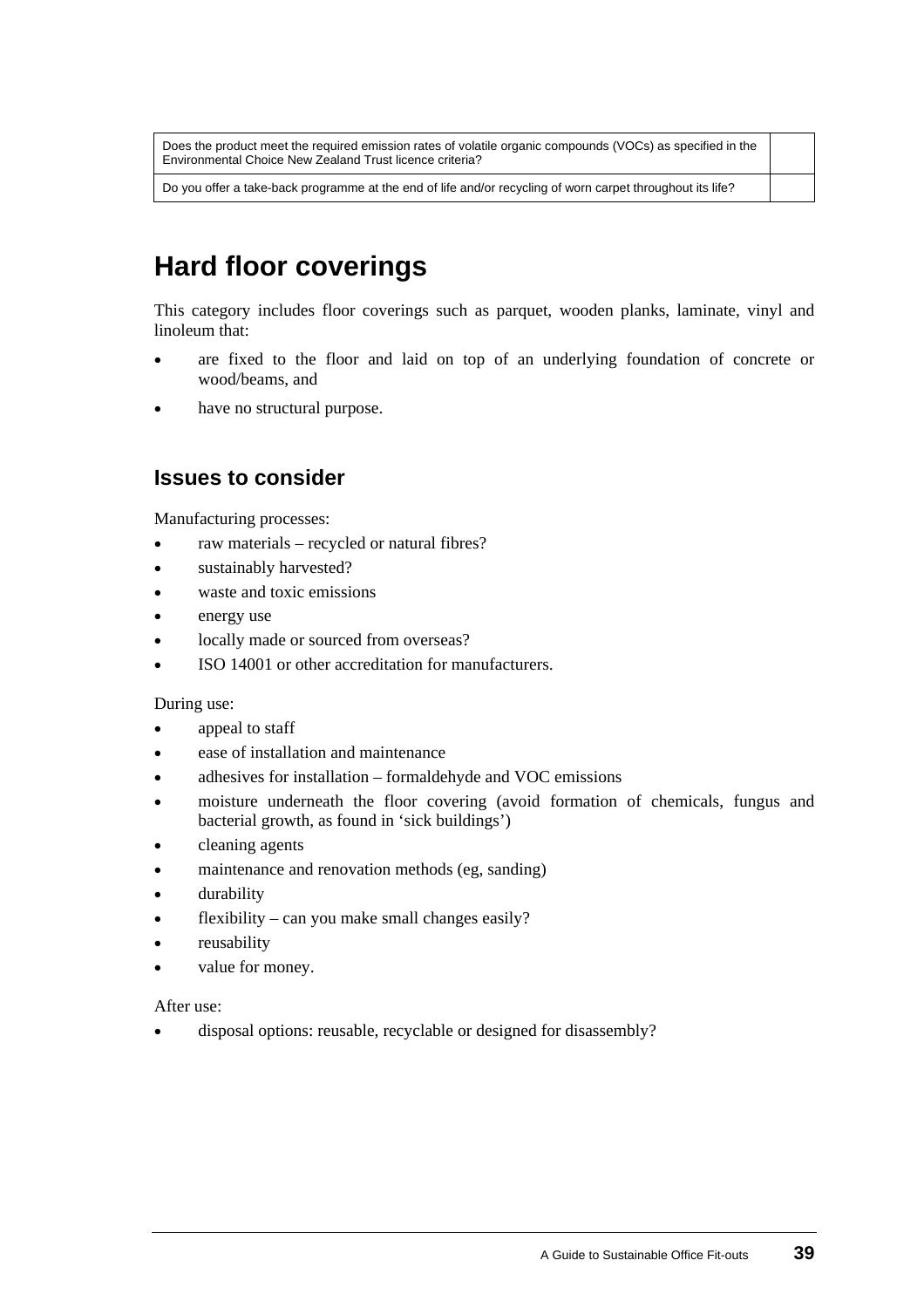Does the product meet the required emission rates of volatile organic compounds (VOCs) as specified in the Environmental Choice New Zealand Trust licence criteria?

Do you offer a take-back programme at the end of life and/or recycling of worn carpet throughout its life?

# **Hard floor coverings**

This category includes floor coverings such as parquet, wooden planks, laminate, vinyl and linoleum that:

- are fixed to the floor and laid on top of an underlying foundation of concrete or wood/beams, and •
- have no structural purpose.

### **Issues to consider**

Manufacturing processes:

- raw materials – recycled or natural fibres?
- sustainably harvested?
- waste and toxic emissions
- energy use
- locally made or sourced from overseas?
- ISO 14001 or other accreditation for manufacturers.

#### During use:

- appeal to staff
- ease of installation and maintenance
- adhesives for installation – formaldehyde and VOC emissions
- moisture underneath the floor covering (avoid formation of chemicals, fungus and bacterial growth, as found in 'sick buildings')
- cleaning agents
- maintenance and renovation methods (eg, sanding)
- durability
- flexibility – can you make small changes easily?
- reusability
- value for money.

After use:

• disposal options: reusable, recyclable or designed for disassembly?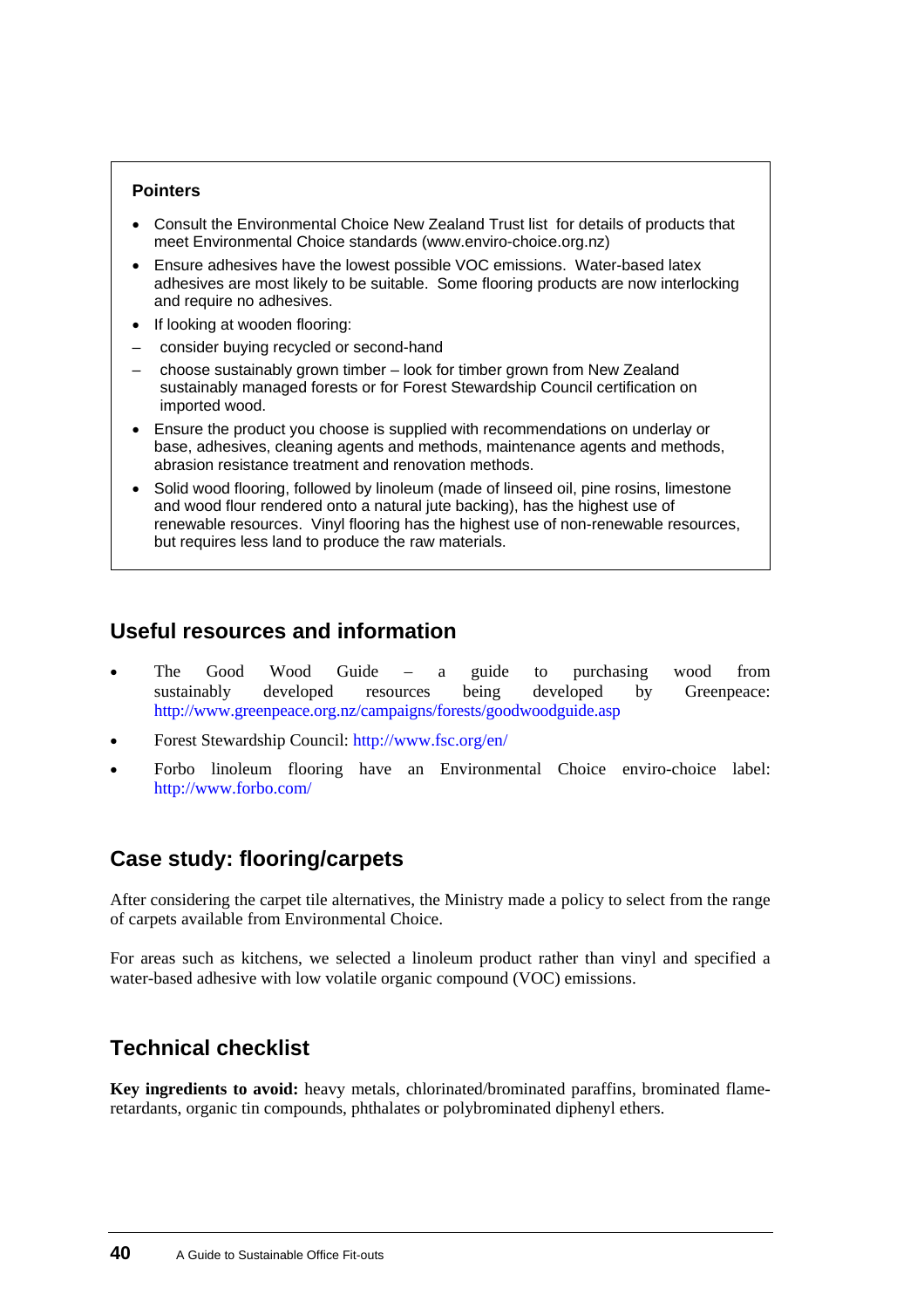#### **Pointers**

- Consult the [Environmental Choice New Zealand Trust list](http://www.mfe.govt.nz/issues/sustainable-industry/govt3/topic-areas/enviro-choice-list.html) for details of products that meet Environmental Choice standards ([www.enviro-choice.org.nz](http://www.enviro-choice.org.nz/))
- Ensure adhesives have the lowest possible VOC emissions. Water-based latex adhesives are most likely to be suitable. Some flooring products are now interlocking and require no adhesives.
- If looking at wooden flooring:
- consider buying recycled or second-hand
- choose sustainably grown timber look for timber grown from New Zealand sustainably managed forests or for Forest Stewardship Council certification on imported wood.
- Ensure the product you choose is supplied with recommendations on underlay or base, adhesives, cleaning agents and methods, maintenance agents and methods, abrasion resistance treatment and renovation methods.
- Solid wood flooring, followed by linoleum (made of linseed oil, pine rosins, limestone and wood flour rendered onto a natural jute backing), has the highest use of renewable resources. Vinyl flooring has the highest use of non-renewable resources, but requires less land to produce the raw materials.

### **Useful resources and information**

- The Good Wood Guide a guide to purchasing wood from sustainably developed resources being developed by Greenpeace: <http://www.greenpeace.org.nz/campaigns/forests/goodwoodguide.asp> •
- Forest Stewardship Council:<http://www.fsc.org/en/>
- Forbo linoleum flooring have an Environmental Choice enviro-choice label: <http://www.forbo.com/>

### **[Case study:](#page-0-0) flooring/carpets**

After considering the carpet tile alternatives, the Ministry made a policy to select from the range of carpets available from Environmental Choice.

For areas such as kitchens, we selected a linoleum product rather than vinyl and specified a water-based adhesive with low volatile organic compound (VOC) emissions.

### **Technical checklist**

**Key ingredients to avoid:** heavy metals, chlorinated/brominated paraffins, brominated flameretardants, organic tin compounds, phthalates or polybrominated diphenyl ethers.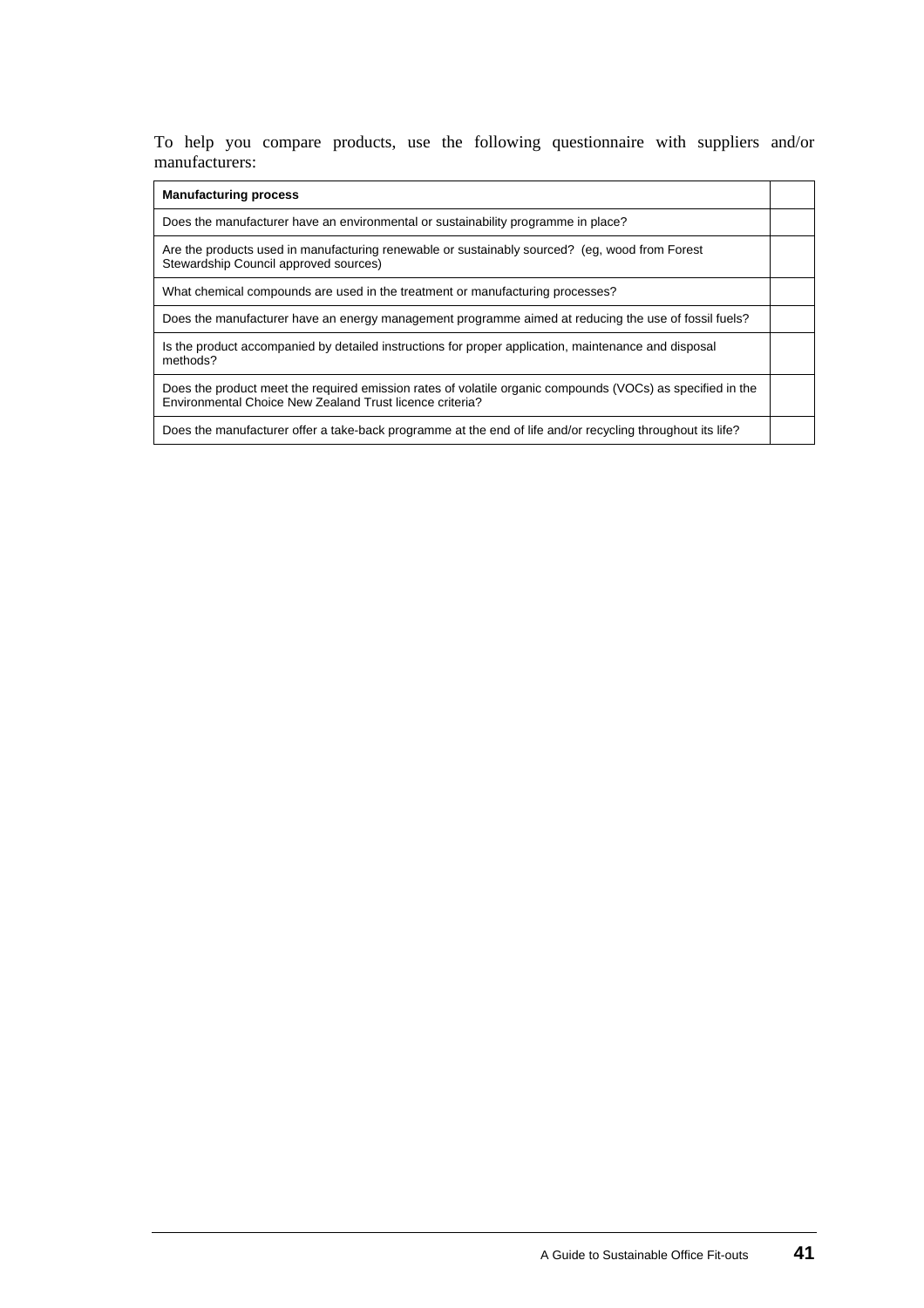To help you compare products, use the following questionnaire with suppliers and/or manufacturers:

#### **Manufacturing process**

| Does the manufacturer have an environmental or sustainability programme in place?                                                                                      |  |
|------------------------------------------------------------------------------------------------------------------------------------------------------------------------|--|
| Are the products used in manufacturing renewable or sustainably sourced? (eq. wood from Forest<br>Stewardship Council approved sources)                                |  |
| What chemical compounds are used in the treatment or manufacturing processes?                                                                                          |  |
| Does the manufacturer have an energy management programme aimed at reducing the use of fossil fuels?                                                                   |  |
| Is the product accompanied by detailed instructions for proper application, maintenance and disposal<br>methods?                                                       |  |
| Does the product meet the required emission rates of volatile organic compounds (VOCs) as specified in the<br>Environmental Choice New Zealand Trust licence criteria? |  |
| Does the manufacturer offer a take-back programme at the end of life and/or recycling throughout its life?                                                             |  |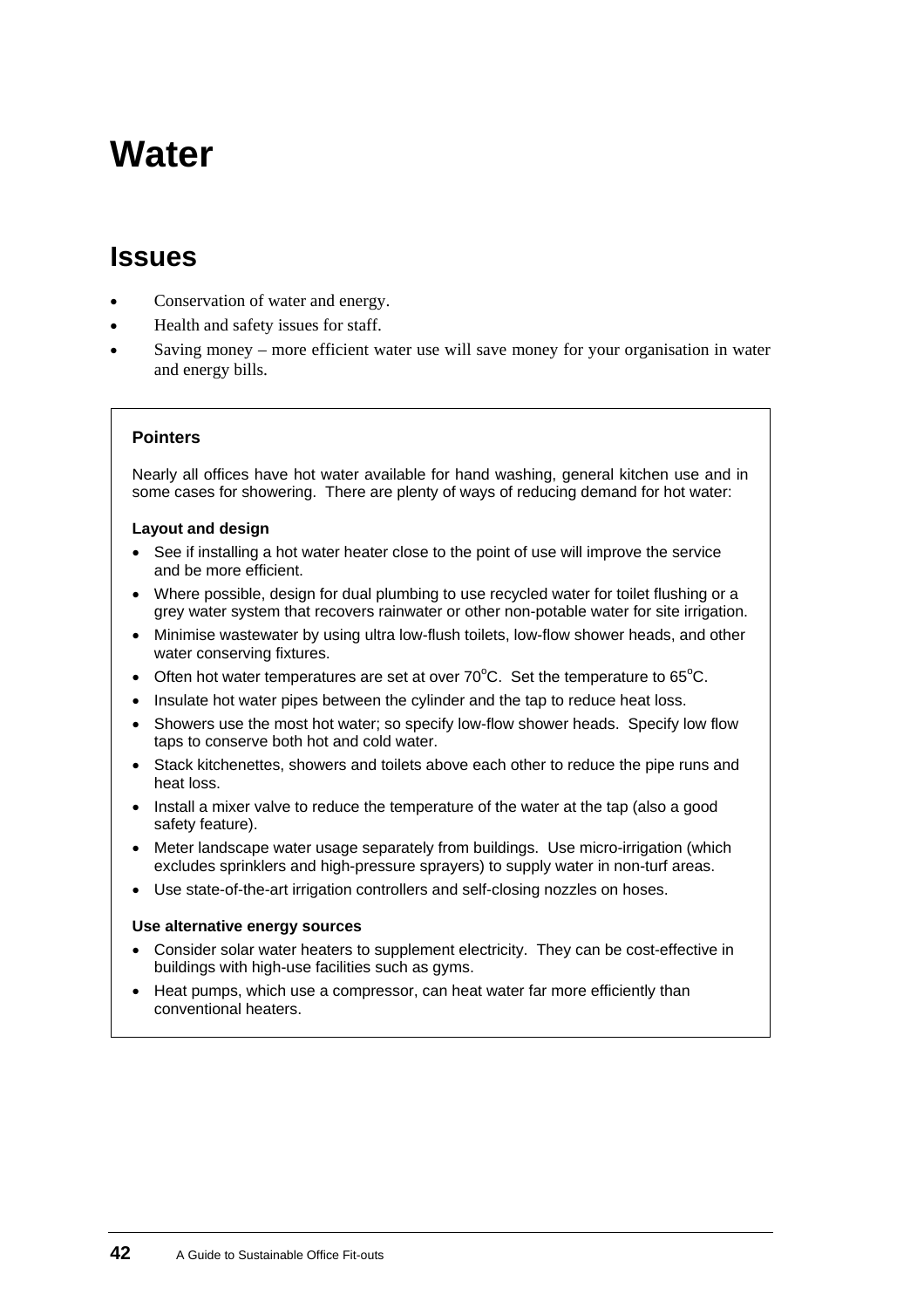# <span id="page-45-0"></span>**Water**

### **Issues**

- Conservation of water and energy.
- Health and safety issues for staff.
- Saving money – more efficient water use will save money for your organisation in water and energy bills.

#### **Pointers**

Nearly all offices have hot water available for hand washing, general kitchen use and in some cases for showering. There are plenty of ways of reducing demand for hot water:

#### **Layout and design**

- See if installing a hot water heater close to the point of use will improve the service and be more efficient.
- Where possible, design for dual plumbing to use recycled water for toilet flushing or a grey water system that recovers rainwater or other non-potable water for site irrigation.
- Minimise wastewater by using ultra low-flush toilets, low-flow shower heads, and other water conserving fixtures.
- Often hot water temperatures are set at over  $70^{\circ}$ C. Set the temperature to 65 $^{\circ}$ C.
- Insulate hot water pipes between the cylinder and the tap to reduce heat loss.
- Showers use the most hot water; so specify low-flow shower heads. Specify low flow taps to conserve both hot and cold water.
- Stack kitchenettes, showers and toilets above each other to reduce the pipe runs and heat loss.
- Install a mixer valve to reduce the temperature of the water at the tap (also a good safety feature).
- Meter landscape water usage separately from buildings. Use micro-irrigation (which excludes sprinklers and high-pressure sprayers) to supply water in non-turf areas.
- Use state-of-the-art irrigation controllers and self-closing nozzles on hoses.

#### **Use alternative energy sources**

- Consider solar water heaters to supplement electricity. They can be cost-effective in buildings with high-use facilities such as gyms.
- Heat pumps, which use a compressor, can heat water far more efficiently than conventional heaters.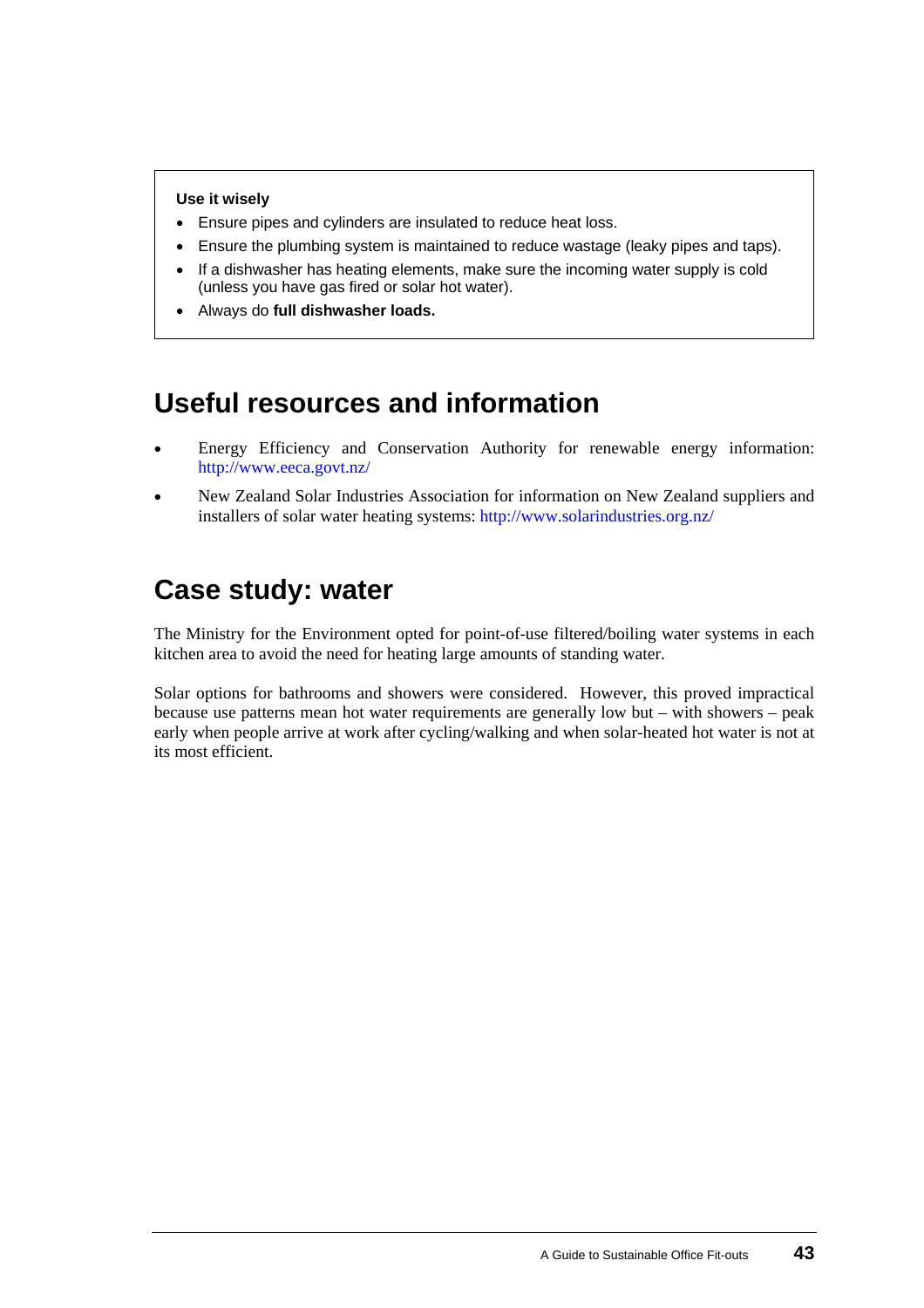#### **Use it wisely**

- Ensure pipes and cylinders are insulated to reduce heat loss.
- Ensure the plumbing system is maintained to reduce wastage (leaky pipes and taps).
- If a dishwasher has heating elements, make sure the incoming water supply is cold (unless you have gas fired or solar hot water).
- Always do **full dishwasher loads.**

## **Useful resources and information**

- Energy Efficiency and Conservation Authority for renewable energy information: <http://www.eeca.govt.nz/> •
- New Zealand Solar Industries Association for information on New Zealand suppliers and installers of solar water heating systems:<http://www.solarindustries.org.nz/>

## **[Case study](#page-0-0): water**

The Ministry for the Environment opted for point-of-use filtered/boiling water systems in each kitchen area to avoid the need for heating large amounts of standing water.

Solar options for bathrooms and showers were considered. However, this proved impractical because use patterns mean hot water requirements are generally low but – with showers – peak early when people arrive at work after cycling/walking and when solar-heated hot water is not at its most efficient.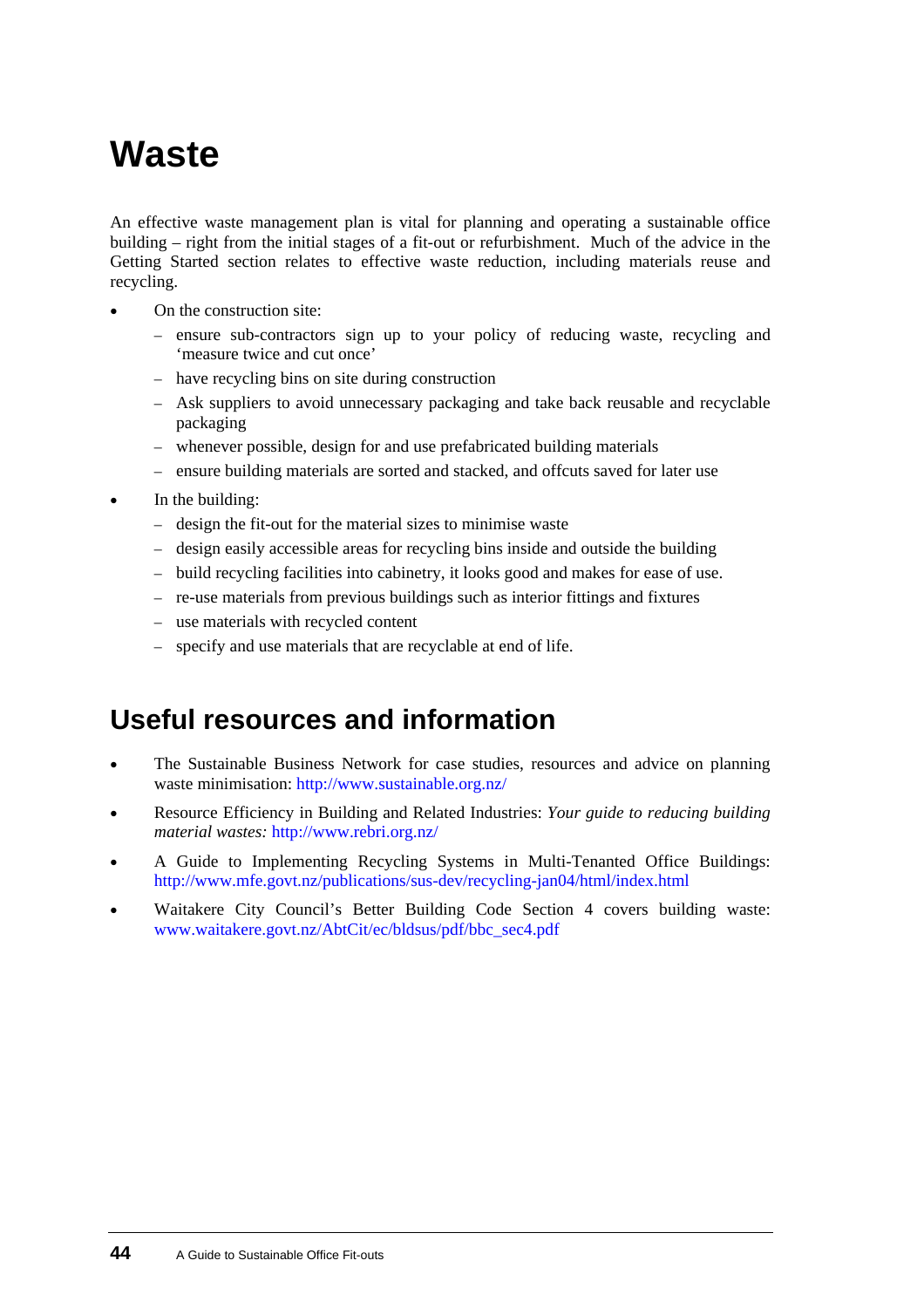# <span id="page-47-0"></span>**Waste**

An effective waste management plan is vital for planning and operating a sustainable office building – right from the initial stages of a fit-out or refurbishment. Much of the advice in the Getting Started section relates to effective waste reduction, including materials reuse and recycling.

- On the construction site:
	- ensure sub-contractors sign up to your policy of reducing waste, recycling and 'measure twice and cut once'
	- have recycling bins on site during construction
	- Ask suppliers to avoid unnecessary packaging and take back reusable and recyclable packaging
	- whenever possible, design for and use prefabricated building materials
	- ensure building materials are sorted and stacked, and offcuts saved for later use
- In the building:
	- design the fit-out for the material sizes to minimise waste
	- design easily accessible areas for recycling bins inside and outside the building
	- build recycling facilities into cabinetry, it looks good and makes for ease of use.
	- re-use materials from previous buildings such as interior fittings and fixtures
	- use materials with recycled content
	- specify and use materials that are recyclable at end of life.

### **Useful resources and information**

- The Sustainable Business Network for case studies, resources and advice on planning waste minimisation:<http://www.sustainable.org.nz/>
- Resource Efficiency in Building and Related Industries: *Your guide to reducing building material wastes:* <http://www.rebri.org.nz/>
- A Guide to Implementing Recycling Systems in Multi-Tenanted Office Buildings: <http://www.mfe.govt.nz/publications/sus-dev/recycling-jan04/html/index.html>
- Waitakere City Council's Better Building Code Section 4 covers building waste: [www.waitakere.govt.nz/AbtCit/ec/bldsus/pdf/bbc\\_sec4.pdf](http://www.waitakere.govt.nz/AbtCit/ec/bldsus/pdf/bbc_sec4.pdf)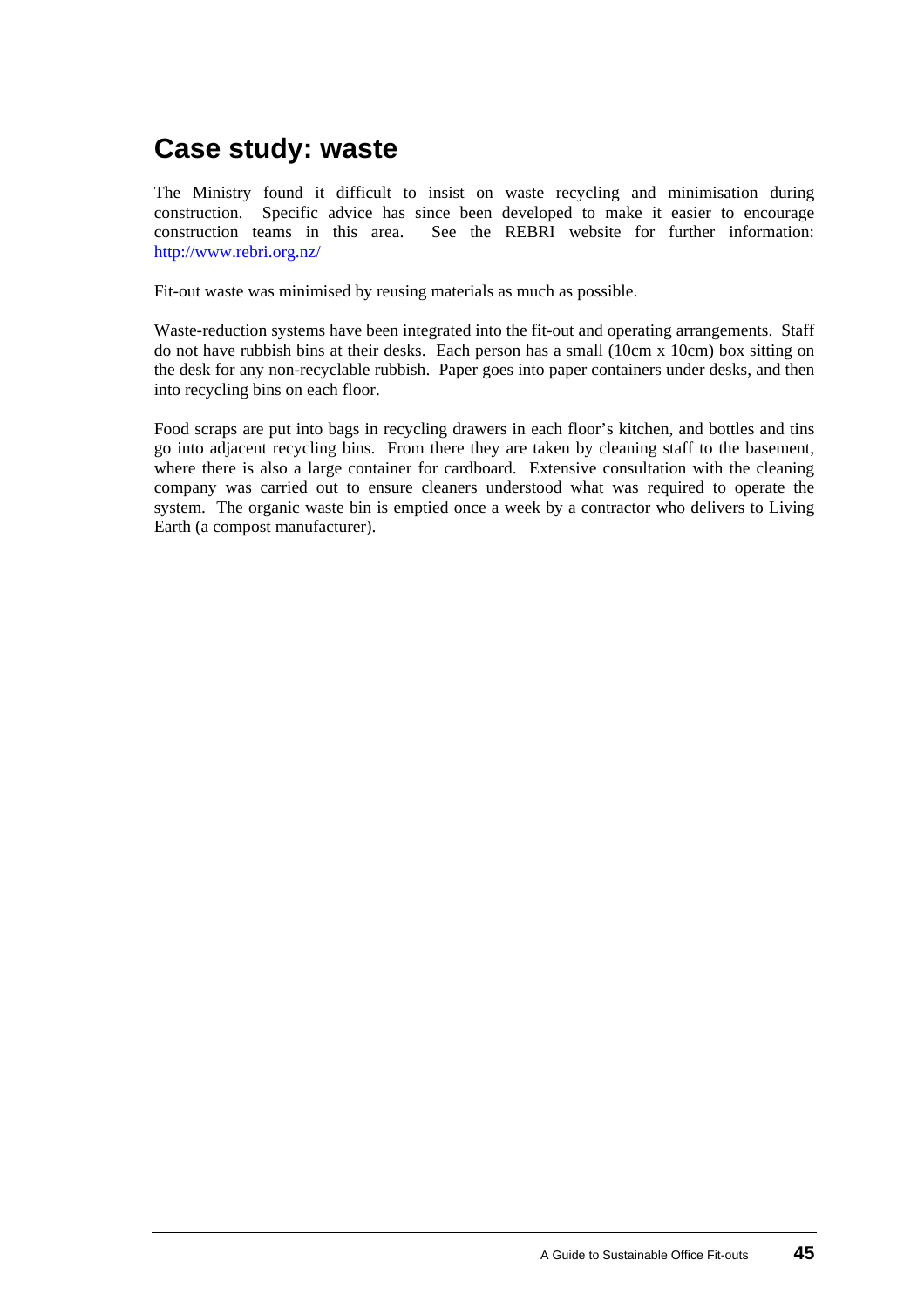## **[Case study](#page-0-0): waste**

The Ministry found it difficult to insist on waste recycling and minimisation during construction. Specific advice has since been developed to make it easier to encourage construction teams in this area. See the REBRI website for further information: <http://www.rebri.org.nz/>

Fit-out waste was minimised by reusing materials as much as possible.

Waste-reduction systems have been integrated into the fit-out and operating arrangements. Staff do not have rubbish bins at their desks. Each person has a small (10cm x 10cm) box sitting on the desk for any non-recyclable rubbish. Paper goes into paper containers under desks, and then into recycling bins on each floor.

Food scraps are put into bags in recycling drawers in each floor's kitchen, and bottles and tins go into adjacent recycling bins. From there they are taken by cleaning staff to the basement, where there is also a large container for cardboard. Extensive consultation with the cleaning company was carried out to ensure cleaners understood what was required to operate the system. The organic waste bin is emptied once a week by a contractor who delivers to Living Earth (a compost manufacturer).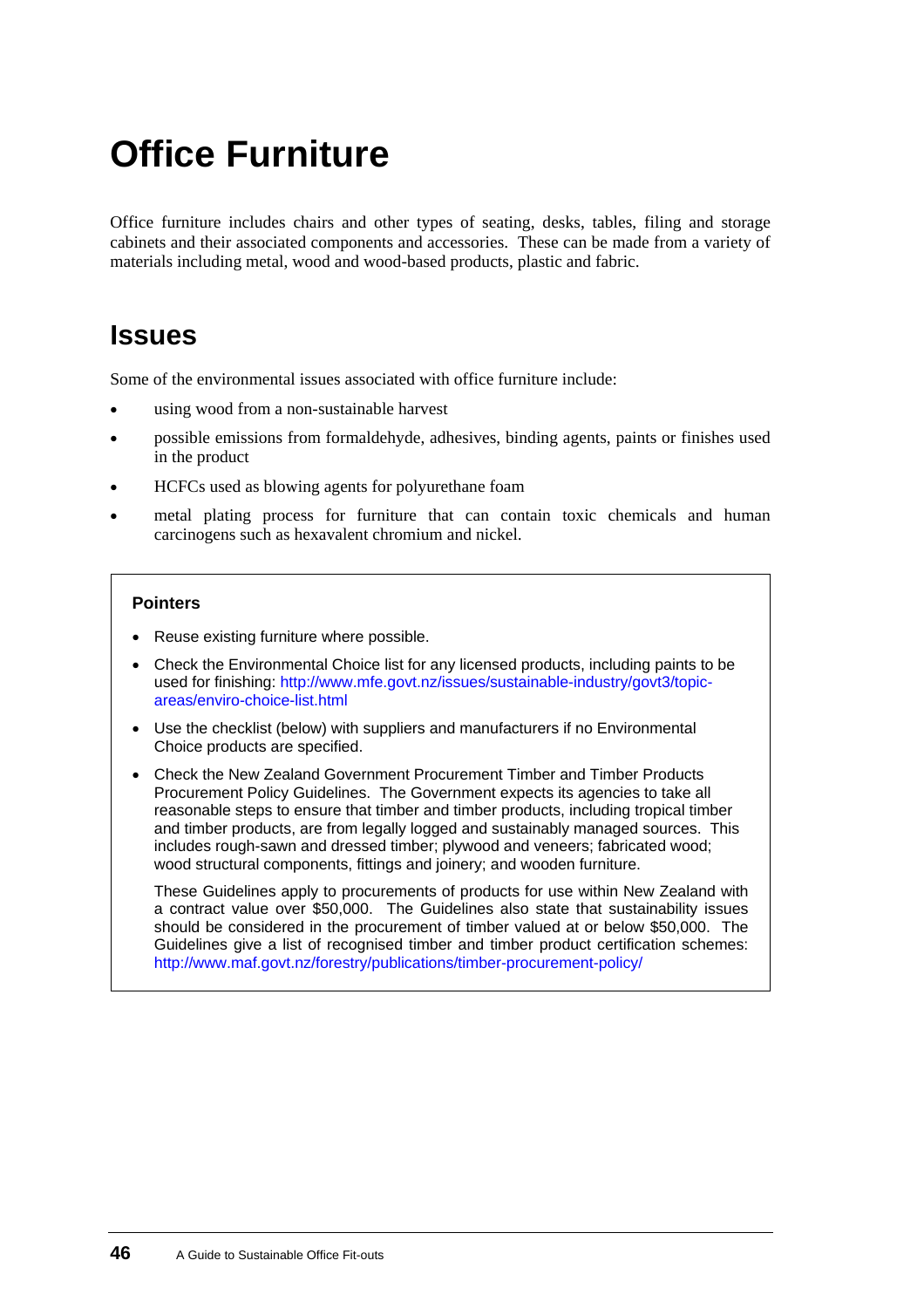# <span id="page-49-0"></span>**Office Furniture**

Office furniture includes chairs and other types of seating, desks, tables, filing and storage cabinets and their associated components and accessories. These can be made from a variety of materials including metal, wood and wood-based products, plastic and fabric.

## **Issues**

Some of the environmental issues associated with office furniture include:

- using wood from a non-sustainable harvest
- possible emissions from formaldehyde, adhesives, binding agents, paints or finishes used in the product
- HCFCs used as blowing agents for polyurethane foam
- metal plating process for furniture that can contain toxic chemicals and human carcinogens such as hexavalent chromium and nickel.

#### **Pointers**

- Reuse existing furniture where possible.
- Check the Environmental Choice list for any licensed products, including paints to be used for finishing: [http://www.mfe.govt.nz/issues/sustainable-industry/govt3/topic](http://www.mfe.govt.nz/issues/sustainable-industry/govt3/topic-areas/enviro-choice-list.html)[areas/enviro-choice-list.html](http://www.mfe.govt.nz/issues/sustainable-industry/govt3/topic-areas/enviro-choice-list.html)
- Use the checklist (below) with suppliers and manufacturers if no Environmental Choice products are specified.
- Check the New Zealand Government Procurement Timber and Timber Products Procurement Policy Guidelines. The Government expects its agencies to take all reasonable steps to ensure that timber and timber products, including tropical timber and timber products, are from legally logged and sustainably managed sources. This includes rough-sawn and dressed timber; plywood and veneers; fabricated wood; wood structural components, fittings and joinery; and wooden furniture.

These Guidelines apply to procurements of products for use within New Zealand with a contract value over \$50,000. The Guidelines also state that sustainability issues should be considered in the procurement of timber valued at or below \$50,000. The Guidelines give a list of recognised timber and timber product certification schemes: [http://www.maf.govt.nz/forestry/publications/timber-procurement-policy/](http://www.maf.govt.nz/forestry/publications/timber-procurement-policy)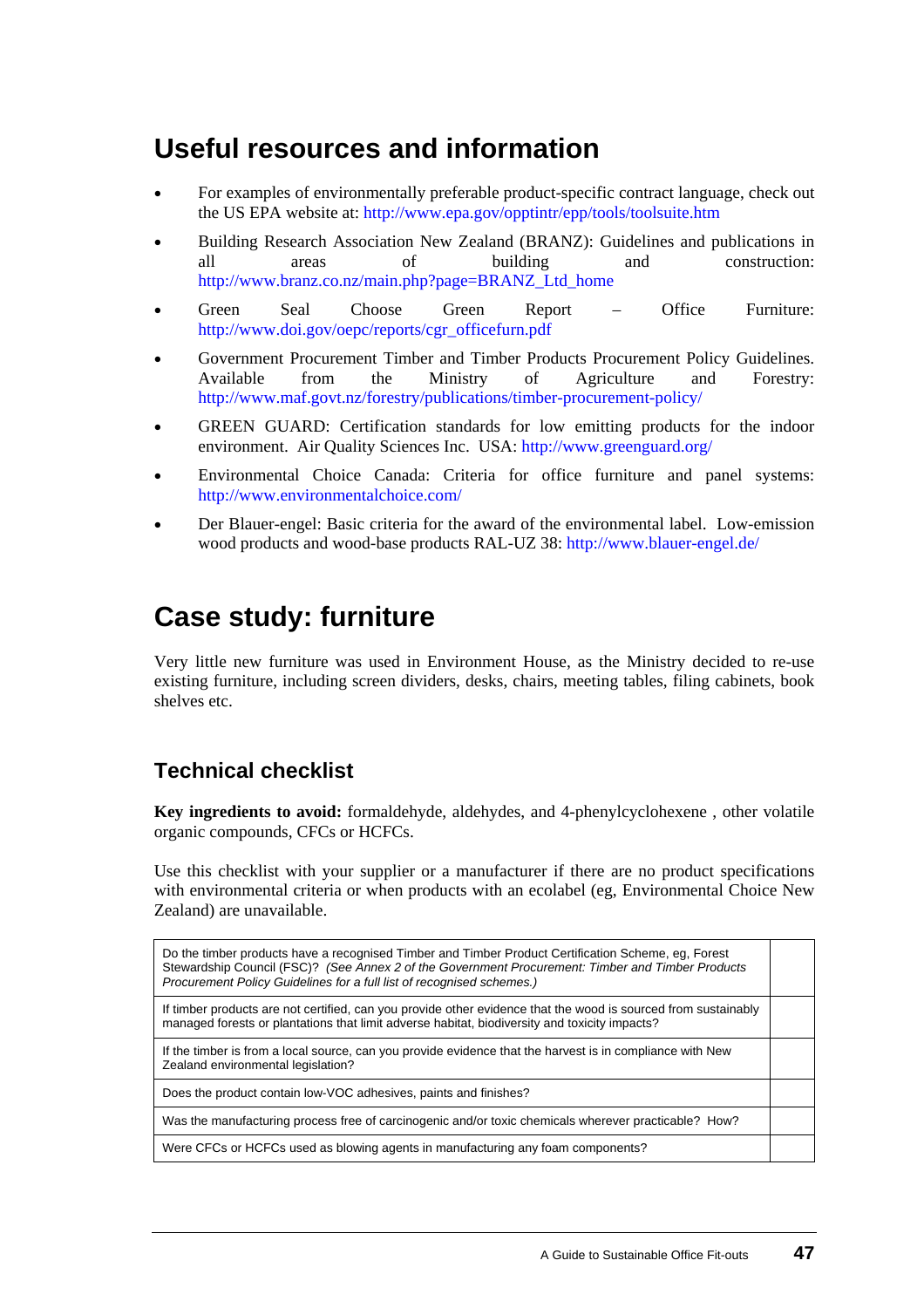## **Useful resources and information**

- For examples of environmentally preferable product-specific contract language, check out the US EPA website at:<http://www.epa.gov/opptintr/epp/tools/toolsuite.htm> •
- Building Research Association New Zealand (BRANZ): Guidelines and publications in all areas of building and construction: [http://www.branz.co.nz/main.php?page=BRANZ\\_Ltd\\_home](mailto:http://www.branz.co.nz/main.php?page=BRANZ_Ltd_home)
- Green Seal Choose Green Report – Office Furniture: [http://www.doi.gov/oepc/reports/cgr\\_officefurn.pdf](http://www.doi.gov/oepc/reports/cgr_officefurn.pdf)
- Government Procurement Timber and Timber Products Procurement Policy Guidelines. Available from the Ministry of Agriculture and Forestry: [http://www.maf.govt.nz/forestry/publications/timber-procurement-policy/](http://www.maf.govt.nz/forestry/publications/timber-procurement-policy)
- GREEN GUARD: Certification standards for low emitting products for the indoor environment. Air Quality Sciences Inc. USA: <http://www.greenguard.org/>
- Environmental Choice Canada: Criteria for office furniture and panel systems: <http://www.environmentalchoice.com/>
- Der Blauer-engel: Basic criteria for the award of the environmental label. Low-emission wood products and wood-base products RAL-UZ 38: <http://www.blauer-engel.de/>

### **[Case study](#page-0-0): furniture**

Very little new furniture was used in Environment House, as the Ministry decided to re-use existing furniture, including screen dividers, desks, chairs, meeting tables, filing cabinets, book shelves etc.

### **Technical checklist**

**Key ingredients to avoid:** formaldehyde, aldehydes, and 4-phenylcyclohexene , other volatile organic compounds, CFCs or HCFCs.

Use this checklist with your supplier or a manufacturer if there are no product specifications with environmental criteria or when products with an ecolabel (eg, Environmental Choice New Zealand) are unavailable.

Do the timber products have a recognised Timber and Timber Product Certification Scheme, eg, Forest Stewardship Council (FSC)? *(See Annex 2 of the Government Procurement: Timber and Timber Products Procurement Policy Guidelines for a full list of recognised schemes.)* 

If timber products are not certified, can you provide other evidence that the wood is sourced from sustainably managed forests or plantations that limit adverse habitat, biodiversity and toxicity impacts?

If the timber is from a local source, can you provide evidence that the harvest is in compliance with New Zealand environmental legislation?

Does the product contain low-VOC adhesives, paints and finishes?

Was the manufacturing process free of carcinogenic and/or toxic chemicals wherever practicable? How?

Were CFCs or HCFCs used as blowing agents in manufacturing any foam components?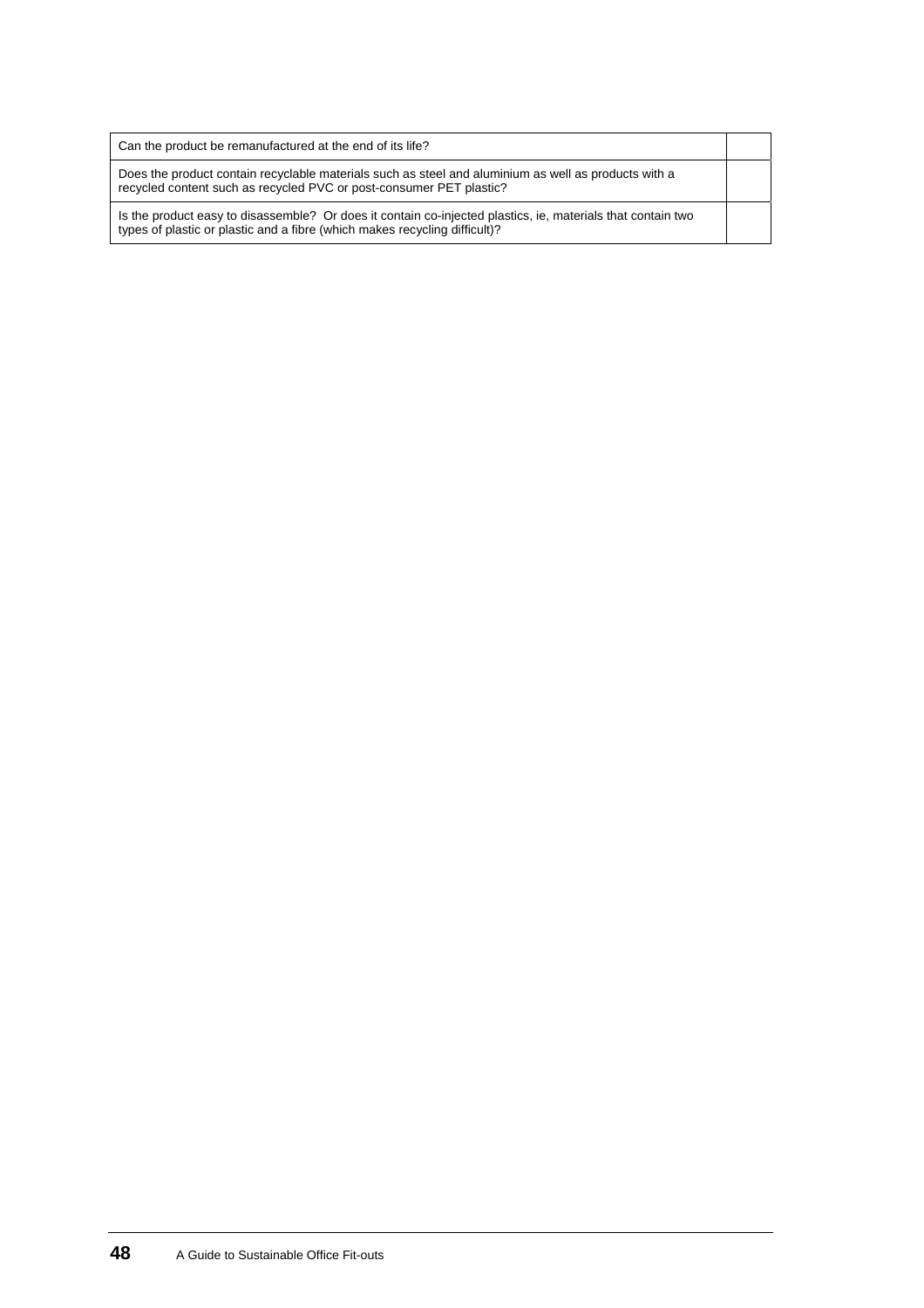| Can the product be remanufactured at the end of its life?                                                                                                                                 |  |
|-------------------------------------------------------------------------------------------------------------------------------------------------------------------------------------------|--|
| Does the product contain recyclable materials such as steel and aluminium as well as products with a<br>recycled content such as recycled PVC or post-consumer PET plastic?               |  |
| Is the product easy to disassemble? Or does it contain co-injected plastics, ie, materials that contain two<br>types of plastic or plastic and a fibre (which makes recycling difficult)? |  |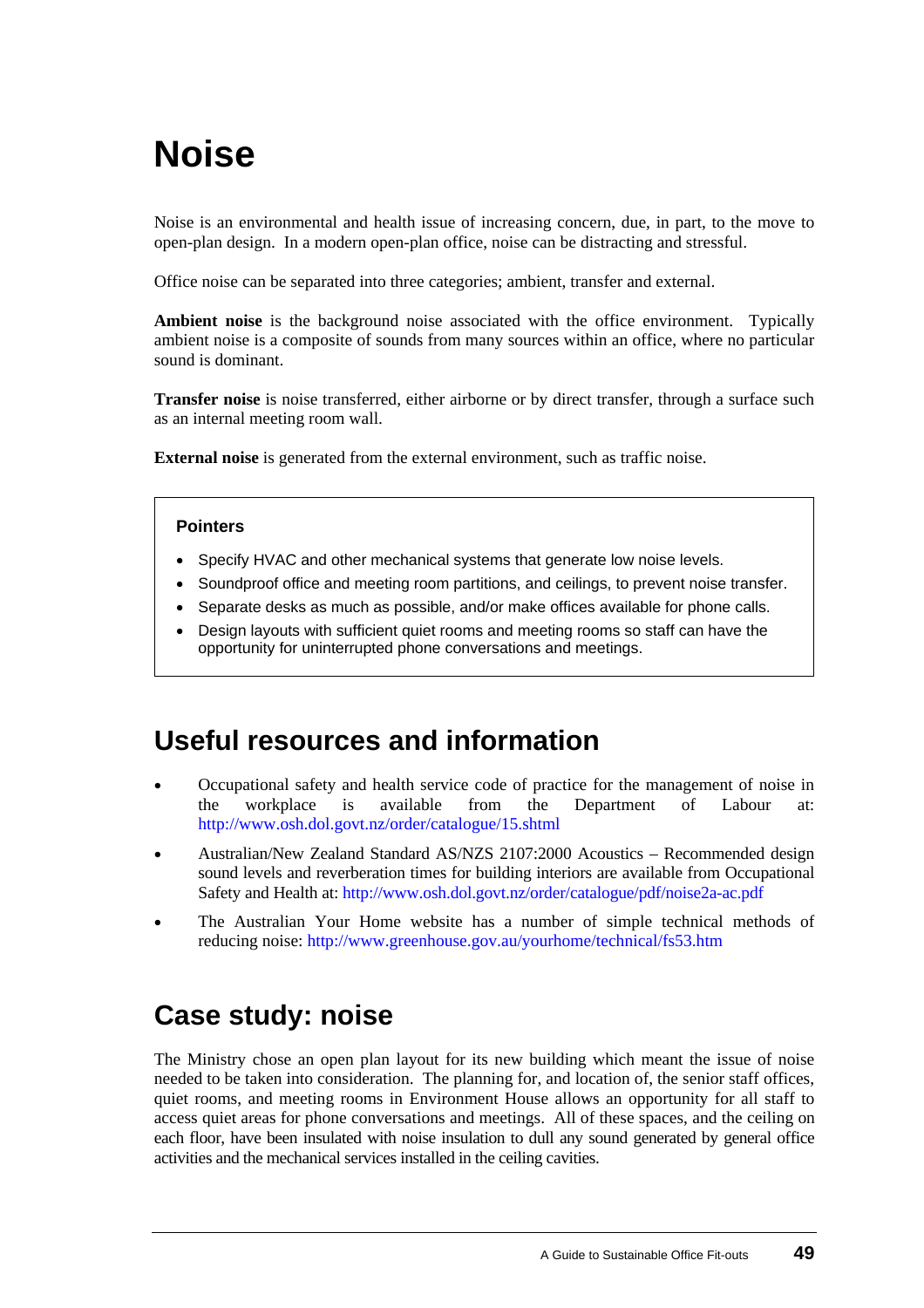# <span id="page-52-0"></span>**Noise**

Noise is an environmental and health issue of increasing concern, due, in part, to the move to open-plan design. In a modern open-plan office, noise can be distracting and stressful.

Office noise can be separated into three categories; ambient, transfer and external.

**Ambient noise** is the background noise associated with the office environment. Typically ambient noise is a composite of sounds from many sources within an office, where no particular sound is dominant.

**Transfer noise** is noise transferred, either airborne or by direct transfer, through a surface such as an internal meeting room wall.

**External noise** is generated from the external environment, such as traffic noise.

#### **Pointers**

- Specify HVAC and other mechanical systems that generate low noise levels.
- Soundproof office and meeting room partitions, and ceilings, to prevent noise transfer.
- Separate desks as much as possible, and/or make offices available for phone calls.
- Design layouts with sufficient quiet rooms and meeting rooms so staff can have the opportunity for uninterrupted phone conversations and meetings.

## **Useful resources and information**

- Occupational safety and health service code of practice for the management of noise in the workplace is available from the Department of Labour at: <http://www.osh.dol.govt.nz/order/catalogue/15.shtml> •
- Australian/New Zealand Standard AS/NZS 2107:2000 Acoustics – Recommended design sound levels and reverberation times for building interiors are available from Occupational Safety and Health at: <http://www.osh.dol.govt.nz/order/catalogue/pdf/noise2a-ac.pdf>
- The Australian Your Home website has a number of simple technical methods of reducing noise: [http://www.greenhouse.gov.au/yourhome/technical/fs53.htm](mailto:http://www.greenhouse.gov.au/yourhome/technical/fs53.htm)

## **[Case study](#page-0-0): noise**

The Ministry chose an open plan layout for its new building which meant the issue of noise needed to be taken into consideration. The planning for, and location of, the senior staff offices, quiet rooms, and meeting rooms in Environment House allows an opportunity for all staff to access quiet areas for phone conversations and meetings. All of these spaces, and the ceiling on each floor, have been insulated with noise insulation to dull any sound generated by general office activities and the mechanical services installed in the ceiling cavities.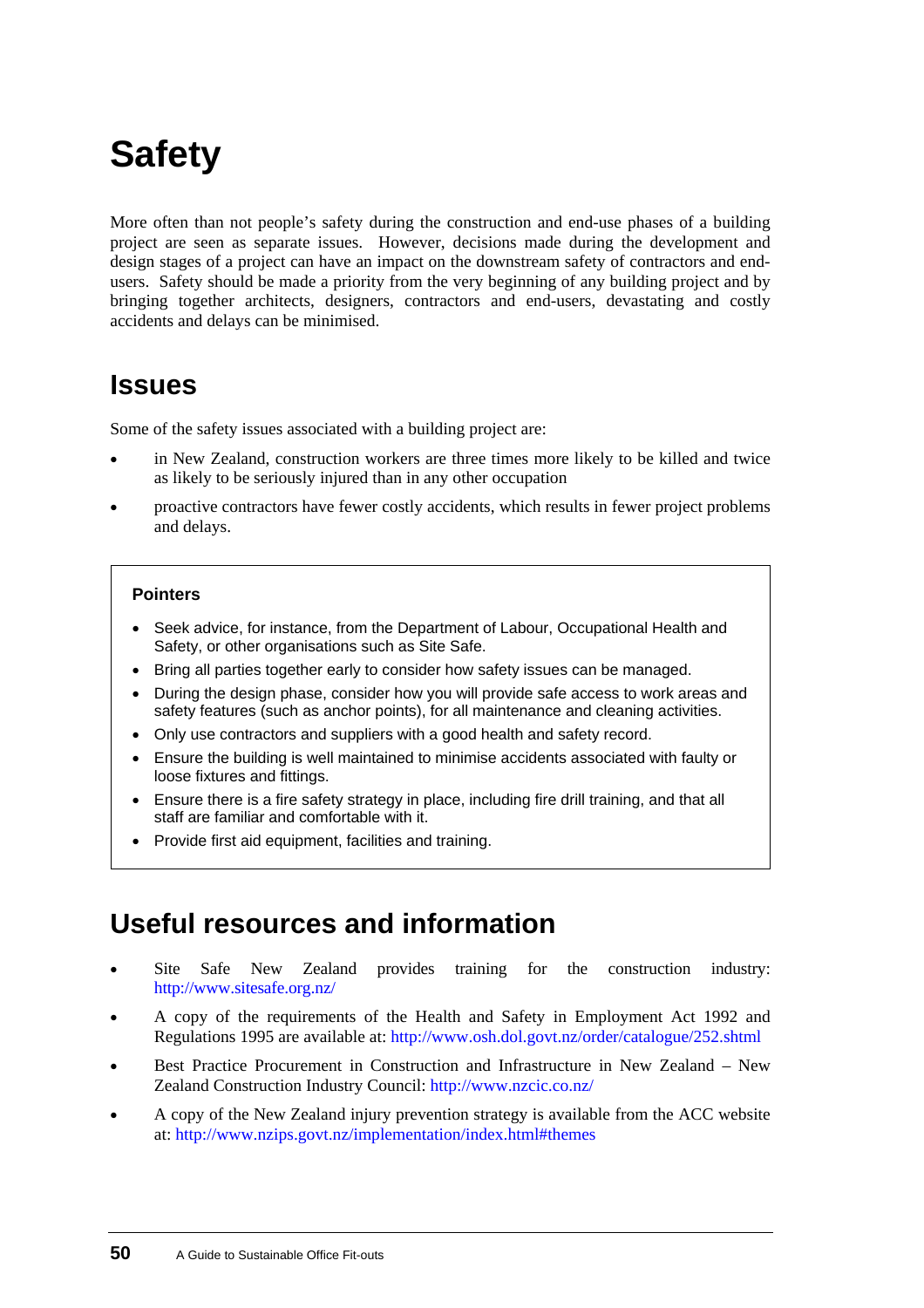# <span id="page-53-0"></span>**Safety**

More often than not people's safety during the construction and end-use phases of a building project are seen as separate issues. However, decisions made during the development and design stages of a project can have an impact on the downstream safety of contractors and endusers. Safety should be made a priority from the very beginning of any building project and by bringing together architects, designers, contractors and end-users, devastating and costly accidents and delays can be minimised.

## **Issues**

Some of the safety issues associated with a building project are:

- in New Zealand, construction workers are three times more likely to be killed and twice as likely to be seriously injured than in any other occupation •
- proactive contractors have fewer costly accidents, which results in fewer project problems and delays.

#### **Pointers**

- Seek advice, for instance, from the Department of Labour, Occupational Health and Safety, or other organisations such as Site Safe.
- Bring all parties together early to consider how safety issues can be managed.
- During the design phase, consider how you will provide safe access to work areas and safety features (such as anchor points), for all maintenance and cleaning activities.
- Only use contractors and suppliers with a good health and safety record.
- Ensure the building is well maintained to minimise accidents associated with faulty or loose fixtures and fittings.
- Ensure there is a fire safety strategy in place, including fire drill training, and that all staff are familiar and comfortable with it.
- Provide first aid equipment, facilities and training.

## **Useful resources and information**

- Site Safe New Zealand provides training for the construction industry: <http://www.sitesafe.org.nz/> •
- A copy of the requirements of the Health and Safety in Employment Act 1992 and Regulations 1995 are available at: <http://www.osh.dol.govt.nz/order/catalogue/252.shtml>
- Best Practice Procurement in Construction and Infrastructure in New Zealand – New Zealand Construction Industry Council:<http://www.nzcic.co.nz/>
- A copy of the New Zealand injury prevention strategy is available from the ACC website at: http://www.nzips.govt.nz/implementation/index.html#themes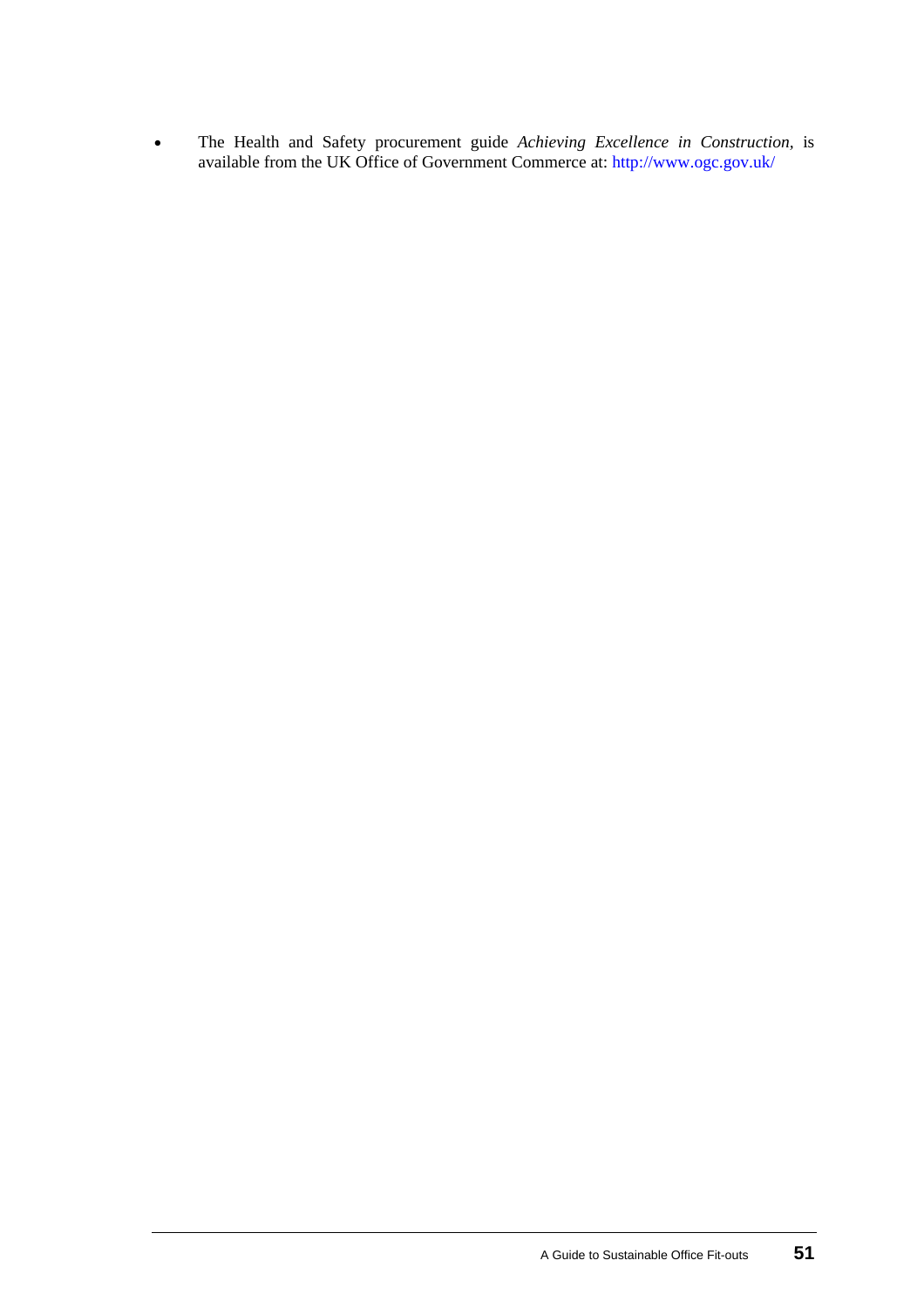The Health and Safety procurement guide *Achieving Excellence in Construction,* is available from the UK Office of Government Commerce at:<http://www.ogc.gov.uk/> •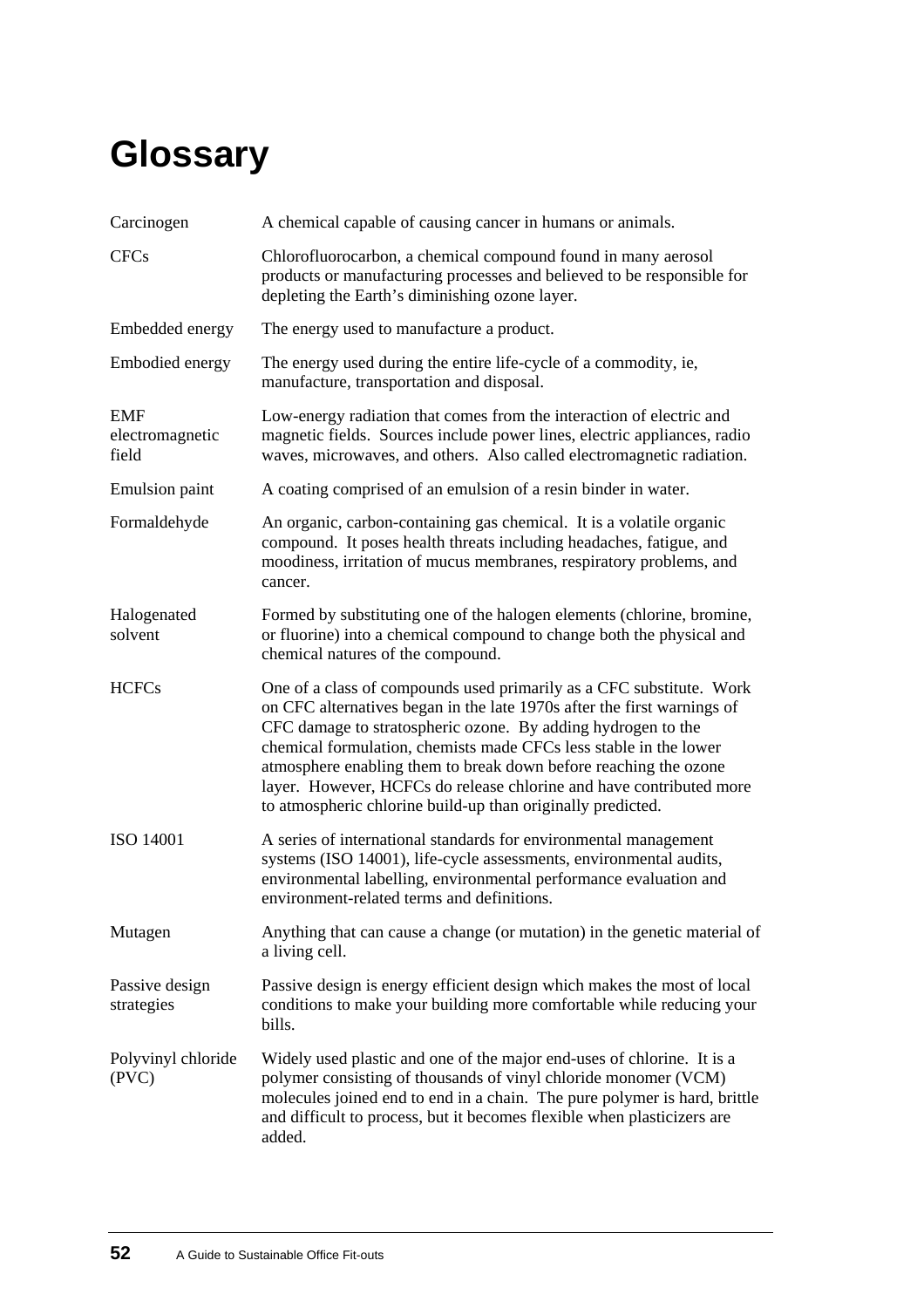# <span id="page-55-0"></span>**Glossary**

| Carcinogen                             | A chemical capable of causing cancer in humans or animals.                                                                                                                                                                                                                                                                                                                                                                                                                                     |
|----------------------------------------|------------------------------------------------------------------------------------------------------------------------------------------------------------------------------------------------------------------------------------------------------------------------------------------------------------------------------------------------------------------------------------------------------------------------------------------------------------------------------------------------|
| <b>CFCs</b>                            | Chlorofluorocarbon, a chemical compound found in many aerosol<br>products or manufacturing processes and believed to be responsible for<br>depleting the Earth's diminishing ozone layer.                                                                                                                                                                                                                                                                                                      |
| Embedded energy                        | The energy used to manufacture a product.                                                                                                                                                                                                                                                                                                                                                                                                                                                      |
| Embodied energy                        | The energy used during the entire life-cycle of a commodity, ie,<br>manufacture, transportation and disposal.                                                                                                                                                                                                                                                                                                                                                                                  |
| <b>EMF</b><br>electromagnetic<br>field | Low-energy radiation that comes from the interaction of electric and<br>magnetic fields. Sources include power lines, electric appliances, radio<br>waves, microwaves, and others. Also called electromagnetic radiation.                                                                                                                                                                                                                                                                      |
| <b>Emulsion</b> paint                  | A coating comprised of an emulsion of a resin binder in water.                                                                                                                                                                                                                                                                                                                                                                                                                                 |
| Formaldehyde                           | An organic, carbon-containing gas chemical. It is a volatile organic<br>compound. It poses health threats including headaches, fatigue, and<br>moodiness, irritation of mucus membranes, respiratory problems, and<br>cancer.                                                                                                                                                                                                                                                                  |
| Halogenated<br>solvent                 | Formed by substituting one of the halogen elements (chlorine, bromine,<br>or fluorine) into a chemical compound to change both the physical and<br>chemical natures of the compound.                                                                                                                                                                                                                                                                                                           |
| <b>HCFCs</b>                           | One of a class of compounds used primarily as a CFC substitute. Work<br>on CFC alternatives began in the late 1970s after the first warnings of<br>CFC damage to stratospheric ozone. By adding hydrogen to the<br>chemical formulation, chemists made CFCs less stable in the lower<br>atmosphere enabling them to break down before reaching the ozone<br>layer. However, HCFCs do release chlorine and have contributed more<br>to atmospheric chlorine build-up than originally predicted. |
| <b>ISO 14001</b>                       | A series of international standards for environmental management<br>systems (ISO 14001), life-cycle assessments, environmental audits,<br>environmental labelling, environmental performance evaluation and<br>environment-related terms and definitions.                                                                                                                                                                                                                                      |
| Mutagen                                | Anything that can cause a change (or mutation) in the genetic material of<br>a living cell.                                                                                                                                                                                                                                                                                                                                                                                                    |
| Passive design<br>strategies           | Passive design is energy efficient design which makes the most of local<br>conditions to make your building more comfortable while reducing your<br>bills.                                                                                                                                                                                                                                                                                                                                     |
| Polyvinyl chloride<br>(PVC)            | Widely used plastic and one of the major end-uses of chlorine. It is a<br>polymer consisting of thousands of vinyl chloride monomer (VCM)<br>molecules joined end to end in a chain. The pure polymer is hard, brittle<br>and difficult to process, but it becomes flexible when plasticizers are<br>added.                                                                                                                                                                                    |